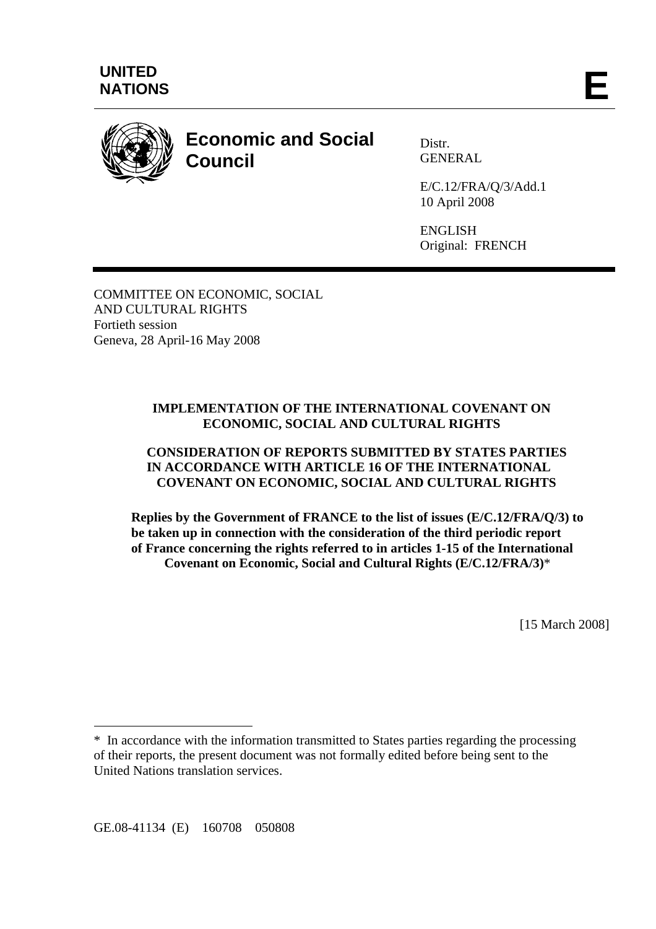

# **Economic and Social Council**

Distr. **GENERAL** 

E/C.12/FRA/Q/3/Add.1 10 April 2008

ENGLISH Original: FRENCH

COMMITTEE ON ECONOMIC, SOCIAL AND CULTURAL RIGHTS Fortieth session Geneva, 28 April-16 May 2008

# **IMPLEMENTATION OF THE INTERNATIONAL COVENANT ON ECONOMIC, SOCIAL AND CULTURAL RIGHTS**

# **CONSIDERATION OF REPORTS SUBMITTED BY STATES PARTIES IN ACCORDANCE WITH ARTICLE 16 OF THE INTERNATIONAL COVENANT ON ECONOMIC, SOCIAL AND CULTURAL RIGHTS**

**Replies by the Government of FRANCE to the list of issues (E/C.12/FRA/Q/3) to be taken up in connection with the consideration of the third periodic report of France concerning the rights referred to in articles 1-15 of the International Covenant on Economic, Social and Cultural Rights (E/C.12/FRA/3)**\*

[15 March 2008]

GE.08-41134 (E) 160708 050808

 $\overline{a}$ 

<sup>\*</sup> In accordance with the information transmitted to States parties regarding the processing of their reports, the present document was not formally edited before being sent to the United Nations translation services.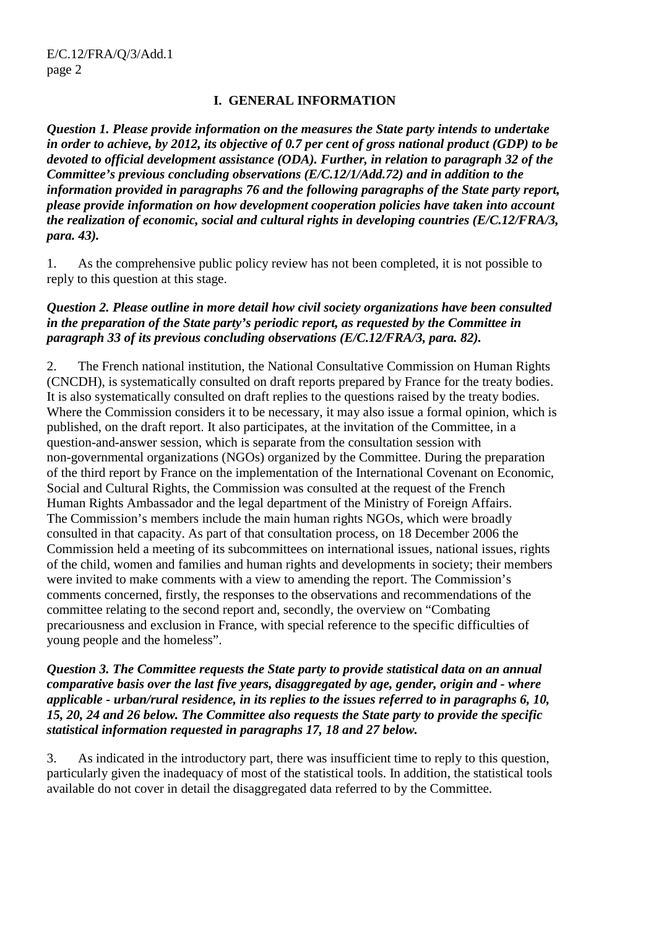#### **I. GENERAL INFORMATION**

*Question 1. Please provide information on the measures the State party intends to undertake in order to achieve, by 2012, its objective of 0.7 per cent of gross national product (GDP) to be devoted to official development assistance (ODA). Further, in relation to paragraph 32 of the Committee's previous concluding observations (E/C.12/1/Add.72) and in addition to the information provided in paragraphs 76 and the following paragraphs of the State party report, please provide information on how development cooperation policies have taken into account the realization of economic, social and cultural rights in developing countries (E/C.12/FRA/3, para. 43).* 

1. As the comprehensive public policy review has not been completed, it is not possible to reply to this question at this stage.

#### *Question 2. Please outline in more detail how civil society organizations have been consulted in the preparation of the State party's periodic report, as requested by the Committee in paragraph 33 of its previous concluding observations (E/C.12/FRA/3, para. 82).*

2. The French national institution, the National Consultative Commission on Human Rights (CNCDH), is systematically consulted on draft reports prepared by France for the treaty bodies. It is also systematically consulted on draft replies to the questions raised by the treaty bodies. Where the Commission considers it to be necessary, it may also issue a formal opinion, which is published, on the draft report. It also participates, at the invitation of the Committee, in a question-and-answer session, which is separate from the consultation session with non-governmental organizations (NGOs) organized by the Committee. During the preparation of the third report by France on the implementation of the International Covenant on Economic, Social and Cultural Rights, the Commission was consulted at the request of the French Human Rights Ambassador and the legal department of the Ministry of Foreign Affairs. The Commission's members include the main human rights NGOs, which were broadly consulted in that capacity. As part of that consultation process, on 18 December 2006 the Commission held a meeting of its subcommittees on international issues, national issues, rights of the child, women and families and human rights and developments in society; their members were invited to make comments with a view to amending the report. The Commission's comments concerned, firstly, the responses to the observations and recommendations of the committee relating to the second report and, secondly, the overview on "Combating precariousness and exclusion in France, with special reference to the specific difficulties of young people and the homeless".

#### *Question 3. The Committee requests the State party to provide statistical data on an annual comparative basis over the last five years, disaggregated by age, gender, origin and - where applicable - urban/rural residence, in its replies to the issues referred to in paragraphs 6, 10, 15, 20, 24 and 26 below. The Committee also requests the State party to provide the specific statistical information requested in paragraphs 17, 18 and 27 below.*

3. As indicated in the introductory part, there was insufficient time to reply to this question, particularly given the inadequacy of most of the statistical tools. In addition, the statistical tools available do not cover in detail the disaggregated data referred to by the Committee.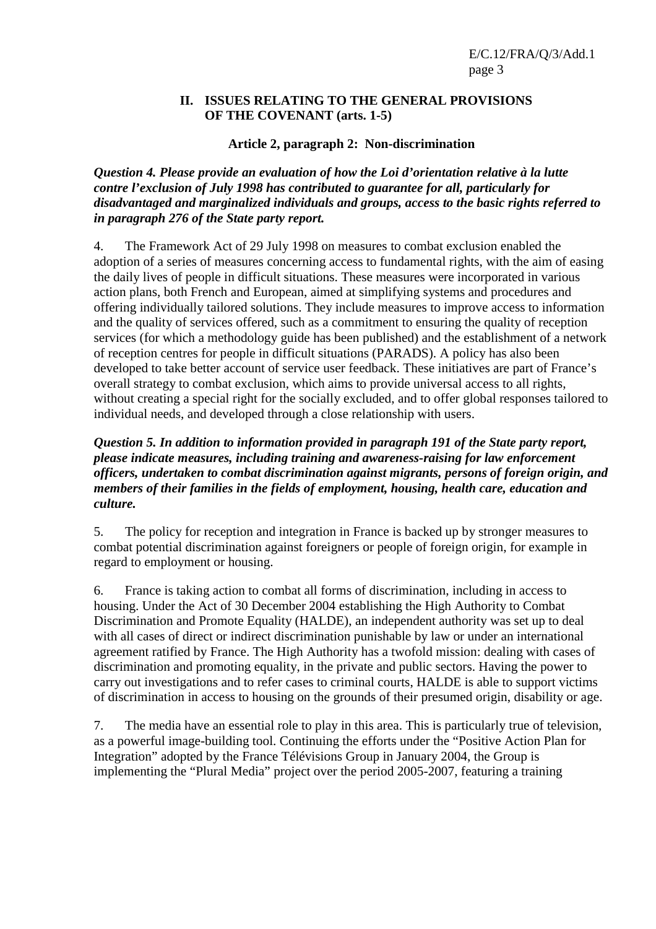#### **II. ISSUES RELATING TO THE GENERAL PROVISIONS OF THE COVENANT (arts. 1-5)**

## **Article 2, paragraph 2: Non-discrimination**

*Question 4. Please provide an evaluation of how the Loi d'orientation relative à la lutte contre l'exclusion of July 1998 has contributed to guarantee for all, particularly for disadvantaged and marginalized individuals and groups, access to the basic rights referred to in paragraph 276 of the State party report.* 

4. The Framework Act of 29 July 1998 on measures to combat exclusion enabled the adoption of a series of measures concerning access to fundamental rights, with the aim of easing the daily lives of people in difficult situations. These measures were incorporated in various action plans, both French and European, aimed at simplifying systems and procedures and offering individually tailored solutions. They include measures to improve access to information and the quality of services offered, such as a commitment to ensuring the quality of reception services (for which a methodology guide has been published) and the establishment of a network of reception centres for people in difficult situations (PARADS). A policy has also been developed to take better account of service user feedback. These initiatives are part of France's overall strategy to combat exclusion, which aims to provide universal access to all rights, without creating a special right for the socially excluded, and to offer global responses tailored to individual needs, and developed through a close relationship with users.

## *Question 5. In addition to information provided in paragraph 191 of the State party report, please indicate measures, including training and awareness-raising for law enforcement officers, undertaken to combat discrimination against migrants, persons of foreign origin, and members of their families in the fields of employment, housing, health care, education and culture.*

5. The policy for reception and integration in France is backed up by stronger measures to combat potential discrimination against foreigners or people of foreign origin, for example in regard to employment or housing.

6. France is taking action to combat all forms of discrimination, including in access to housing. Under the Act of 30 December 2004 establishing the High Authority to Combat Discrimination and Promote Equality (HALDE), an independent authority was set up to deal with all cases of direct or indirect discrimination punishable by law or under an international agreement ratified by France. The High Authority has a twofold mission: dealing with cases of discrimination and promoting equality, in the private and public sectors. Having the power to carry out investigations and to refer cases to criminal courts, HALDE is able to support victims of discrimination in access to housing on the grounds of their presumed origin, disability or age.

7. The media have an essential role to play in this area. This is particularly true of television, as a powerful image-building tool. Continuing the efforts under the "Positive Action Plan for Integration" adopted by the France Télévisions Group in January 2004, the Group is implementing the "Plural Media" project over the period 2005-2007, featuring a training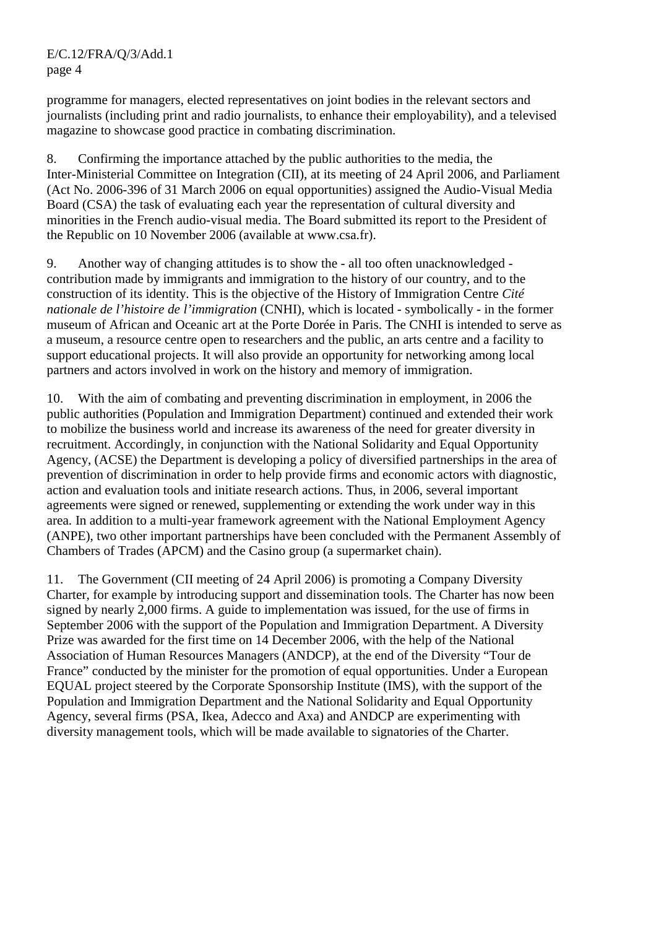programme for managers, elected representatives on joint bodies in the relevant sectors and journalists (including print and radio journalists, to enhance their employability), and a televised magazine to showcase good practice in combating discrimination.

8. Confirming the importance attached by the public authorities to the media, the Inter-Ministerial Committee on Integration (CII), at its meeting of 24 April 2006, and Parliament (Act No. 2006-396 of 31 March 2006 on equal opportunities) assigned the Audio-Visual Media Board (CSA) the task of evaluating each year the representation of cultural diversity and minorities in the French audio-visual media. The Board submitted its report to the President of the Republic on 10 November 2006 (available at www.csa.fr).

9. Another way of changing attitudes is to show the - all too often unacknowledged contribution made by immigrants and immigration to the history of our country, and to the construction of its identity. This is the objective of the History of Immigration Centre *Cité nationale de l'histoire de l'immigration* (CNHI), which is located - symbolically - in the former museum of African and Oceanic art at the Porte Dorée in Paris. The CNHI is intended to serve as a museum, a resource centre open to researchers and the public, an arts centre and a facility to support educational projects. It will also provide an opportunity for networking among local partners and actors involved in work on the history and memory of immigration.

10. With the aim of combating and preventing discrimination in employment, in 2006 the public authorities (Population and Immigration Department) continued and extended their work to mobilize the business world and increase its awareness of the need for greater diversity in recruitment. Accordingly, in conjunction with the National Solidarity and Equal Opportunity Agency, (ACSE) the Department is developing a policy of diversified partnerships in the area of prevention of discrimination in order to help provide firms and economic actors with diagnostic, action and evaluation tools and initiate research actions. Thus, in 2006, several important agreements were signed or renewed, supplementing or extending the work under way in this area. In addition to a multi-year framework agreement with the National Employment Agency (ANPE), two other important partnerships have been concluded with the Permanent Assembly of Chambers of Trades (APCM) and the Casino group (a supermarket chain).

11. The Government (CII meeting of 24 April 2006) is promoting a Company Diversity Charter, for example by introducing support and dissemination tools. The Charter has now been signed by nearly 2,000 firms. A guide to implementation was issued, for the use of firms in September 2006 with the support of the Population and Immigration Department. A Diversity Prize was awarded for the first time on 14 December 2006, with the help of the National Association of Human Resources Managers (ANDCP), at the end of the Diversity "Tour de France" conducted by the minister for the promotion of equal opportunities. Under a European EQUAL project steered by the Corporate Sponsorship Institute (IMS), with the support of the Population and Immigration Department and the National Solidarity and Equal Opportunity Agency, several firms (PSA, Ikea, Adecco and Axa) and ANDCP are experimenting with diversity management tools, which will be made available to signatories of the Charter.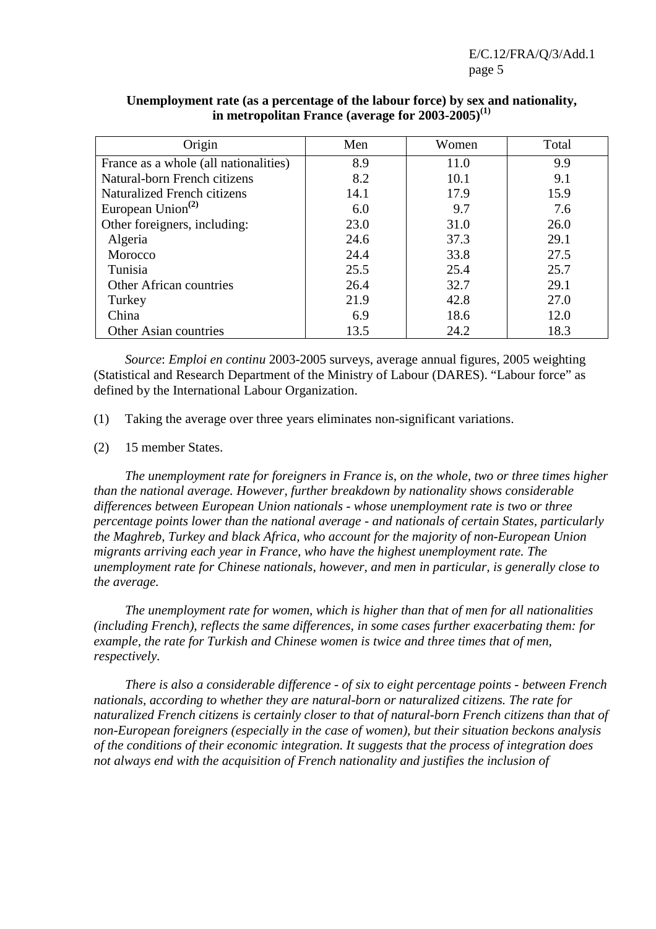| Origin                                | Men  | Women | Total |
|---------------------------------------|------|-------|-------|
| France as a whole (all nationalities) | 8.9  | 11.0  | 9.9   |
| Natural-born French citizens          | 8.2  | 10.1  | 9.1   |
| Naturalized French citizens           | 14.1 | 17.9  | 15.9  |
| European Union <sup>(2)</sup>         | 6.0  | 9.7   | 7.6   |
| Other foreigners, including:          | 23.0 | 31.0  | 26.0  |
| Algeria                               | 24.6 | 37.3  | 29.1  |
| Morocco                               | 24.4 | 33.8  | 27.5  |
| Tunisia                               | 25.5 | 25.4  | 25.7  |
| <b>Other African countries</b>        | 26.4 | 32.7  | 29.1  |
| Turkey                                | 21.9 | 42.8  | 27.0  |
| China                                 | 6.9  | 18.6  | 12.0  |
| Other Asian countries                 | 13.5 | 24.2  | 18.3  |

#### **Unemployment rate (as a percentage of the labour force) by sex and nationality, in metropolitan France (average for 2003-2005)(1)**

 *Source*: *Emploi en continu* 2003-2005 surveys, average annual figures, 2005 weighting (Statistical and Research Department of the Ministry of Labour (DARES). "Labour force" as defined by the International Labour Organization.

(1) Taking the average over three years eliminates non-significant variations.

(2) 15 member States.

*The unemployment rate for foreigners in France is, on the whole, two or three times higher than the national average. However, further breakdown by nationality shows considerable differences between European Union nationals - whose unemployment rate is two or three percentage points lower than the national average - and nationals of certain States, particularly the Maghreb, Turkey and black Africa, who account for the majority of non-European Union migrants arriving each year in France, who have the highest unemployment rate. The unemployment rate for Chinese nationals, however, and men in particular, is generally close to the average.* 

 *The unemployment rate for women, which is higher than that of men for all nationalities (including French), reflects the same differences, in some cases further exacerbating them: for example, the rate for Turkish and Chinese women is twice and three times that of men, respectively.* 

 *There is also a considerable difference - of six to eight percentage points - between French nationals, according to whether they are natural-born or naturalized citizens. The rate for naturalized French citizens is certainly closer to that of natural-born French citizens than that of non-European foreigners (especially in the case of women), but their situation beckons analysis of the conditions of their economic integration. It suggests that the process of integration does not always end with the acquisition of French nationality and justifies the inclusion of*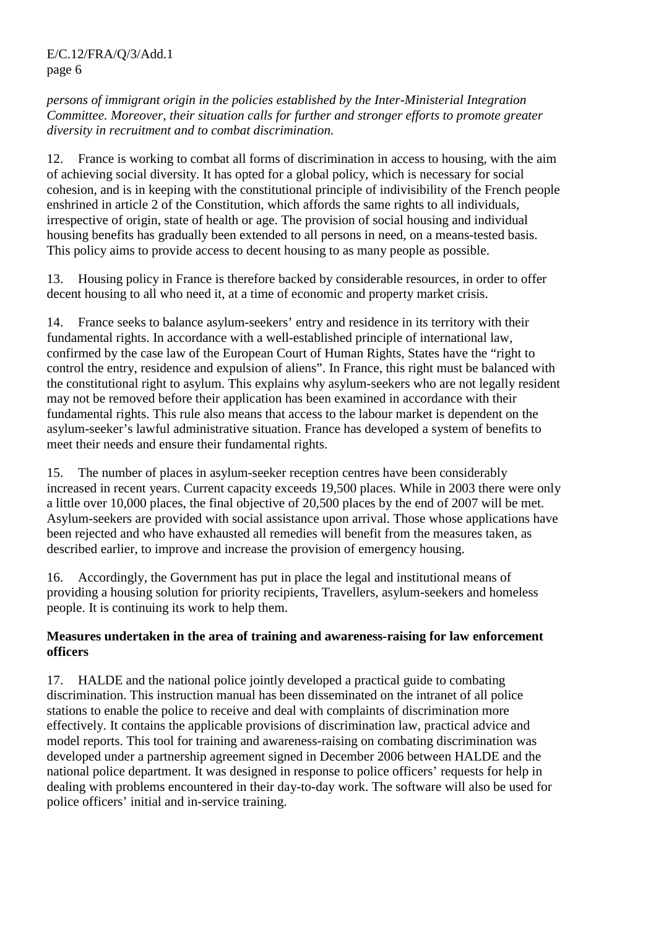*persons of immigrant origin in the policies established by the Inter-Ministerial Integration Committee. Moreover, their situation calls for further and stronger efforts to promote greater diversity in recruitment and to combat discrimination.* 

12. France is working to combat all forms of discrimination in access to housing, with the aim of achieving social diversity. It has opted for a global policy, which is necessary for social cohesion, and is in keeping with the constitutional principle of indivisibility of the French people enshrined in article 2 of the Constitution, which affords the same rights to all individuals, irrespective of origin, state of health or age. The provision of social housing and individual housing benefits has gradually been extended to all persons in need, on a means-tested basis. This policy aims to provide access to decent housing to as many people as possible.

13. Housing policy in France is therefore backed by considerable resources, in order to offer decent housing to all who need it, at a time of economic and property market crisis.

14. France seeks to balance asylum-seekers' entry and residence in its territory with their fundamental rights. In accordance with a well-established principle of international law, confirmed by the case law of the European Court of Human Rights, States have the "right to control the entry, residence and expulsion of aliens". In France, this right must be balanced with the constitutional right to asylum. This explains why asylum-seekers who are not legally resident may not be removed before their application has been examined in accordance with their fundamental rights. This rule also means that access to the labour market is dependent on the asylum-seeker's lawful administrative situation. France has developed a system of benefits to meet their needs and ensure their fundamental rights.

15. The number of places in asylum-seeker reception centres have been considerably increased in recent years. Current capacity exceeds 19,500 places. While in 2003 there were only a little over 10,000 places, the final objective of 20,500 places by the end of 2007 will be met. Asylum-seekers are provided with social assistance upon arrival. Those whose applications have been rejected and who have exhausted all remedies will benefit from the measures taken, as described earlier, to improve and increase the provision of emergency housing.

16. Accordingly, the Government has put in place the legal and institutional means of providing a housing solution for priority recipients, Travellers, asylum-seekers and homeless people. It is continuing its work to help them.

## **Measures undertaken in the area of training and awareness-raising for law enforcement officers**

17. HALDE and the national police jointly developed a practical guide to combating discrimination. This instruction manual has been disseminated on the intranet of all police stations to enable the police to receive and deal with complaints of discrimination more effectively. It contains the applicable provisions of discrimination law, practical advice and model reports. This tool for training and awareness-raising on combating discrimination was developed under a partnership agreement signed in December 2006 between HALDE and the national police department. It was designed in response to police officers' requests for help in dealing with problems encountered in their day-to-day work. The software will also be used for police officers' initial and in-service training.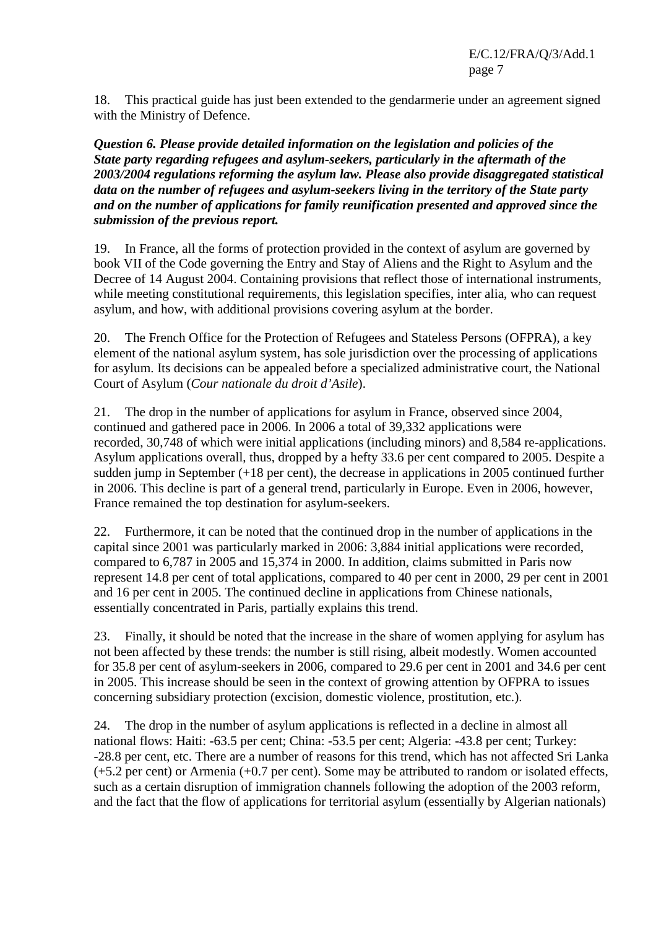18. This practical guide has just been extended to the gendarmerie under an agreement signed with the Ministry of Defence.

*Question 6. Please provide detailed information on the legislation and policies of the State party regarding refugees and asylum-seekers, particularly in the aftermath of the 2003/2004 regulations reforming the asylum law. Please also provide disaggregated statistical data on the number of refugees and asylum-seekers living in the territory of the State party and on the number of applications for family reunification presented and approved since the submission of the previous report.* 

19. In France, all the forms of protection provided in the context of asylum are governed by book VII of the Code governing the Entry and Stay of Aliens and the Right to Asylum and the Decree of 14 August 2004. Containing provisions that reflect those of international instruments, while meeting constitutional requirements, this legislation specifies, inter alia, who can request asylum, and how, with additional provisions covering asylum at the border.

20. The French Office for the Protection of Refugees and Stateless Persons (OFPRA), a key element of the national asylum system, has sole jurisdiction over the processing of applications for asylum. Its decisions can be appealed before a specialized administrative court, the National Court of Asylum (*Cour nationale du droit d'Asile*).

21. The drop in the number of applications for asylum in France, observed since 2004, continued and gathered pace in 2006. In 2006 a total of 39,332 applications were recorded, 30,748 of which were initial applications (including minors) and 8,584 re-applications. Asylum applications overall, thus, dropped by a hefty 33.6 per cent compared to 2005. Despite a sudden jump in September (+18 per cent), the decrease in applications in 2005 continued further in 2006. This decline is part of a general trend, particularly in Europe. Even in 2006, however, France remained the top destination for asylum-seekers.

22. Furthermore, it can be noted that the continued drop in the number of applications in the capital since 2001 was particularly marked in 2006: 3,884 initial applications were recorded, compared to 6,787 in 2005 and 15,374 in 2000. In addition, claims submitted in Paris now represent 14.8 per cent of total applications, compared to 40 per cent in 2000, 29 per cent in 2001 and 16 per cent in 2005. The continued decline in applications from Chinese nationals, essentially concentrated in Paris, partially explains this trend.

23. Finally, it should be noted that the increase in the share of women applying for asylum has not been affected by these trends: the number is still rising, albeit modestly. Women accounted for 35.8 per cent of asylum-seekers in 2006, compared to 29.6 per cent in 2001 and 34.6 per cent in 2005. This increase should be seen in the context of growing attention by OFPRA to issues concerning subsidiary protection (excision, domestic violence, prostitution, etc.).

24. The drop in the number of asylum applications is reflected in a decline in almost all national flows: Haiti: -63.5 per cent; China: -53.5 per cent; Algeria: -43.8 per cent; Turkey: -28.8 per cent, etc. There are a number of reasons for this trend, which has not affected Sri Lanka (+5.2 per cent) or Armenia (+0.7 per cent). Some may be attributed to random or isolated effects, such as a certain disruption of immigration channels following the adoption of the 2003 reform, and the fact that the flow of applications for territorial asylum (essentially by Algerian nationals)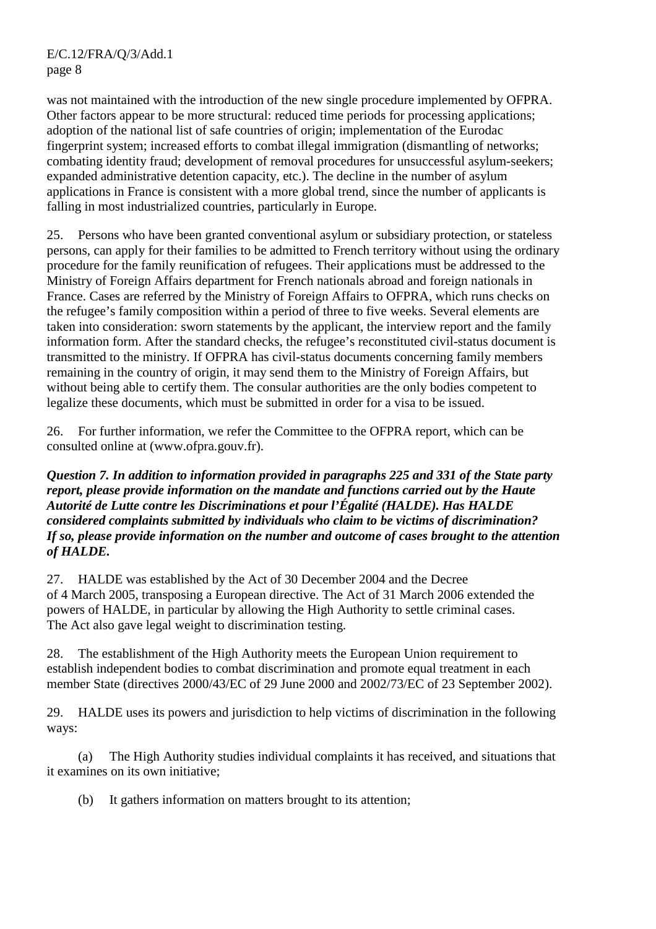was not maintained with the introduction of the new single procedure implemented by OFPRA. Other factors appear to be more structural: reduced time periods for processing applications; adoption of the national list of safe countries of origin; implementation of the Eurodac fingerprint system; increased efforts to combat illegal immigration (dismantling of networks; combating identity fraud; development of removal procedures for unsuccessful asylum-seekers; expanded administrative detention capacity, etc.). The decline in the number of asylum applications in France is consistent with a more global trend, since the number of applicants is falling in most industrialized countries, particularly in Europe.

25. Persons who have been granted conventional asylum or subsidiary protection, or stateless persons, can apply for their families to be admitted to French territory without using the ordinary procedure for the family reunification of refugees. Their applications must be addressed to the Ministry of Foreign Affairs department for French nationals abroad and foreign nationals in France. Cases are referred by the Ministry of Foreign Affairs to OFPRA, which runs checks on the refugee's family composition within a period of three to five weeks. Several elements are taken into consideration: sworn statements by the applicant, the interview report and the family information form. After the standard checks, the refugee's reconstituted civil-status document is transmitted to the ministry. If OFPRA has civil-status documents concerning family members remaining in the country of origin, it may send them to the Ministry of Foreign Affairs, but without being able to certify them. The consular authorities are the only bodies competent to legalize these documents, which must be submitted in order for a visa to be issued.

26. For further information, we refer the Committee to the OFPRA report, which can be consulted online at (www.ofpra.gouv.fr).

*Question 7. In addition to information provided in paragraphs 225 and 331 of the State party report, please provide information on the mandate and functions carried out by the Haute Autorité de Lutte contre les Discriminations et pour l'Égalité (HALDE). Has HALDE considered complaints submitted by individuals who claim to be victims of discrimination? If so, please provide information on the number and outcome of cases brought to the attention of HALDE.* 

27. HALDE was established by the Act of 30 December 2004 and the Decree of 4 March 2005, transposing a European directive. The Act of 31 March 2006 extended the powers of HALDE, in particular by allowing the High Authority to settle criminal cases. The Act also gave legal weight to discrimination testing.

28. The establishment of the High Authority meets the European Union requirement to establish independent bodies to combat discrimination and promote equal treatment in each member State (directives 2000/43/EC of 29 June 2000 and 2002/73/EC of 23 September 2002).

29. HALDE uses its powers and jurisdiction to help victims of discrimination in the following ways:

 (a) The High Authority studies individual complaints it has received, and situations that it examines on its own initiative;

(b) It gathers information on matters brought to its attention;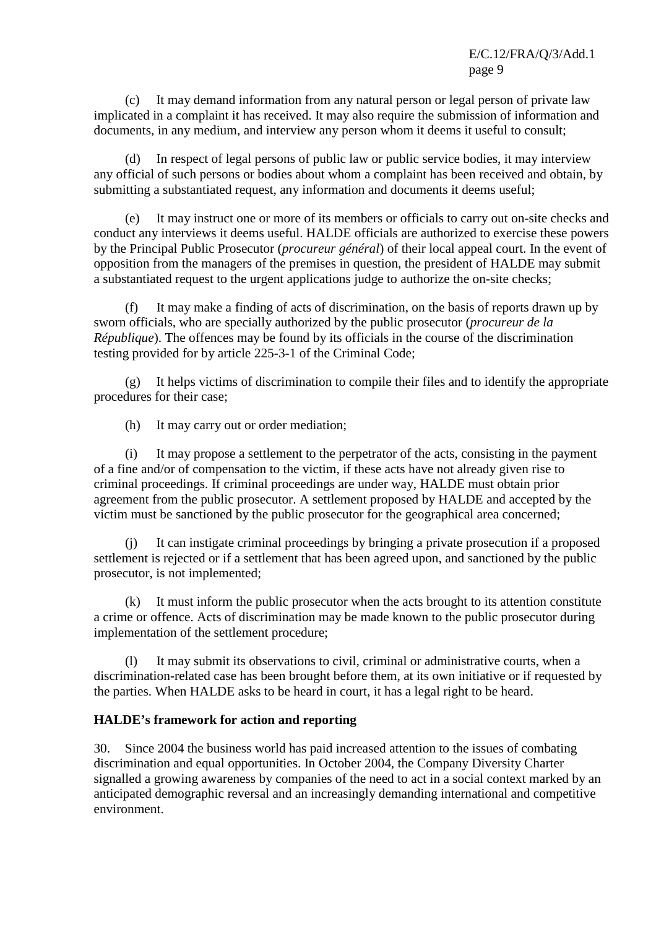(c) It may demand information from any natural person or legal person of private law implicated in a complaint it has received. It may also require the submission of information and documents, in any medium, and interview any person whom it deems it useful to consult;

 (d) In respect of legal persons of public law or public service bodies, it may interview any official of such persons or bodies about whom a complaint has been received and obtain, by submitting a substantiated request, any information and documents it deems useful;

It may instruct one or more of its members or officials to carry out on-site checks and conduct any interviews it deems useful. HALDE officials are authorized to exercise these powers by the Principal Public Prosecutor (*procureur général*) of their local appeal court. In the event of opposition from the managers of the premises in question, the president of HALDE may submit a substantiated request to the urgent applications judge to authorize the on-site checks;

 (f) It may make a finding of acts of discrimination, on the basis of reports drawn up by sworn officials, who are specially authorized by the public prosecutor (*procureur de la République*). The offences may be found by its officials in the course of the discrimination testing provided for by article 225-3-1 of the Criminal Code;

 (g) It helps victims of discrimination to compile their files and to identify the appropriate procedures for their case;

(h) It may carry out or order mediation;

 (i) It may propose a settlement to the perpetrator of the acts, consisting in the payment of a fine and/or of compensation to the victim, if these acts have not already given rise to criminal proceedings. If criminal proceedings are under way, HALDE must obtain prior agreement from the public prosecutor. A settlement proposed by HALDE and accepted by the victim must be sanctioned by the public prosecutor for the geographical area concerned;

 (j) It can instigate criminal proceedings by bringing a private prosecution if a proposed settlement is rejected or if a settlement that has been agreed upon, and sanctioned by the public prosecutor, is not implemented;

 (k) It must inform the public prosecutor when the acts brought to its attention constitute a crime or offence. Acts of discrimination may be made known to the public prosecutor during implementation of the settlement procedure;

 (l) It may submit its observations to civil, criminal or administrative courts, when a discrimination-related case has been brought before them, at its own initiative or if requested by the parties. When HALDE asks to be heard in court, it has a legal right to be heard.

#### **HALDE's framework for action and reporting**

30. Since 2004 the business world has paid increased attention to the issues of combating discrimination and equal opportunities. In October 2004, the Company Diversity Charter signalled a growing awareness by companies of the need to act in a social context marked by an anticipated demographic reversal and an increasingly demanding international and competitive environment.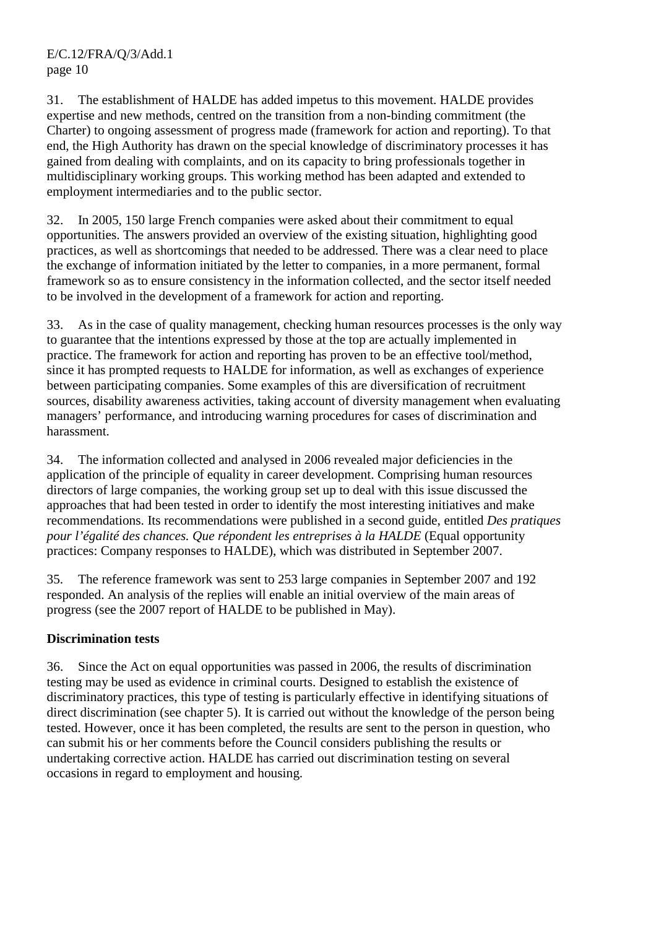31. The establishment of HALDE has added impetus to this movement. HALDE provides expertise and new methods, centred on the transition from a non-binding commitment (the Charter) to ongoing assessment of progress made (framework for action and reporting). To that end, the High Authority has drawn on the special knowledge of discriminatory processes it has gained from dealing with complaints, and on its capacity to bring professionals together in multidisciplinary working groups. This working method has been adapted and extended to employment intermediaries and to the public sector.

32. In 2005, 150 large French companies were asked about their commitment to equal opportunities. The answers provided an overview of the existing situation, highlighting good practices, as well as shortcomings that needed to be addressed. There was a clear need to place the exchange of information initiated by the letter to companies, in a more permanent, formal framework so as to ensure consistency in the information collected, and the sector itself needed to be involved in the development of a framework for action and reporting.

33. As in the case of quality management, checking human resources processes is the only way to guarantee that the intentions expressed by those at the top are actually implemented in practice. The framework for action and reporting has proven to be an effective tool/method, since it has prompted requests to HALDE for information, as well as exchanges of experience between participating companies. Some examples of this are diversification of recruitment sources, disability awareness activities, taking account of diversity management when evaluating managers' performance, and introducing warning procedures for cases of discrimination and harassment.

34. The information collected and analysed in 2006 revealed major deficiencies in the application of the principle of equality in career development. Comprising human resources directors of large companies, the working group set up to deal with this issue discussed the approaches that had been tested in order to identify the most interesting initiatives and make recommendations. Its recommendations were published in a second guide, entitled *Des pratiques pour l'égalité des chances. Que répondent les entreprises à la HALDE* (Equal opportunity practices: Company responses to HALDE), which was distributed in September 2007.

35. The reference framework was sent to 253 large companies in September 2007 and 192 responded. An analysis of the replies will enable an initial overview of the main areas of progress (see the 2007 report of HALDE to be published in May).

# **Discrimination tests**

36. Since the Act on equal opportunities was passed in 2006, the results of discrimination testing may be used as evidence in criminal courts. Designed to establish the existence of discriminatory practices, this type of testing is particularly effective in identifying situations of direct discrimination (see chapter 5). It is carried out without the knowledge of the person being tested. However, once it has been completed, the results are sent to the person in question, who can submit his or her comments before the Council considers publishing the results or undertaking corrective action. HALDE has carried out discrimination testing on several occasions in regard to employment and housing.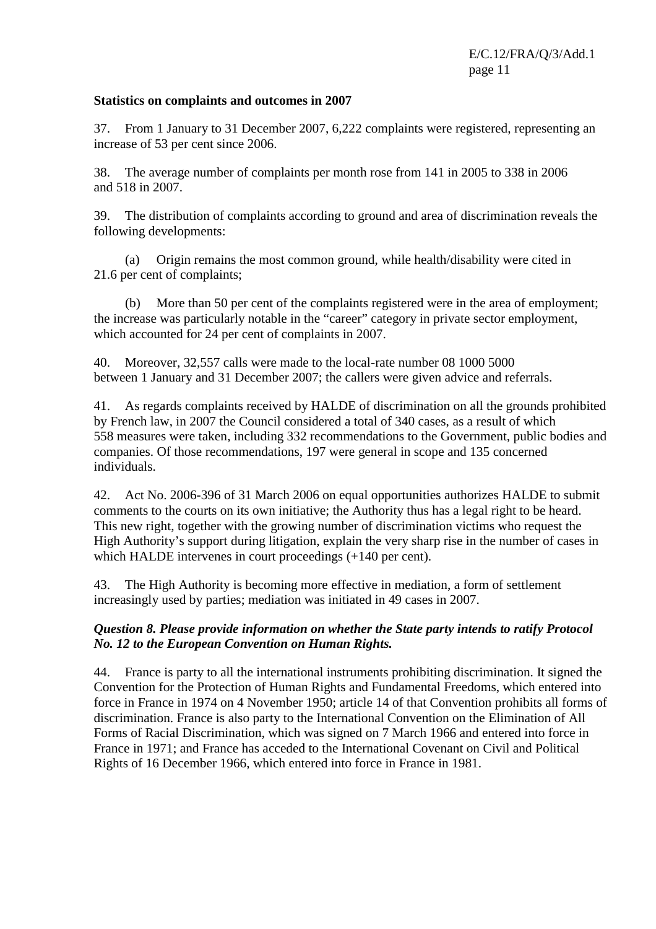#### **Statistics on complaints and outcomes in 2007**

37. From 1 January to 31 December 2007, 6,222 complaints were registered, representing an increase of 53 per cent since 2006.

38. The average number of complaints per month rose from 141 in 2005 to 338 in 2006 and 518 in 2007.

39. The distribution of complaints according to ground and area of discrimination reveals the following developments:

 (a) Origin remains the most common ground, while health/disability were cited in 21.6 per cent of complaints;

 (b) More than 50 per cent of the complaints registered were in the area of employment; the increase was particularly notable in the "career" category in private sector employment, which accounted for 24 per cent of complaints in 2007.

40. Moreover, 32,557 calls were made to the local-rate number 08 1000 5000 between 1 January and 31 December 2007; the callers were given advice and referrals.

41. As regards complaints received by HALDE of discrimination on all the grounds prohibited by French law, in 2007 the Council considered a total of 340 cases, as a result of which 558 measures were taken, including 332 recommendations to the Government, public bodies and companies. Of those recommendations, 197 were general in scope and 135 concerned individuals.

42. Act No. 2006-396 of 31 March 2006 on equal opportunities authorizes HALDE to submit comments to the courts on its own initiative; the Authority thus has a legal right to be heard. This new right, together with the growing number of discrimination victims who request the High Authority's support during litigation, explain the very sharp rise in the number of cases in which HALDE intervenes in court proceedings  $(+140$  per cent).

43. The High Authority is becoming more effective in mediation, a form of settlement increasingly used by parties; mediation was initiated in 49 cases in 2007.

## *Question 8. Please provide information on whether the State party intends to ratify Protocol No. 12 to the European Convention on Human Rights.*

44. France is party to all the international instruments prohibiting discrimination. It signed the Convention for the Protection of Human Rights and Fundamental Freedoms, which entered into force in France in 1974 on 4 November 1950; article 14 of that Convention prohibits all forms of discrimination. France is also party to the International Convention on the Elimination of All Forms of Racial Discrimination, which was signed on 7 March 1966 and entered into force in France in 1971; and France has acceded to the International Covenant on Civil and Political Rights of 16 December 1966, which entered into force in France in 1981.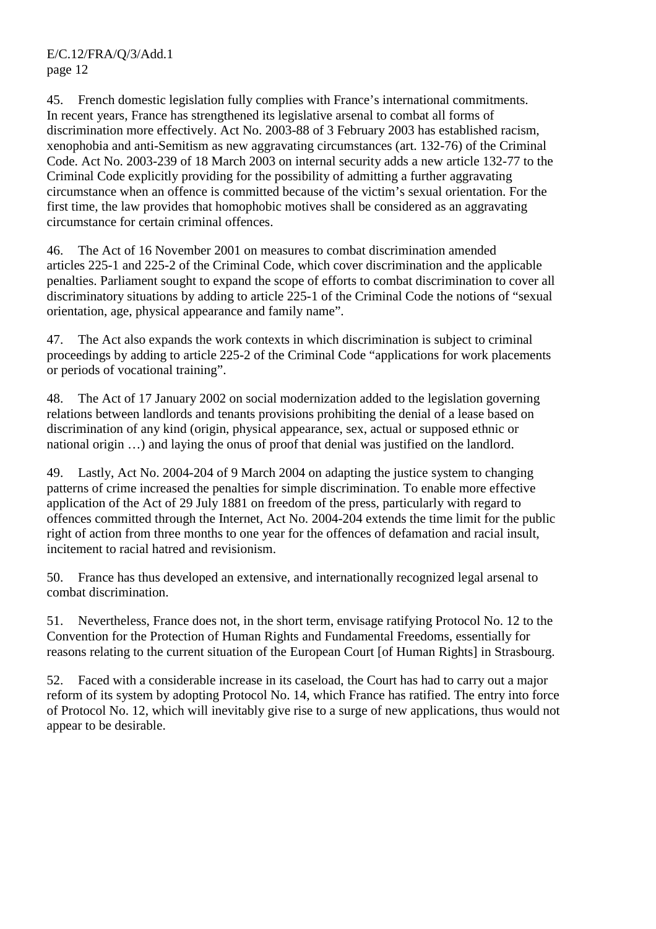45. French domestic legislation fully complies with France's international commitments. In recent years, France has strengthened its legislative arsenal to combat all forms of discrimination more effectively. Act No. 2003-88 of 3 February 2003 has established racism, xenophobia and anti-Semitism as new aggravating circumstances (art. 132-76) of the Criminal Code. Act No. 2003-239 of 18 March 2003 on internal security adds a new article 132-77 to the Criminal Code explicitly providing for the possibility of admitting a further aggravating circumstance when an offence is committed because of the victim's sexual orientation. For the first time, the law provides that homophobic motives shall be considered as an aggravating circumstance for certain criminal offences.

46. The Act of 16 November 2001 on measures to combat discrimination amended articles 225-1 and 225-2 of the Criminal Code, which cover discrimination and the applicable penalties. Parliament sought to expand the scope of efforts to combat discrimination to cover all discriminatory situations by adding to article 225-1 of the Criminal Code the notions of "sexual orientation, age, physical appearance and family name".

47. The Act also expands the work contexts in which discrimination is subject to criminal proceedings by adding to article 225-2 of the Criminal Code "applications for work placements or periods of vocational training".

48. The Act of 17 January 2002 on social modernization added to the legislation governing relations between landlords and tenants provisions prohibiting the denial of a lease based on discrimination of any kind (origin, physical appearance, sex, actual or supposed ethnic or national origin …) and laying the onus of proof that denial was justified on the landlord.

49. Lastly, Act No. 2004-204 of 9 March 2004 on adapting the justice system to changing patterns of crime increased the penalties for simple discrimination. To enable more effective application of the Act of 29 July 1881 on freedom of the press, particularly with regard to offences committed through the Internet, Act No. 2004-204 extends the time limit for the public right of action from three months to one year for the offences of defamation and racial insult, incitement to racial hatred and revisionism.

50. France has thus developed an extensive, and internationally recognized legal arsenal to combat discrimination.

51. Nevertheless, France does not, in the short term, envisage ratifying Protocol No. 12 to the Convention for the Protection of Human Rights and Fundamental Freedoms, essentially for reasons relating to the current situation of the European Court [of Human Rights] in Strasbourg.

52. Faced with a considerable increase in its caseload, the Court has had to carry out a major reform of its system by adopting Protocol No. 14, which France has ratified. The entry into force of Protocol No. 12, which will inevitably give rise to a surge of new applications, thus would not appear to be desirable.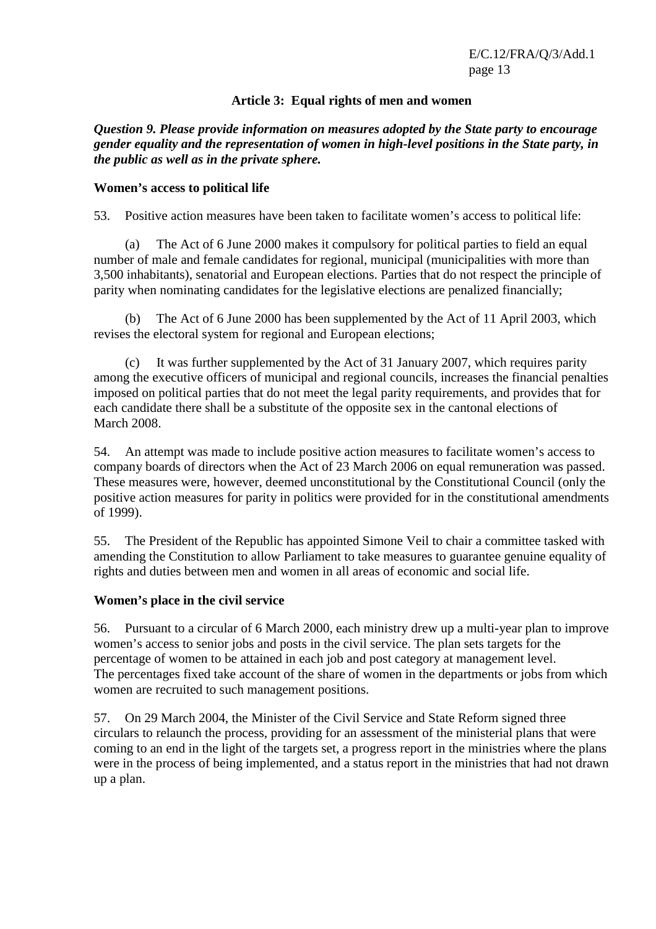## **Article 3: Equal rights of men and women**

*Question 9. Please provide information on measures adopted by the State party to encourage gender equality and the representation of women in high-level positions in the State party, in the public as well as in the private sphere.* 

#### **Women's access to political life**

53. Positive action measures have been taken to facilitate women's access to political life:

 (a) The Act of 6 June 2000 makes it compulsory for political parties to field an equal number of male and female candidates for regional, municipal (municipalities with more than 3,500 inhabitants), senatorial and European elections. Parties that do not respect the principle of parity when nominating candidates for the legislative elections are penalized financially;

The Act of 6 June 2000 has been supplemented by the Act of 11 April 2003, which revises the electoral system for regional and European elections;

 (c) It was further supplemented by the Act of 31 January 2007, which requires parity among the executive officers of municipal and regional councils, increases the financial penalties imposed on political parties that do not meet the legal parity requirements, and provides that for each candidate there shall be a substitute of the opposite sex in the cantonal elections of March 2008.

54. An attempt was made to include positive action measures to facilitate women's access to company boards of directors when the Act of 23 March 2006 on equal remuneration was passed. These measures were, however, deemed unconstitutional by the Constitutional Council (only the positive action measures for parity in politics were provided for in the constitutional amendments of 1999).

55. The President of the Republic has appointed Simone Veil to chair a committee tasked with amending the Constitution to allow Parliament to take measures to guarantee genuine equality of rights and duties between men and women in all areas of economic and social life.

## **Women's place in the civil service**

56. Pursuant to a circular of 6 March 2000, each ministry drew up a multi-year plan to improve women's access to senior jobs and posts in the civil service. The plan sets targets for the percentage of women to be attained in each job and post category at management level. The percentages fixed take account of the share of women in the departments or jobs from which women are recruited to such management positions.

57. On 29 March 2004, the Minister of the Civil Service and State Reform signed three circulars to relaunch the process, providing for an assessment of the ministerial plans that were coming to an end in the light of the targets set, a progress report in the ministries where the plans were in the process of being implemented, and a status report in the ministries that had not drawn up a plan.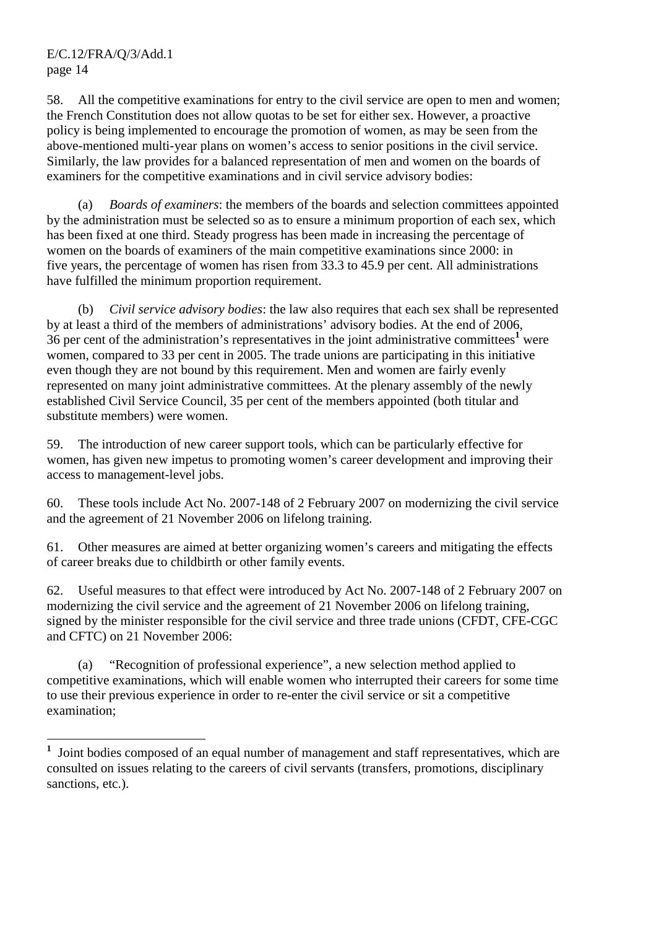$\overline{a}$ 

58. All the competitive examinations for entry to the civil service are open to men and women; the French Constitution does not allow quotas to be set for either sex. However, a proactive policy is being implemented to encourage the promotion of women, as may be seen from the above-mentioned multi-year plans on women's access to senior positions in the civil service. Similarly, the law provides for a balanced representation of men and women on the boards of examiners for the competitive examinations and in civil service advisory bodies:

 (a) *Boards of examiners*: the members of the boards and selection committees appointed by the administration must be selected so as to ensure a minimum proportion of each sex, which has been fixed at one third. Steady progress has been made in increasing the percentage of women on the boards of examiners of the main competitive examinations since 2000: in five years, the percentage of women has risen from 33.3 to 45.9 per cent. All administrations have fulfilled the minimum proportion requirement.

 (b) *Civil service advisory bodies*: the law also requires that each sex shall be represented by at least a third of the members of administrations' advisory bodies. At the end of 2006,  $36$  per cent of the administration's representatives in the joint administrative committees<sup>1</sup> were women, compared to 33 per cent in 2005. The trade unions are participating in this initiative even though they are not bound by this requirement. Men and women are fairly evenly represented on many joint administrative committees. At the plenary assembly of the newly established Civil Service Council, 35 per cent of the members appointed (both titular and substitute members) were women.

59. The introduction of new career support tools, which can be particularly effective for women, has given new impetus to promoting women's career development and improving their access to management-level jobs.

60. These tools include Act No. 2007-148 of 2 February 2007 on modernizing the civil service and the agreement of 21 November 2006 on lifelong training.

61. Other measures are aimed at better organizing women's careers and mitigating the effects of career breaks due to childbirth or other family events.

62. Useful measures to that effect were introduced by Act No. 2007-148 of 2 February 2007 on modernizing the civil service and the agreement of 21 November 2006 on lifelong training, signed by the minister responsible for the civil service and three trade unions (CFDT, CFE-CGC and CFTC) on 21 November 2006:

 (a) "Recognition of professional experience", a new selection method applied to competitive examinations, which will enable women who interrupted their careers for some time to use their previous experience in order to re-enter the civil service or sit a competitive examination;

**<sup>1</sup>** Joint bodies composed of an equal number of management and staff representatives, which are consulted on issues relating to the careers of civil servants (transfers, promotions, disciplinary sanctions, etc.).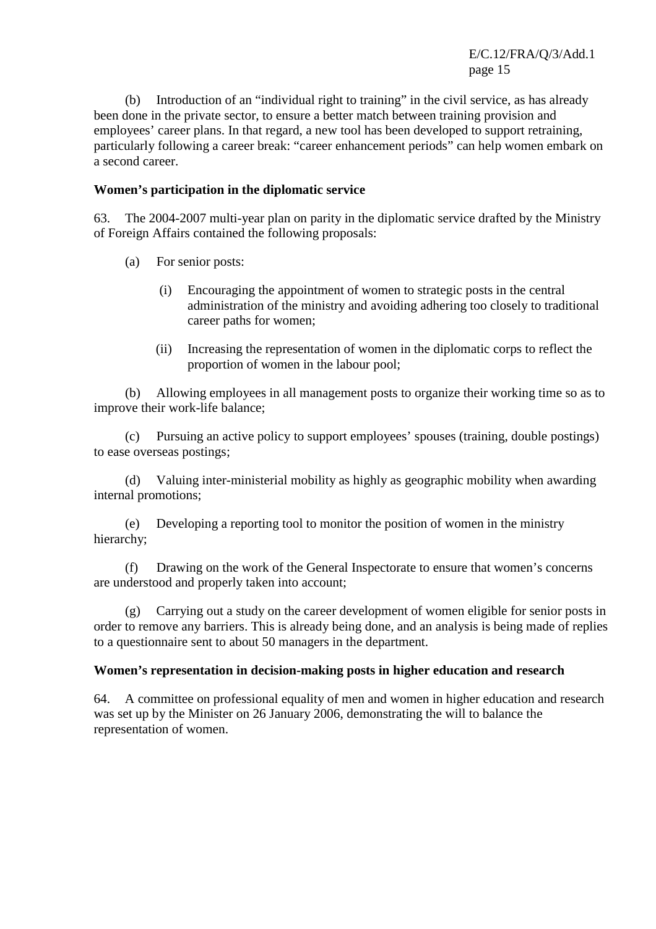(b) Introduction of an "individual right to training" in the civil service, as has already been done in the private sector, to ensure a better match between training provision and employees' career plans. In that regard, a new tool has been developed to support retraining, particularly following a career break: "career enhancement periods" can help women embark on a second career.

## **Women's participation in the diplomatic service**

63. The 2004-2007 multi-year plan on parity in the diplomatic service drafted by the Ministry of Foreign Affairs contained the following proposals:

- (a) For senior posts:
	- (i) Encouraging the appointment of women to strategic posts in the central administration of the ministry and avoiding adhering too closely to traditional career paths for women;
	- (ii) Increasing the representation of women in the diplomatic corps to reflect the proportion of women in the labour pool;

 (b) Allowing employees in all management posts to organize their working time so as to improve their work-life balance;

 (c) Pursuing an active policy to support employees' spouses (training, double postings) to ease overseas postings;

 (d) Valuing inter-ministerial mobility as highly as geographic mobility when awarding internal promotions;

 (e) Developing a reporting tool to monitor the position of women in the ministry hierarchy;

 (f) Drawing on the work of the General Inspectorate to ensure that women's concerns are understood and properly taken into account;

 (g) Carrying out a study on the career development of women eligible for senior posts in order to remove any barriers. This is already being done, and an analysis is being made of replies to a questionnaire sent to about 50 managers in the department.

#### **Women's representation in decision-making posts in higher education and research**

64. A committee on professional equality of men and women in higher education and research was set up by the Minister on 26 January 2006, demonstrating the will to balance the representation of women.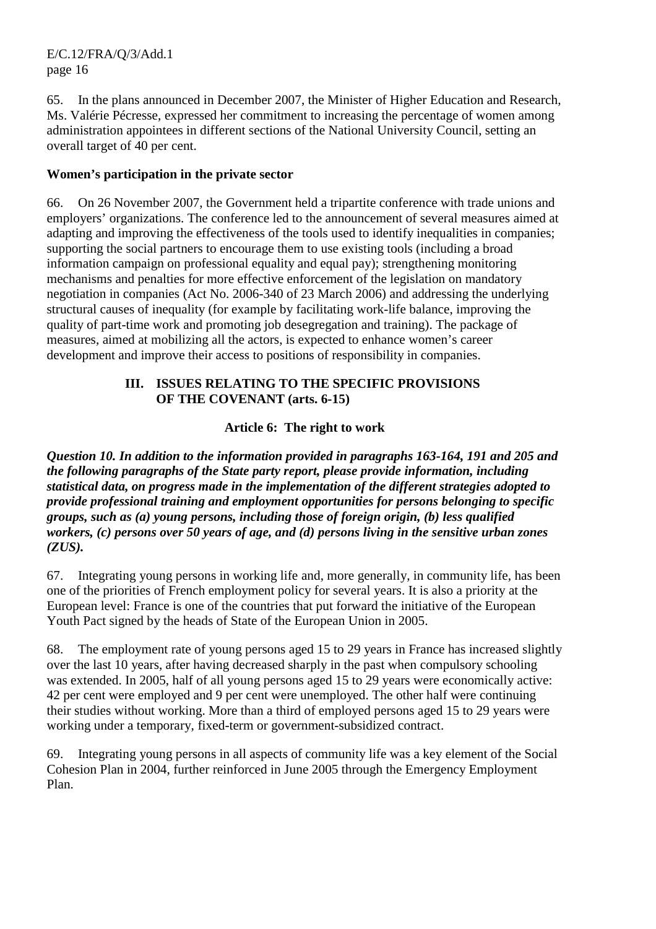65. In the plans announced in December 2007, the Minister of Higher Education and Research, Ms. Valérie Pécresse, expressed her commitment to increasing the percentage of women among administration appointees in different sections of the National University Council, setting an overall target of 40 per cent.

# **Women's participation in the private sector**

66. On 26 November 2007, the Government held a tripartite conference with trade unions and employers' organizations. The conference led to the announcement of several measures aimed at adapting and improving the effectiveness of the tools used to identify inequalities in companies; supporting the social partners to encourage them to use existing tools (including a broad information campaign on professional equality and equal pay); strengthening monitoring mechanisms and penalties for more effective enforcement of the legislation on mandatory negotiation in companies (Act No. 2006-340 of 23 March 2006) and addressing the underlying structural causes of inequality (for example by facilitating work-life balance, improving the quality of part-time work and promoting job desegregation and training). The package of measures, aimed at mobilizing all the actors, is expected to enhance women's career development and improve their access to positions of responsibility in companies.

# **III. ISSUES RELATING TO THE SPECIFIC PROVISIONS OF THE COVENANT (arts. 6-15)**

# **Article 6: The right to work**

*Question 10. In addition to the information provided in paragraphs 163-164, 191 and 205 and the following paragraphs of the State party report, please provide information, including statistical data, on progress made in the implementation of the different strategies adopted to provide professional training and employment opportunities for persons belonging to specific groups, such as (a) young persons, including those of foreign origin, (b) less qualified workers, (c) persons over 50 years of age, and (d) persons living in the sensitive urban zones (ZUS).* 

67. Integrating young persons in working life and, more generally, in community life, has been one of the priorities of French employment policy for several years. It is also a priority at the European level: France is one of the countries that put forward the initiative of the European Youth Pact signed by the heads of State of the European Union in 2005.

68. The employment rate of young persons aged 15 to 29 years in France has increased slightly over the last 10 years, after having decreased sharply in the past when compulsory schooling was extended. In 2005, half of all young persons aged 15 to 29 years were economically active: 42 per cent were employed and 9 per cent were unemployed. The other half were continuing their studies without working. More than a third of employed persons aged 15 to 29 years were working under a temporary, fixed-term or government-subsidized contract.

69. Integrating young persons in all aspects of community life was a key element of the Social Cohesion Plan in 2004, further reinforced in June 2005 through the Emergency Employment Plan.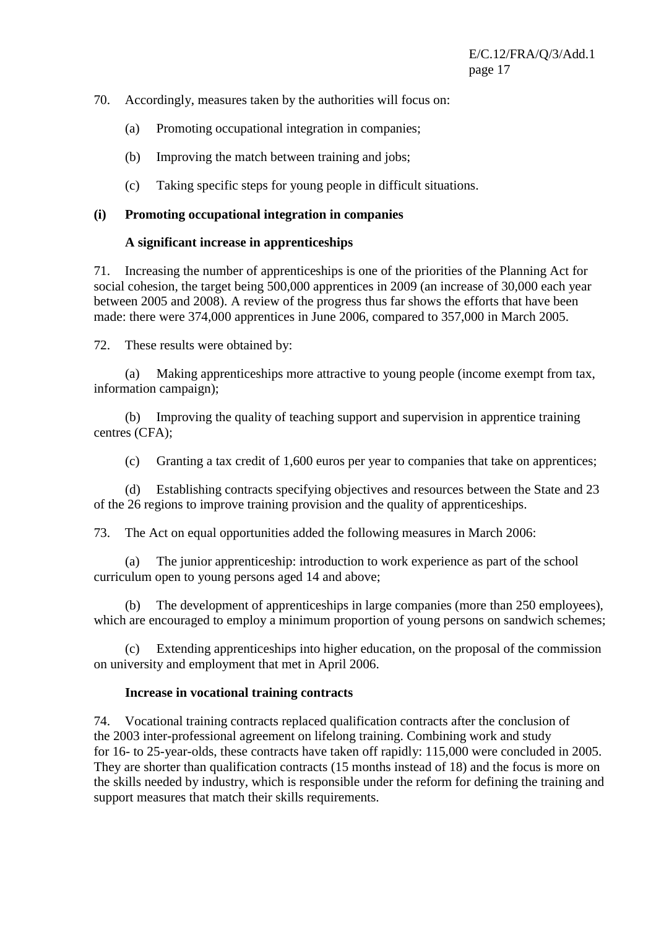#### 70. Accordingly, measures taken by the authorities will focus on:

- (a) Promoting occupational integration in companies;
- (b) Improving the match between training and jobs;
- (c) Taking specific steps for young people in difficult situations.

## **(i) Promoting occupational integration in companies**

## **A significant increase in apprenticeships**

71. Increasing the number of apprenticeships is one of the priorities of the Planning Act for social cohesion, the target being 500,000 apprentices in 2009 (an increase of 30,000 each year between 2005 and 2008). A review of the progress thus far shows the efforts that have been made: there were 374,000 apprentices in June 2006, compared to 357,000 in March 2005.

72. These results were obtained by:

 (a) Making apprenticeships more attractive to young people (income exempt from tax, information campaign);

 (b) Improving the quality of teaching support and supervision in apprentice training centres (CFA);

(c) Granting a tax credit of 1,600 euros per year to companies that take on apprentices;

 (d) Establishing contracts specifying objectives and resources between the State and 23 of the 26 regions to improve training provision and the quality of apprenticeships.

73. The Act on equal opportunities added the following measures in March 2006:

 (a) The junior apprenticeship: introduction to work experience as part of the school curriculum open to young persons aged 14 and above;

 (b) The development of apprenticeships in large companies (more than 250 employees), which are encouraged to employ a minimum proportion of young persons on sandwich schemes;

 (c) Extending apprenticeships into higher education, on the proposal of the commission on university and employment that met in April 2006.

## **Increase in vocational training contracts**

74. Vocational training contracts replaced qualification contracts after the conclusion of the 2003 inter-professional agreement on lifelong training. Combining work and study for 16- to 25-year-olds, these contracts have taken off rapidly: 115,000 were concluded in 2005. They are shorter than qualification contracts (15 months instead of 18) and the focus is more on the skills needed by industry, which is responsible under the reform for defining the training and support measures that match their skills requirements.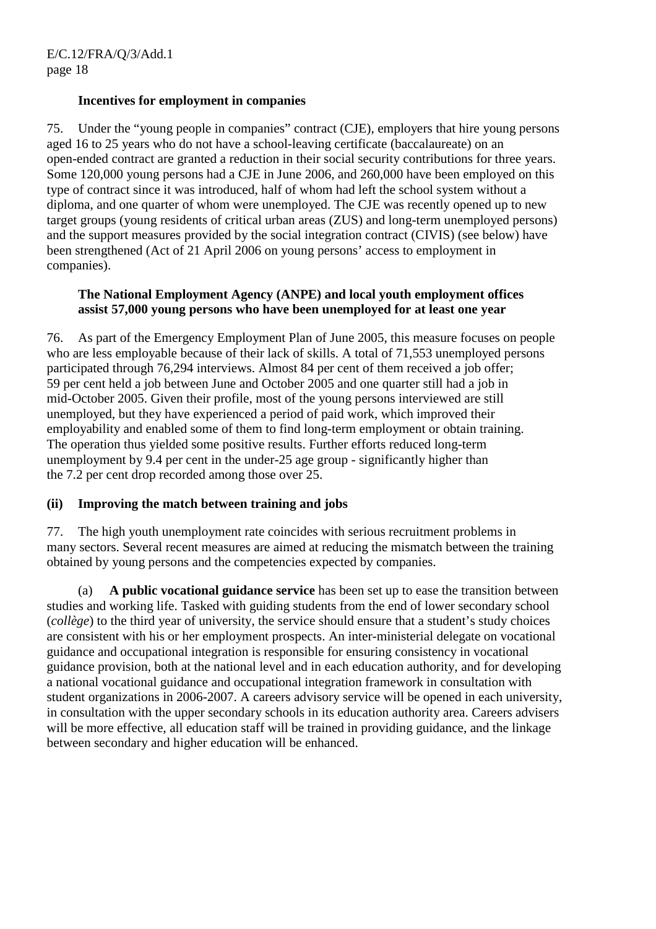#### **Incentives for employment in companies**

75. Under the "young people in companies" contract (CJE), employers that hire young persons aged 16 to 25 years who do not have a school-leaving certificate (baccalaureate) on an open-ended contract are granted a reduction in their social security contributions for three years. Some 120,000 young persons had a CJE in June 2006, and 260,000 have been employed on this type of contract since it was introduced, half of whom had left the school system without a diploma, and one quarter of whom were unemployed. The CJE was recently opened up to new target groups (young residents of critical urban areas (ZUS) and long-term unemployed persons) and the support measures provided by the social integration contract (CIVIS) (see below) have been strengthened (Act of 21 April 2006 on young persons' access to employment in companies).

## **The National Employment Agency (ANPE) and local youth employment offices assist 57,000 young persons who have been unemployed for at least one year**

76. As part of the Emergency Employment Plan of June 2005, this measure focuses on people who are less employable because of their lack of skills. A total of 71,553 unemployed persons participated through 76,294 interviews. Almost 84 per cent of them received a job offer; 59 per cent held a job between June and October 2005 and one quarter still had a job in mid-October 2005. Given their profile, most of the young persons interviewed are still unemployed, but they have experienced a period of paid work, which improved their employability and enabled some of them to find long-term employment or obtain training. The operation thus yielded some positive results. Further efforts reduced long-term unemployment by 9.4 per cent in the under-25 age group - significantly higher than the 7.2 per cent drop recorded among those over 25.

## **(ii) Improving the match between training and jobs**

77. The high youth unemployment rate coincides with serious recruitment problems in many sectors. Several recent measures are aimed at reducing the mismatch between the training obtained by young persons and the competencies expected by companies.

 (a) **A public vocational guidance service** has been set up to ease the transition between studies and working life. Tasked with guiding students from the end of lower secondary school (*collège*) to the third year of university, the service should ensure that a student's study choices are consistent with his or her employment prospects. An inter-ministerial delegate on vocational guidance and occupational integration is responsible for ensuring consistency in vocational guidance provision, both at the national level and in each education authority, and for developing a national vocational guidance and occupational integration framework in consultation with student organizations in 2006-2007. A careers advisory service will be opened in each university, in consultation with the upper secondary schools in its education authority area. Careers advisers will be more effective, all education staff will be trained in providing guidance, and the linkage between secondary and higher education will be enhanced.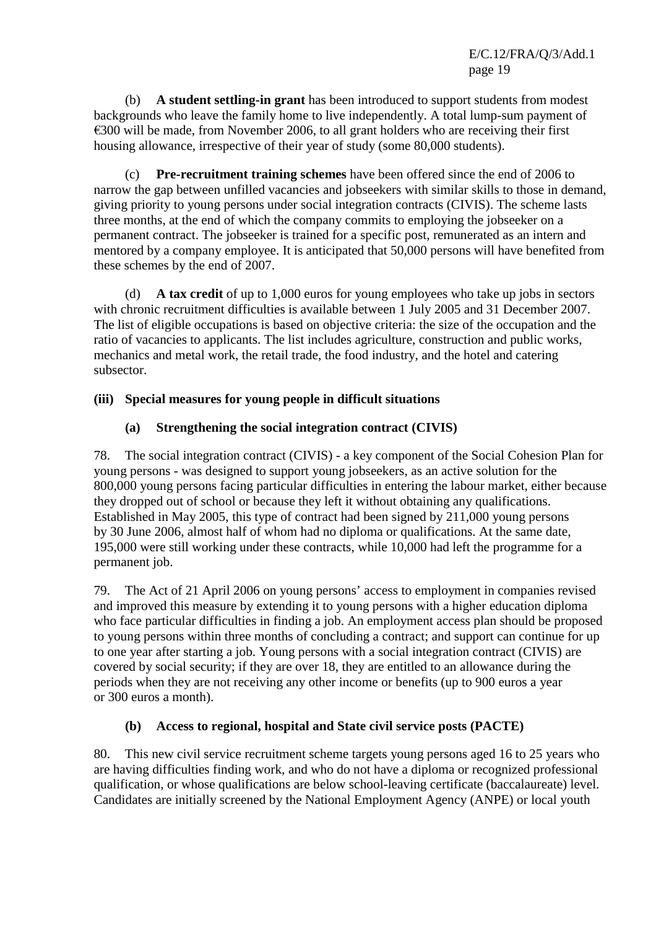(b) **A student settling-in grant** has been introduced to support students from modest backgrounds who leave the family home to live independently. A total lump-sum payment of  $\epsilon$ 300 will be made, from November 2006, to all grant holders who are receiving their first housing allowance, irrespective of their year of study (some 80,000 students).

 (c) **Pre-recruitment training schemes** have been offered since the end of 2006 to narrow the gap between unfilled vacancies and jobseekers with similar skills to those in demand, giving priority to young persons under social integration contracts (CIVIS). The scheme lasts three months, at the end of which the company commits to employing the jobseeker on a permanent contract. The jobseeker is trained for a specific post, remunerated as an intern and mentored by a company employee. It is anticipated that 50,000 persons will have benefited from these schemes by the end of 2007.

 (d) **A tax credit** of up to 1,000 euros for young employees who take up jobs in sectors with chronic recruitment difficulties is available between 1 July 2005 and 31 December 2007. The list of eligible occupations is based on objective criteria: the size of the occupation and the ratio of vacancies to applicants. The list includes agriculture, construction and public works, mechanics and metal work, the retail trade, the food industry, and the hotel and catering subsector.

# **(iii) Special measures for young people in difficult situations**

# **(a) Strengthening the social integration contract (CIVIS)**

78. The social integration contract (CIVIS) - a key component of the Social Cohesion Plan for young persons - was designed to support young jobseekers, as an active solution for the 800,000 young persons facing particular difficulties in entering the labour market, either because they dropped out of school or because they left it without obtaining any qualifications. Established in May 2005, this type of contract had been signed by 211,000 young persons by 30 June 2006, almost half of whom had no diploma or qualifications. At the same date, 195,000 were still working under these contracts, while 10,000 had left the programme for a permanent job.

79. The Act of 21 April 2006 on young persons' access to employment in companies revised and improved this measure by extending it to young persons with a higher education diploma who face particular difficulties in finding a job. An employment access plan should be proposed to young persons within three months of concluding a contract; and support can continue for up to one year after starting a job. Young persons with a social integration contract (CIVIS) are covered by social security; if they are over 18, they are entitled to an allowance during the periods when they are not receiving any other income or benefits (up to 900 euros a year or 300 euros a month).

## **(b) Access to regional, hospital and State civil service posts (PACTE)**

80. This new civil service recruitment scheme targets young persons aged 16 to 25 years who are having difficulties finding work, and who do not have a diploma or recognized professional qualification, or whose qualifications are below school-leaving certificate (baccalaureate) level. Candidates are initially screened by the National Employment Agency (ANPE) or local youth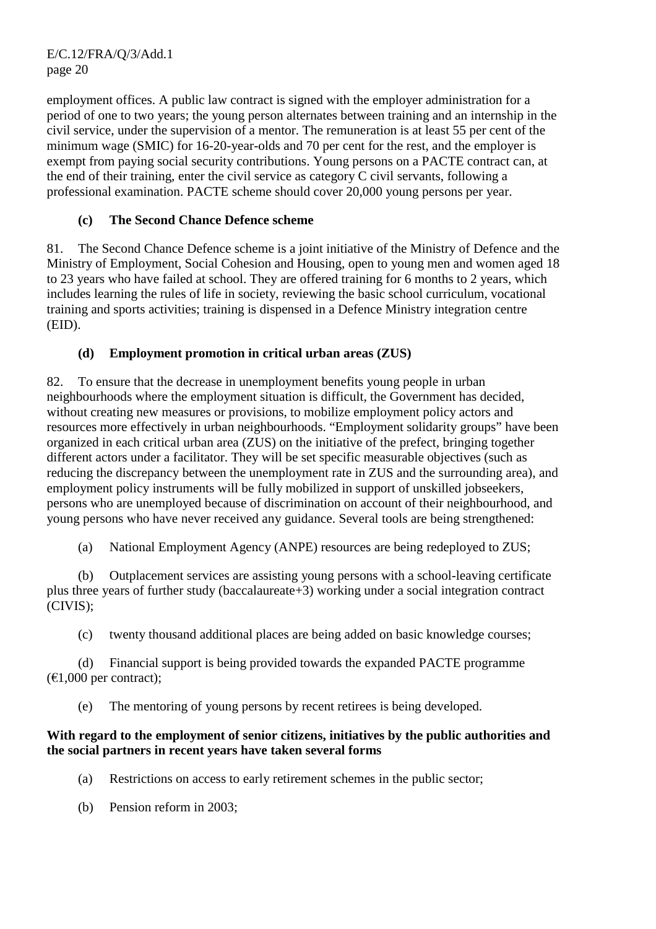employment offices. A public law contract is signed with the employer administration for a period of one to two years; the young person alternates between training and an internship in the civil service, under the supervision of a mentor. The remuneration is at least 55 per cent of the minimum wage (SMIC) for 16-20-year-olds and 70 per cent for the rest, and the employer is exempt from paying social security contributions. Young persons on a PACTE contract can, at the end of their training, enter the civil service as category C civil servants, following a professional examination. PACTE scheme should cover 20,000 young persons per year.

# **(c) The Second Chance Defence scheme**

81. The Second Chance Defence scheme is a joint initiative of the Ministry of Defence and the Ministry of Employment, Social Cohesion and Housing, open to young men and women aged 18 to 23 years who have failed at school. They are offered training for 6 months to 2 years, which includes learning the rules of life in society, reviewing the basic school curriculum, vocational training and sports activities; training is dispensed in a Defence Ministry integration centre (EID).

# **(d) Employment promotion in critical urban areas (ZUS)**

82. To ensure that the decrease in unemployment benefits young people in urban neighbourhoods where the employment situation is difficult, the Government has decided, without creating new measures or provisions, to mobilize employment policy actors and resources more effectively in urban neighbourhoods. "Employment solidarity groups" have been organized in each critical urban area (ZUS) on the initiative of the prefect, bringing together different actors under a facilitator. They will be set specific measurable objectives (such as reducing the discrepancy between the unemployment rate in ZUS and the surrounding area), and employment policy instruments will be fully mobilized in support of unskilled jobseekers, persons who are unemployed because of discrimination on account of their neighbourhood, and young persons who have never received any guidance. Several tools are being strengthened:

(a) National Employment Agency (ANPE) resources are being redeployed to ZUS;

 (b) Outplacement services are assisting young persons with a school-leaving certificate plus three years of further study (baccalaureate+3) working under a social integration contract (CIVIS);

(c) twenty thousand additional places are being added on basic knowledge courses;

 (d) Financial support is being provided towards the expanded PACTE programme  $(E1,000$  per contract);

(e) The mentoring of young persons by recent retirees is being developed.

#### **With regard to the employment of senior citizens, initiatives by the public authorities and the social partners in recent years have taken several forms**

- (a) Restrictions on access to early retirement schemes in the public sector;
- (b) Pension reform in 2003;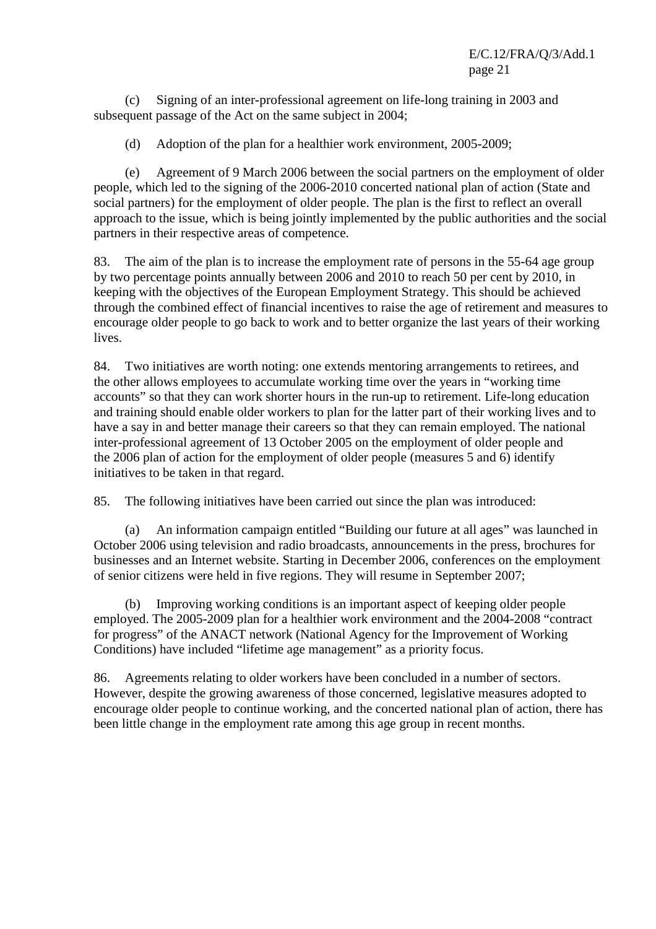(c) Signing of an inter-professional agreement on life-long training in 2003 and subsequent passage of the Act on the same subject in 2004;

(d) Adoption of the plan for a healthier work environment, 2005-2009;

 (e) Agreement of 9 March 2006 between the social partners on the employment of older people, which led to the signing of the 2006-2010 concerted national plan of action (State and social partners) for the employment of older people. The plan is the first to reflect an overall approach to the issue, which is being jointly implemented by the public authorities and the social partners in their respective areas of competence.

83. The aim of the plan is to increase the employment rate of persons in the 55-64 age group by two percentage points annually between 2006 and 2010 to reach 50 per cent by 2010, in keeping with the objectives of the European Employment Strategy. This should be achieved through the combined effect of financial incentives to raise the age of retirement and measures to encourage older people to go back to work and to better organize the last years of their working lives.

84. Two initiatives are worth noting: one extends mentoring arrangements to retirees, and the other allows employees to accumulate working time over the years in "working time accounts" so that they can work shorter hours in the run-up to retirement. Life-long education and training should enable older workers to plan for the latter part of their working lives and to have a say in and better manage their careers so that they can remain employed. The national inter-professional agreement of 13 October 2005 on the employment of older people and the 2006 plan of action for the employment of older people (measures 5 and 6) identify initiatives to be taken in that regard.

85. The following initiatives have been carried out since the plan was introduced:

 (a) An information campaign entitled "Building our future at all ages" was launched in October 2006 using television and radio broadcasts, announcements in the press, brochures for businesses and an Internet website. Starting in December 2006, conferences on the employment of senior citizens were held in five regions. They will resume in September 2007;

 (b) Improving working conditions is an important aspect of keeping older people employed. The 2005-2009 plan for a healthier work environment and the 2004-2008 "contract for progress" of the ANACT network (National Agency for the Improvement of Working Conditions) have included "lifetime age management" as a priority focus.

86. Agreements relating to older workers have been concluded in a number of sectors. However, despite the growing awareness of those concerned, legislative measures adopted to encourage older people to continue working, and the concerted national plan of action, there has been little change in the employment rate among this age group in recent months.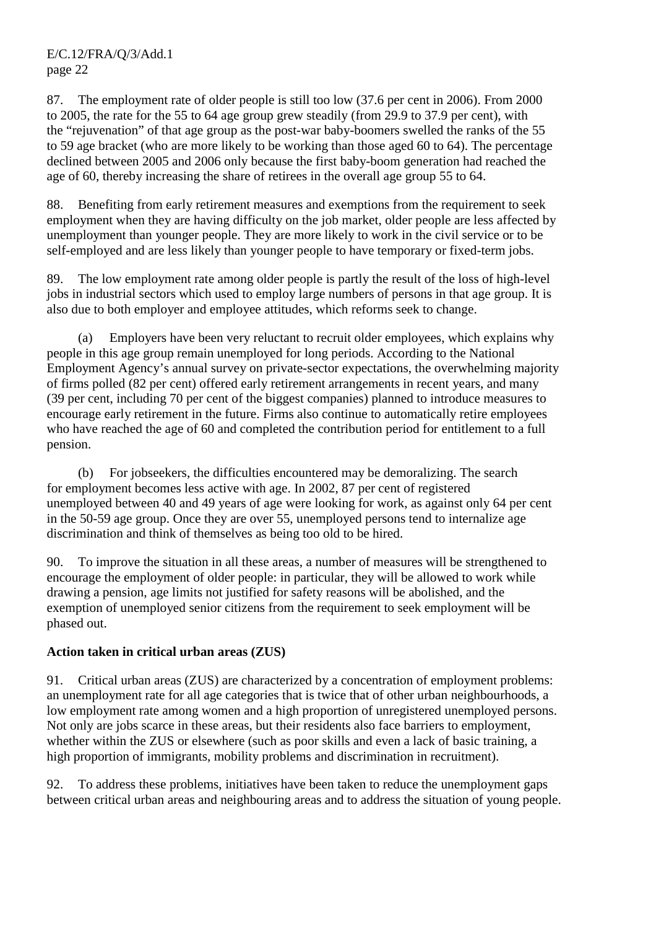87. The employment rate of older people is still too low (37.6 per cent in 2006). From 2000 to 2005, the rate for the 55 to 64 age group grew steadily (from 29.9 to 37.9 per cent), with the "rejuvenation" of that age group as the post-war baby-boomers swelled the ranks of the 55 to 59 age bracket (who are more likely to be working than those aged 60 to 64). The percentage declined between 2005 and 2006 only because the first baby-boom generation had reached the age of 60, thereby increasing the share of retirees in the overall age group 55 to 64.

88. Benefiting from early retirement measures and exemptions from the requirement to seek employment when they are having difficulty on the job market, older people are less affected by unemployment than younger people. They are more likely to work in the civil service or to be self-employed and are less likely than younger people to have temporary or fixed-term jobs.

89. The low employment rate among older people is partly the result of the loss of high-level jobs in industrial sectors which used to employ large numbers of persons in that age group. It is also due to both employer and employee attitudes, which reforms seek to change.

 (a) Employers have been very reluctant to recruit older employees, which explains why people in this age group remain unemployed for long periods. According to the National Employment Agency's annual survey on private-sector expectations, the overwhelming majority of firms polled (82 per cent) offered early retirement arrangements in recent years, and many (39 per cent, including 70 per cent of the biggest companies) planned to introduce measures to encourage early retirement in the future. Firms also continue to automatically retire employees who have reached the age of 60 and completed the contribution period for entitlement to a full pension.

 (b) For jobseekers, the difficulties encountered may be demoralizing. The search for employment becomes less active with age. In 2002, 87 per cent of registered unemployed between 40 and 49 years of age were looking for work, as against only 64 per cent in the 50-59 age group. Once they are over 55, unemployed persons tend to internalize age discrimination and think of themselves as being too old to be hired.

90. To improve the situation in all these areas, a number of measures will be strengthened to encourage the employment of older people: in particular, they will be allowed to work while drawing a pension, age limits not justified for safety reasons will be abolished, and the exemption of unemployed senior citizens from the requirement to seek employment will be phased out.

## **Action taken in critical urban areas (ZUS)**

91. Critical urban areas (ZUS) are characterized by a concentration of employment problems: an unemployment rate for all age categories that is twice that of other urban neighbourhoods, a low employment rate among women and a high proportion of unregistered unemployed persons. Not only are jobs scarce in these areas, but their residents also face barriers to employment, whether within the ZUS or elsewhere (such as poor skills and even a lack of basic training, a high proportion of immigrants, mobility problems and discrimination in recruitment).

92. To address these problems, initiatives have been taken to reduce the unemployment gaps between critical urban areas and neighbouring areas and to address the situation of young people.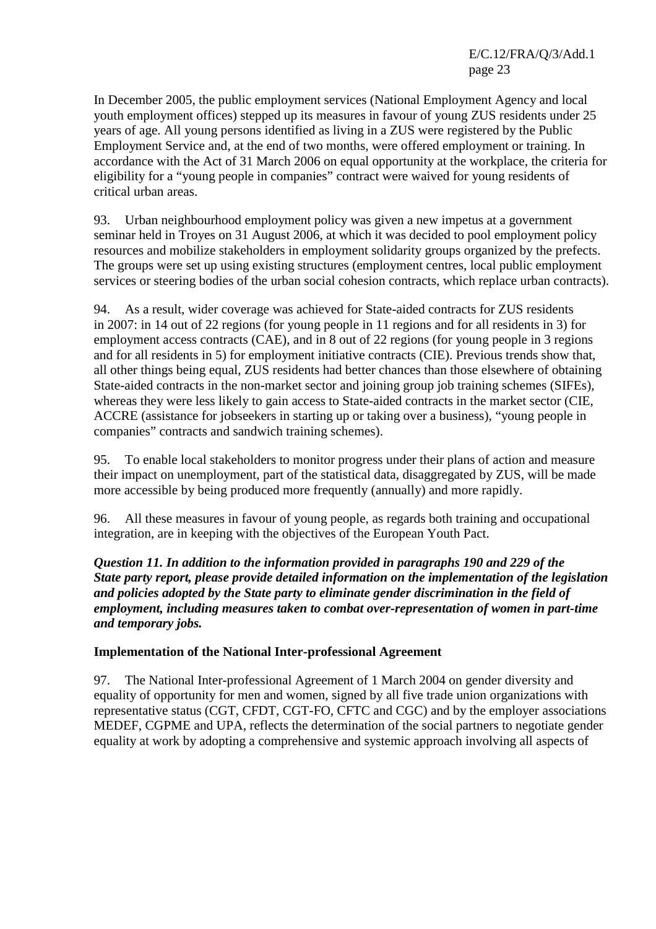In December 2005, the public employment services (National Employment Agency and local youth employment offices) stepped up its measures in favour of young ZUS residents under 25 years of age. All young persons identified as living in a ZUS were registered by the Public Employment Service and, at the end of two months, were offered employment or training. In accordance with the Act of 31 March 2006 on equal opportunity at the workplace, the criteria for eligibility for a "young people in companies" contract were waived for young residents of critical urban areas.

93. Urban neighbourhood employment policy was given a new impetus at a government seminar held in Troyes on 31 August 2006, at which it was decided to pool employment policy resources and mobilize stakeholders in employment solidarity groups organized by the prefects. The groups were set up using existing structures (employment centres, local public employment services or steering bodies of the urban social cohesion contracts, which replace urban contracts).

94. As a result, wider coverage was achieved for State-aided contracts for ZUS residents in 2007: in 14 out of 22 regions (for young people in 11 regions and for all residents in 3) for employment access contracts (CAE), and in 8 out of 22 regions (for young people in 3 regions and for all residents in 5) for employment initiative contracts (CIE). Previous trends show that, all other things being equal, ZUS residents had better chances than those elsewhere of obtaining State-aided contracts in the non-market sector and joining group job training schemes (SIFEs), whereas they were less likely to gain access to State-aided contracts in the market sector (CIE, ACCRE (assistance for jobseekers in starting up or taking over a business), "young people in companies" contracts and sandwich training schemes).

95. To enable local stakeholders to monitor progress under their plans of action and measure their impact on unemployment, part of the statistical data, disaggregated by ZUS, will be made more accessible by being produced more frequently (annually) and more rapidly.

96. All these measures in favour of young people, as regards both training and occupational integration, are in keeping with the objectives of the European Youth Pact.

*Question 11. In addition to the information provided in paragraphs 190 and 229 of the State party report, please provide detailed information on the implementation of the legislation and policies adopted by the State party to eliminate gender discrimination in the field of employment, including measures taken to combat over-representation of women in part-time and temporary jobs.* 

#### **Implementation of the National Inter-professional Agreement**

97. The National Inter-professional Agreement of 1 March 2004 on gender diversity and equality of opportunity for men and women, signed by all five trade union organizations with representative status (CGT, CFDT, CGT-FO, CFTC and CGC) and by the employer associations MEDEF, CGPME and UPA, reflects the determination of the social partners to negotiate gender equality at work by adopting a comprehensive and systemic approach involving all aspects of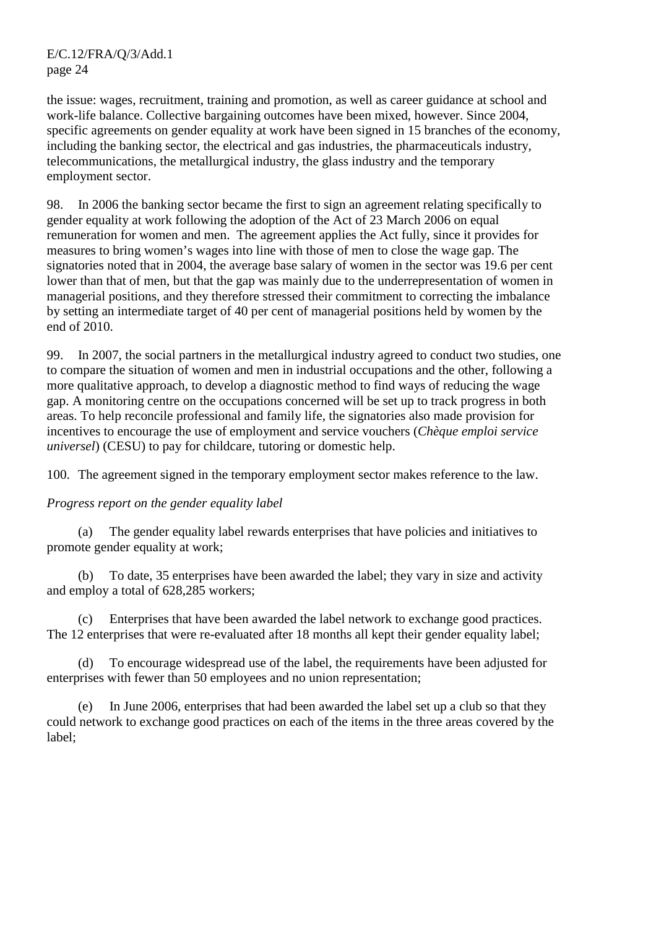the issue: wages, recruitment, training and promotion, as well as career guidance at school and work-life balance. Collective bargaining outcomes have been mixed, however. Since 2004, specific agreements on gender equality at work have been signed in 15 branches of the economy, including the banking sector, the electrical and gas industries, the pharmaceuticals industry, telecommunications, the metallurgical industry, the glass industry and the temporary employment sector.

98. In 2006 the banking sector became the first to sign an agreement relating specifically to gender equality at work following the adoption of the Act of 23 March 2006 on equal remuneration for women and men. The agreement applies the Act fully, since it provides for measures to bring women's wages into line with those of men to close the wage gap. The signatories noted that in 2004, the average base salary of women in the sector was 19.6 per cent lower than that of men, but that the gap was mainly due to the underrepresentation of women in managerial positions, and they therefore stressed their commitment to correcting the imbalance by setting an intermediate target of 40 per cent of managerial positions held by women by the end of 2010.

99. In 2007, the social partners in the metallurgical industry agreed to conduct two studies, one to compare the situation of women and men in industrial occupations and the other, following a more qualitative approach, to develop a diagnostic method to find ways of reducing the wage gap. A monitoring centre on the occupations concerned will be set up to track progress in both areas. To help reconcile professional and family life, the signatories also made provision for incentives to encourage the use of employment and service vouchers (*Chèque emploi service universel*) (CESU) to pay for childcare, tutoring or domestic help.

100. The agreement signed in the temporary employment sector makes reference to the law.

## *Progress report on the gender equality label*

 (a) The gender equality label rewards enterprises that have policies and initiatives to promote gender equality at work;

 (b) To date, 35 enterprises have been awarded the label; they vary in size and activity and employ a total of 628,285 workers;

 (c) Enterprises that have been awarded the label network to exchange good practices. The 12 enterprises that were re-evaluated after 18 months all kept their gender equality label;

 (d) To encourage widespread use of the label, the requirements have been adjusted for enterprises with fewer than 50 employees and no union representation;

 (e) In June 2006, enterprises that had been awarded the label set up a club so that they could network to exchange good practices on each of the items in the three areas covered by the label;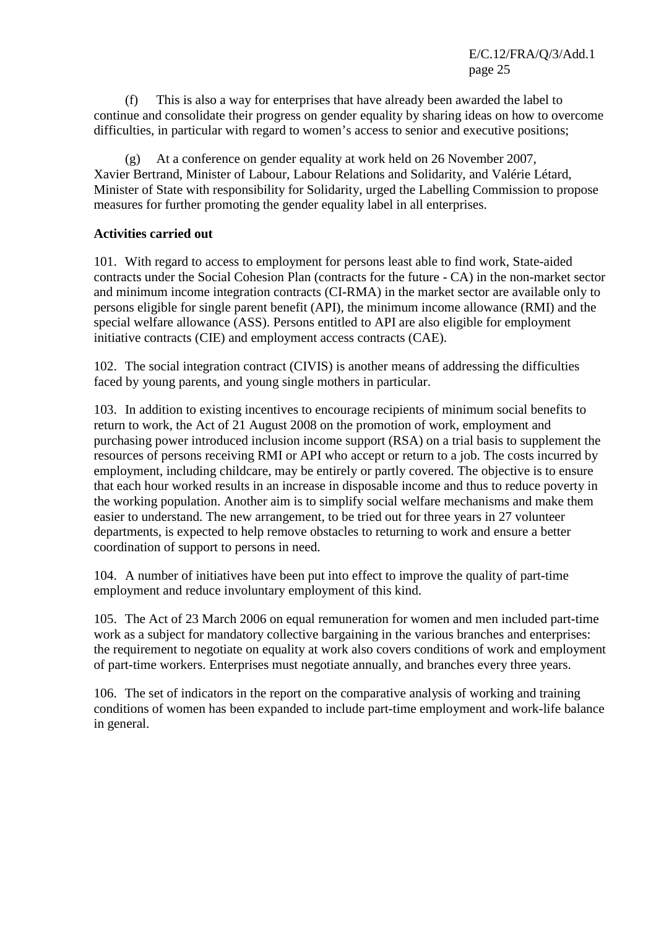(f) This is also a way for enterprises that have already been awarded the label to continue and consolidate their progress on gender equality by sharing ideas on how to overcome difficulties, in particular with regard to women's access to senior and executive positions;

 (g) At a conference on gender equality at work held on 26 November 2007, Xavier Bertrand, Minister of Labour, Labour Relations and Solidarity, and Valérie Létard, Minister of State with responsibility for Solidarity, urged the Labelling Commission to propose measures for further promoting the gender equality label in all enterprises.

#### **Activities carried out**

101. With regard to access to employment for persons least able to find work, State-aided contracts under the Social Cohesion Plan (contracts for the future - CA) in the non-market sector and minimum income integration contracts (CI-RMA) in the market sector are available only to persons eligible for single parent benefit (API), the minimum income allowance (RMI) and the special welfare allowance (ASS). Persons entitled to API are also eligible for employment initiative contracts (CIE) and employment access contracts (CAE).

102. The social integration contract (CIVIS) is another means of addressing the difficulties faced by young parents, and young single mothers in particular.

103. In addition to existing incentives to encourage recipients of minimum social benefits to return to work, the Act of 21 August 2008 on the promotion of work, employment and purchasing power introduced inclusion income support (RSA) on a trial basis to supplement the resources of persons receiving RMI or API who accept or return to a job. The costs incurred by employment, including childcare, may be entirely or partly covered. The objective is to ensure that each hour worked results in an increase in disposable income and thus to reduce poverty in the working population. Another aim is to simplify social welfare mechanisms and make them easier to understand. The new arrangement, to be tried out for three years in 27 volunteer departments, is expected to help remove obstacles to returning to work and ensure a better coordination of support to persons in need.

104. A number of initiatives have been put into effect to improve the quality of part-time employment and reduce involuntary employment of this kind.

105. The Act of 23 March 2006 on equal remuneration for women and men included part-time work as a subject for mandatory collective bargaining in the various branches and enterprises: the requirement to negotiate on equality at work also covers conditions of work and employment of part-time workers. Enterprises must negotiate annually, and branches every three years.

106. The set of indicators in the report on the comparative analysis of working and training conditions of women has been expanded to include part-time employment and work-life balance in general.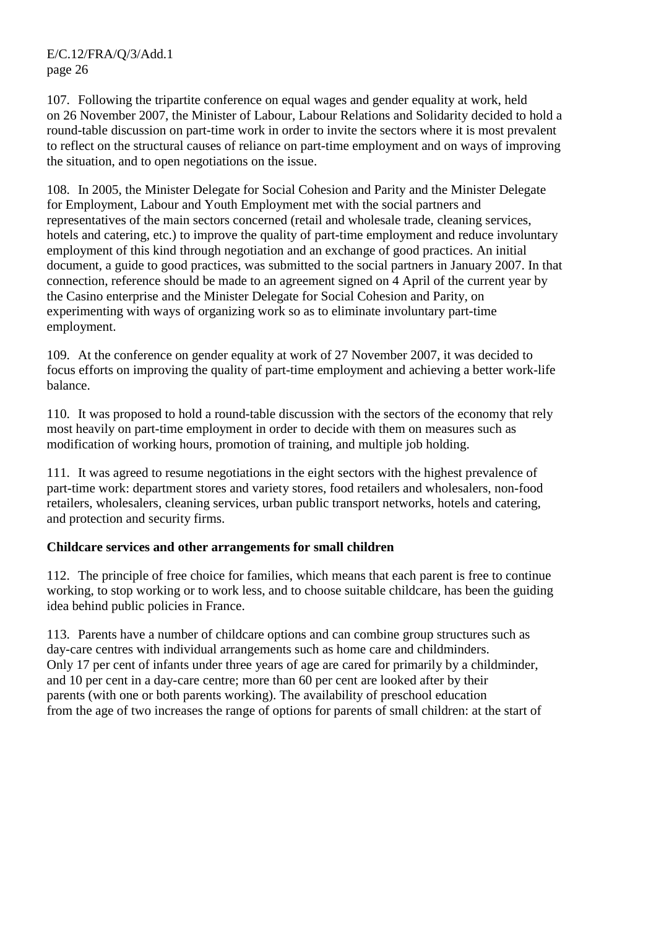107. Following the tripartite conference on equal wages and gender equality at work, held on 26 November 2007, the Minister of Labour, Labour Relations and Solidarity decided to hold a round-table discussion on part-time work in order to invite the sectors where it is most prevalent to reflect on the structural causes of reliance on part-time employment and on ways of improving the situation, and to open negotiations on the issue.

108. In 2005, the Minister Delegate for Social Cohesion and Parity and the Minister Delegate for Employment, Labour and Youth Employment met with the social partners and representatives of the main sectors concerned (retail and wholesale trade, cleaning services, hotels and catering, etc.) to improve the quality of part-time employment and reduce involuntary employment of this kind through negotiation and an exchange of good practices. An initial document, a guide to good practices, was submitted to the social partners in January 2007. In that connection, reference should be made to an agreement signed on 4 April of the current year by the Casino enterprise and the Minister Delegate for Social Cohesion and Parity, on experimenting with ways of organizing work so as to eliminate involuntary part-time employment.

109. At the conference on gender equality at work of 27 November 2007, it was decided to focus efforts on improving the quality of part-time employment and achieving a better work-life balance.

110. It was proposed to hold a round-table discussion with the sectors of the economy that rely most heavily on part-time employment in order to decide with them on measures such as modification of working hours, promotion of training, and multiple job holding.

111. It was agreed to resume negotiations in the eight sectors with the highest prevalence of part-time work: department stores and variety stores, food retailers and wholesalers, non-food retailers, wholesalers, cleaning services, urban public transport networks, hotels and catering, and protection and security firms.

## **Childcare services and other arrangements for small children**

112. The principle of free choice for families, which means that each parent is free to continue working, to stop working or to work less, and to choose suitable childcare, has been the guiding idea behind public policies in France.

113. Parents have a number of childcare options and can combine group structures such as day-care centres with individual arrangements such as home care and childminders. Only 17 per cent of infants under three years of age are cared for primarily by a childminder, and 10 per cent in a day-care centre; more than 60 per cent are looked after by their parents (with one or both parents working). The availability of preschool education from the age of two increases the range of options for parents of small children: at the start of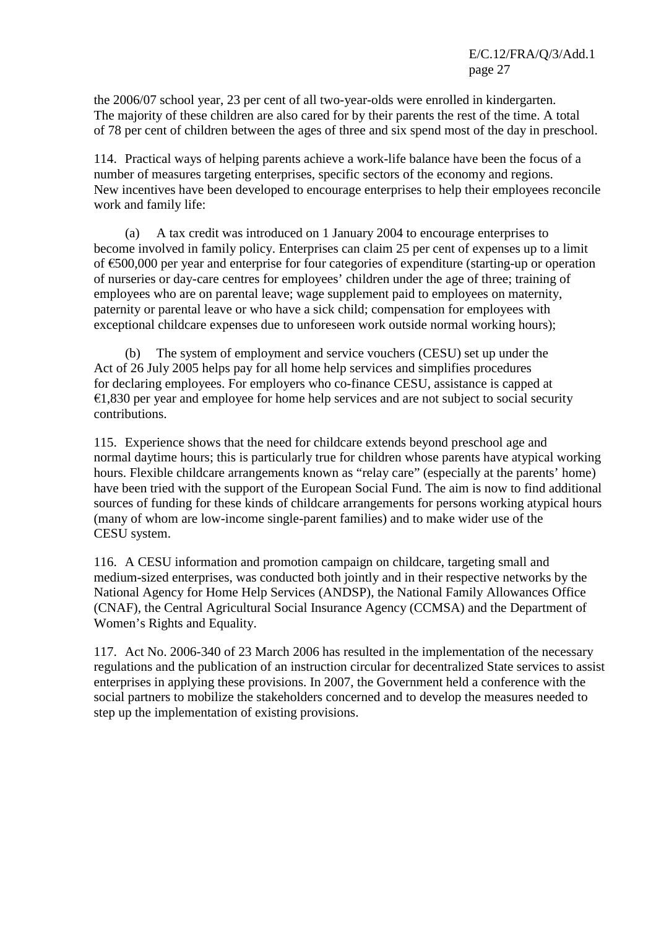the 2006/07 school year, 23 per cent of all two-year-olds were enrolled in kindergarten. The majority of these children are also cared for by their parents the rest of the time. A total of 78 per cent of children between the ages of three and six spend most of the day in preschool.

114. Practical ways of helping parents achieve a work-life balance have been the focus of a number of measures targeting enterprises, specific sectors of the economy and regions. New incentives have been developed to encourage enterprises to help their employees reconcile work and family life:

 (a) A tax credit was introduced on 1 January 2004 to encourage enterprises to become involved in family policy. Enterprises can claim 25 per cent of expenses up to a limit of €500,000 per year and enterprise for four categories of expenditure (starting-up or operation of nurseries or day-care centres for employees' children under the age of three; training of employees who are on parental leave; wage supplement paid to employees on maternity, paternity or parental leave or who have a sick child; compensation for employees with exceptional childcare expenses due to unforeseen work outside normal working hours);

 (b) The system of employment and service vouchers (CESU) set up under the Act of 26 July 2005 helps pay for all home help services and simplifies procedures for declaring employees. For employers who co-finance CESU, assistance is capped at  $€1,830$  per year and employee for home help services and are not subject to social security contributions.

115. Experience shows that the need for childcare extends beyond preschool age and normal daytime hours; this is particularly true for children whose parents have atypical working hours. Flexible childcare arrangements known as "relay care" (especially at the parents' home) have been tried with the support of the European Social Fund. The aim is now to find additional sources of funding for these kinds of childcare arrangements for persons working atypical hours (many of whom are low-income single-parent families) and to make wider use of the CESU system.

116. A CESU information and promotion campaign on childcare, targeting small and medium-sized enterprises, was conducted both jointly and in their respective networks by the National Agency for Home Help Services (ANDSP), the National Family Allowances Office (CNAF), the Central Agricultural Social Insurance Agency (CCMSA) and the Department of Women's Rights and Equality.

117. Act No. 2006-340 of 23 March 2006 has resulted in the implementation of the necessary regulations and the publication of an instruction circular for decentralized State services to assist enterprises in applying these provisions. In 2007, the Government held a conference with the social partners to mobilize the stakeholders concerned and to develop the measures needed to step up the implementation of existing provisions.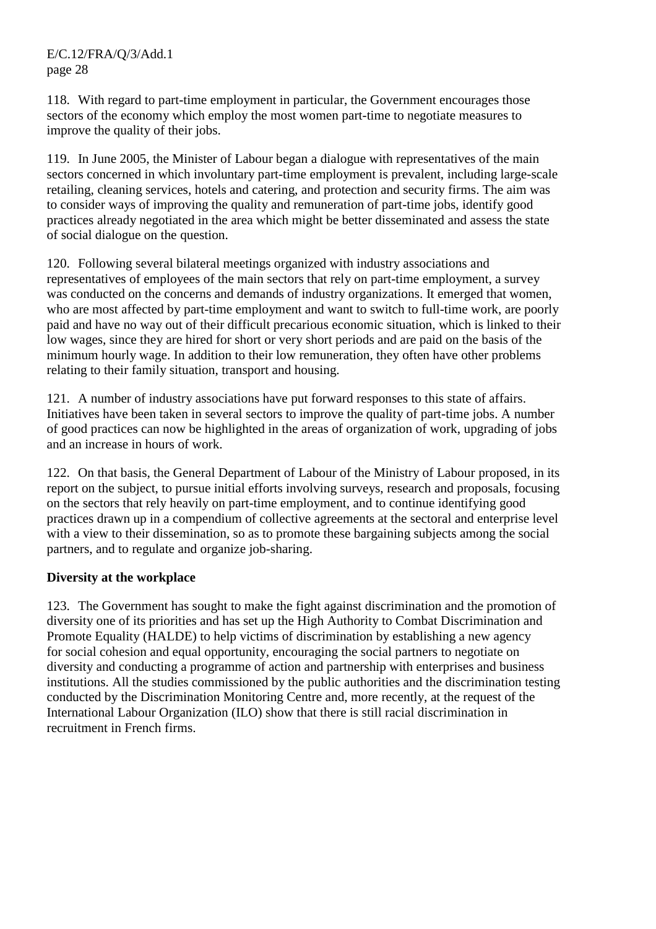118. With regard to part-time employment in particular, the Government encourages those sectors of the economy which employ the most women part-time to negotiate measures to improve the quality of their jobs.

119. In June 2005, the Minister of Labour began a dialogue with representatives of the main sectors concerned in which involuntary part-time employment is prevalent, including large-scale retailing, cleaning services, hotels and catering, and protection and security firms. The aim was to consider ways of improving the quality and remuneration of part-time jobs, identify good practices already negotiated in the area which might be better disseminated and assess the state of social dialogue on the question.

120. Following several bilateral meetings organized with industry associations and representatives of employees of the main sectors that rely on part-time employment, a survey was conducted on the concerns and demands of industry organizations. It emerged that women, who are most affected by part-time employment and want to switch to full-time work, are poorly paid and have no way out of their difficult precarious economic situation, which is linked to their low wages, since they are hired for short or very short periods and are paid on the basis of the minimum hourly wage. In addition to their low remuneration, they often have other problems relating to their family situation, transport and housing.

121. A number of industry associations have put forward responses to this state of affairs. Initiatives have been taken in several sectors to improve the quality of part-time jobs. A number of good practices can now be highlighted in the areas of organization of work, upgrading of jobs and an increase in hours of work.

122. On that basis, the General Department of Labour of the Ministry of Labour proposed, in its report on the subject, to pursue initial efforts involving surveys, research and proposals, focusing on the sectors that rely heavily on part-time employment, and to continue identifying good practices drawn up in a compendium of collective agreements at the sectoral and enterprise level with a view to their dissemination, so as to promote these bargaining subjects among the social partners, and to regulate and organize job-sharing.

## **Diversity at the workplace**

123. The Government has sought to make the fight against discrimination and the promotion of diversity one of its priorities and has set up the High Authority to Combat Discrimination and Promote Equality (HALDE) to help victims of discrimination by establishing a new agency for social cohesion and equal opportunity, encouraging the social partners to negotiate on diversity and conducting a programme of action and partnership with enterprises and business institutions. All the studies commissioned by the public authorities and the discrimination testing conducted by the Discrimination Monitoring Centre and, more recently, at the request of the International Labour Organization (ILO) show that there is still racial discrimination in recruitment in French firms.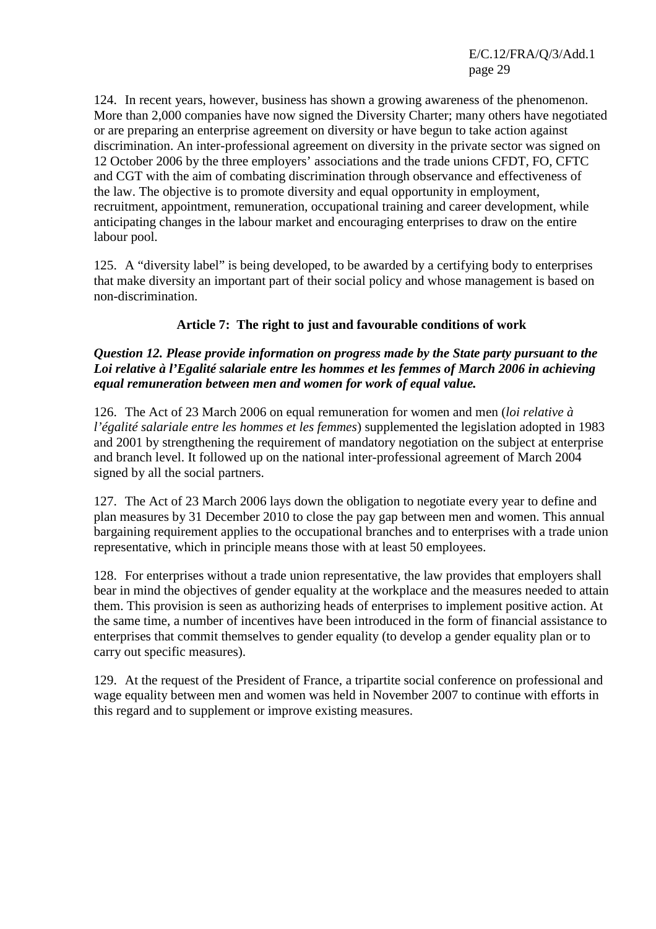124. In recent years, however, business has shown a growing awareness of the phenomenon. More than 2,000 companies have now signed the Diversity Charter; many others have negotiated or are preparing an enterprise agreement on diversity or have begun to take action against discrimination. An inter-professional agreement on diversity in the private sector was signed on 12 October 2006 by the three employers' associations and the trade unions CFDT, FO, CFTC and CGT with the aim of combating discrimination through observance and effectiveness of the law. The objective is to promote diversity and equal opportunity in employment, recruitment, appointment, remuneration, occupational training and career development, while anticipating changes in the labour market and encouraging enterprises to draw on the entire labour pool.

125. A "diversity label" is being developed, to be awarded by a certifying body to enterprises that make diversity an important part of their social policy and whose management is based on non-discrimination.

# **Article 7: The right to just and favourable conditions of work**

## *Question 12. Please provide information on progress made by the State party pursuant to the Loi relative à l'Egalité salariale entre les hommes et les femmes of March 2006 in achieving equal remuneration between men and women for work of equal value.*

126. The Act of 23 March 2006 on equal remuneration for women and men (*loi relative à l'égalité salariale entre les hommes et les femmes*) supplemented the legislation adopted in 1983 and 2001 by strengthening the requirement of mandatory negotiation on the subject at enterprise and branch level. It followed up on the national inter-professional agreement of March 2004 signed by all the social partners.

127. The Act of 23 March 2006 lays down the obligation to negotiate every year to define and plan measures by 31 December 2010 to close the pay gap between men and women. This annual bargaining requirement applies to the occupational branches and to enterprises with a trade union representative, which in principle means those with at least 50 employees.

128. For enterprises without a trade union representative, the law provides that employers shall bear in mind the objectives of gender equality at the workplace and the measures needed to attain them. This provision is seen as authorizing heads of enterprises to implement positive action. At the same time, a number of incentives have been introduced in the form of financial assistance to enterprises that commit themselves to gender equality (to develop a gender equality plan or to carry out specific measures).

129. At the request of the President of France, a tripartite social conference on professional and wage equality between men and women was held in November 2007 to continue with efforts in this regard and to supplement or improve existing measures.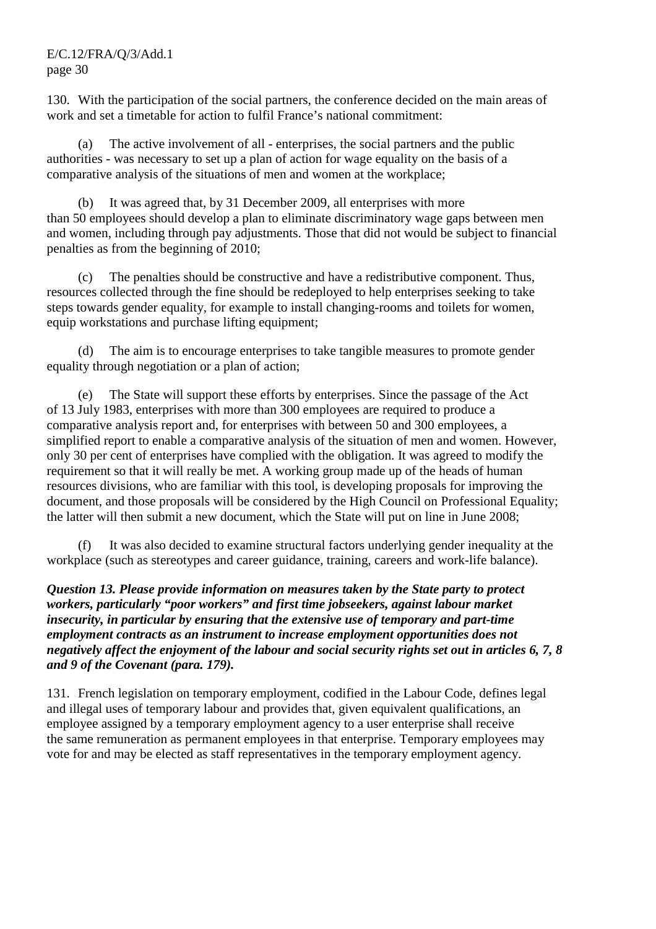130. With the participation of the social partners, the conference decided on the main areas of work and set a timetable for action to fulfil France's national commitment:

 (a) The active involvement of all - enterprises, the social partners and the public authorities - was necessary to set up a plan of action for wage equality on the basis of a comparative analysis of the situations of men and women at the workplace;

 (b) It was agreed that, by 31 December 2009, all enterprises with more than 50 employees should develop a plan to eliminate discriminatory wage gaps between men and women, including through pay adjustments. Those that did not would be subject to financial penalties as from the beginning of 2010;

 (c) The penalties should be constructive and have a redistributive component. Thus, resources collected through the fine should be redeployed to help enterprises seeking to take steps towards gender equality, for example to install changing-rooms and toilets for women, equip workstations and purchase lifting equipment;

 (d) The aim is to encourage enterprises to take tangible measures to promote gender equality through negotiation or a plan of action;

 (e) The State will support these efforts by enterprises. Since the passage of the Act of 13 July 1983, enterprises with more than 300 employees are required to produce a comparative analysis report and, for enterprises with between 50 and 300 employees, a simplified report to enable a comparative analysis of the situation of men and women. However, only 30 per cent of enterprises have complied with the obligation. It was agreed to modify the requirement so that it will really be met. A working group made up of the heads of human resources divisions, who are familiar with this tool, is developing proposals for improving the document, and those proposals will be considered by the High Council on Professional Equality; the latter will then submit a new document, which the State will put on line in June 2008;

 (f) It was also decided to examine structural factors underlying gender inequality at the workplace (such as stereotypes and career guidance, training, careers and work-life balance).

*Question 13. Please provide information on measures taken by the State party to protect workers, particularly "poor workers" and first time jobseekers, against labour market insecurity, in particular by ensuring that the extensive use of temporary and part-time employment contracts as an instrument to increase employment opportunities does not negatively affect the enjoyment of the labour and social security rights set out in articles 6, 7, 8 and 9 of the Covenant (para. 179).* 

131. French legislation on temporary employment, codified in the Labour Code, defines legal and illegal uses of temporary labour and provides that, given equivalent qualifications, an employee assigned by a temporary employment agency to a user enterprise shall receive the same remuneration as permanent employees in that enterprise. Temporary employees may vote for and may be elected as staff representatives in the temporary employment agency.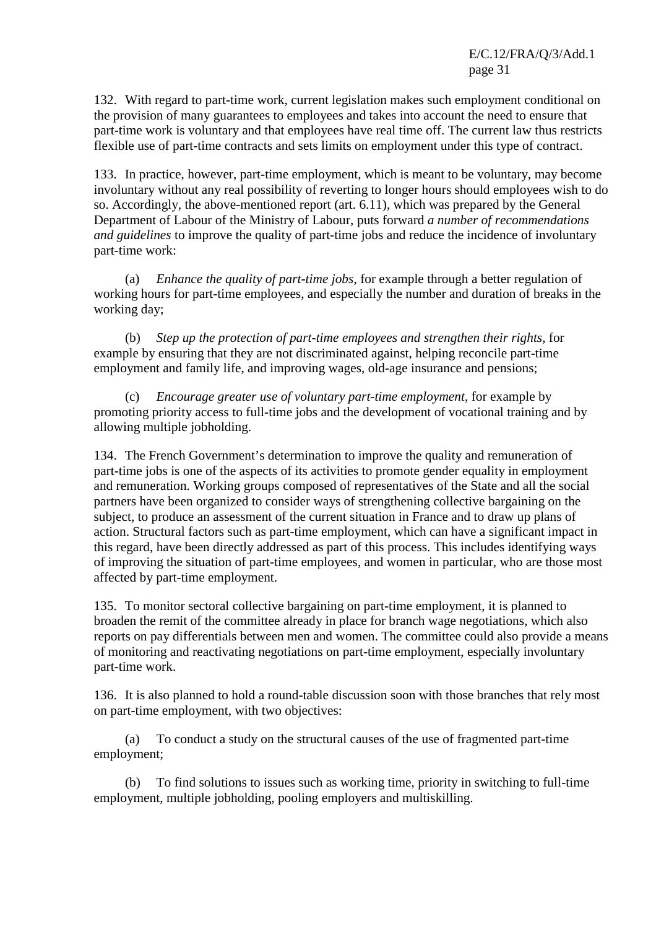132. With regard to part-time work, current legislation makes such employment conditional on the provision of many guarantees to employees and takes into account the need to ensure that part-time work is voluntary and that employees have real time off. The current law thus restricts flexible use of part-time contracts and sets limits on employment under this type of contract.

133. In practice, however, part-time employment, which is meant to be voluntary, may become involuntary without any real possibility of reverting to longer hours should employees wish to do so. Accordingly, the above-mentioned report (art. 6.11), which was prepared by the General Department of Labour of the Ministry of Labour, puts forward *a number of recommendations and guidelines* to improve the quality of part-time jobs and reduce the incidence of involuntary part-time work:

 (a) *Enhance the quality of part-time jobs*, for example through a better regulation of working hours for part-time employees, and especially the number and duration of breaks in the working day;

 (b) *Step up the protection of part-time employees and strengthen their rights*, for example by ensuring that they are not discriminated against, helping reconcile part-time employment and family life, and improving wages, old-age insurance and pensions;

 (c) *Encourage greater use of voluntary part-time employment*, for example by promoting priority access to full-time jobs and the development of vocational training and by allowing multiple jobholding.

134. The French Government's determination to improve the quality and remuneration of part-time jobs is one of the aspects of its activities to promote gender equality in employment and remuneration. Working groups composed of representatives of the State and all the social partners have been organized to consider ways of strengthening collective bargaining on the subject, to produce an assessment of the current situation in France and to draw up plans of action. Structural factors such as part-time employment, which can have a significant impact in this regard, have been directly addressed as part of this process. This includes identifying ways of improving the situation of part-time employees, and women in particular, who are those most affected by part-time employment.

135. To monitor sectoral collective bargaining on part-time employment, it is planned to broaden the remit of the committee already in place for branch wage negotiations, which also reports on pay differentials between men and women. The committee could also provide a means of monitoring and reactivating negotiations on part-time employment, especially involuntary part-time work.

136. It is also planned to hold a round-table discussion soon with those branches that rely most on part-time employment, with two objectives:

 (a) To conduct a study on the structural causes of the use of fragmented part-time employment;

 (b) To find solutions to issues such as working time, priority in switching to full-time employment, multiple jobholding, pooling employers and multiskilling.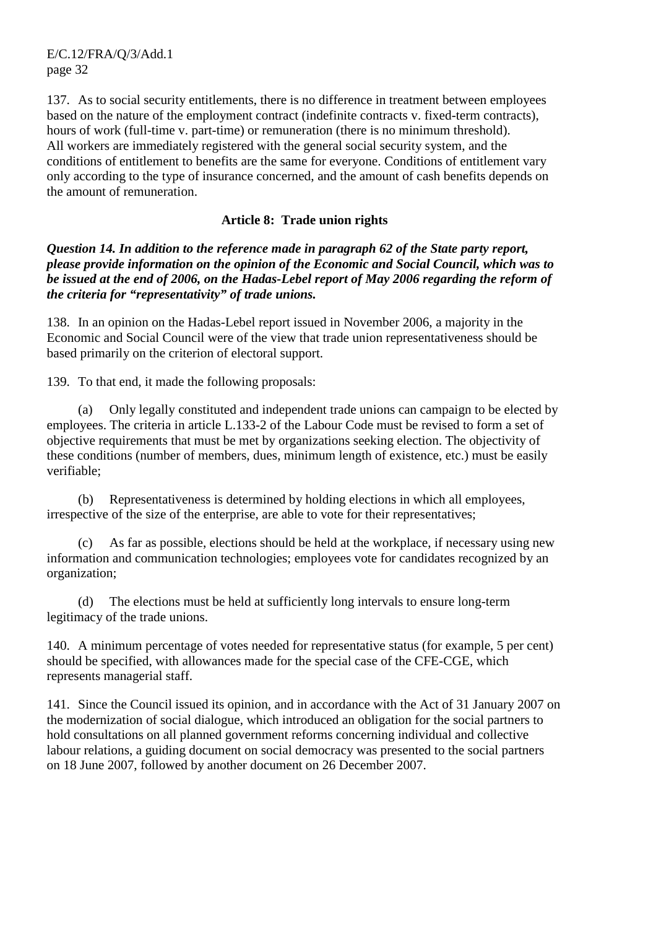137. As to social security entitlements, there is no difference in treatment between employees based on the nature of the employment contract (indefinite contracts v. fixed-term contracts), hours of work (full-time v. part-time) or remuneration (there is no minimum threshold). All workers are immediately registered with the general social security system, and the conditions of entitlement to benefits are the same for everyone. Conditions of entitlement vary only according to the type of insurance concerned, and the amount of cash benefits depends on the amount of remuneration.

#### **Article 8: Trade union rights**

*Question 14. In addition to the reference made in paragraph 62 of the State party report, please provide information on the opinion of the Economic and Social Council, which was to be issued at the end of 2006, on the Hadas-Lebel report of May 2006 regarding the reform of the criteria for "representativity" of trade unions.* 

138. In an opinion on the Hadas-Lebel report issued in November 2006, a majority in the Economic and Social Council were of the view that trade union representativeness should be based primarily on the criterion of electoral support.

139. To that end, it made the following proposals:

 (a) Only legally constituted and independent trade unions can campaign to be elected by employees. The criteria in article L.133-2 of the Labour Code must be revised to form a set of objective requirements that must be met by organizations seeking election. The objectivity of these conditions (number of members, dues, minimum length of existence, etc.) must be easily verifiable;

 (b) Representativeness is determined by holding elections in which all employees, irrespective of the size of the enterprise, are able to vote for their representatives;

 (c) As far as possible, elections should be held at the workplace, if necessary using new information and communication technologies; employees vote for candidates recognized by an organization;

 (d) The elections must be held at sufficiently long intervals to ensure long-term legitimacy of the trade unions.

140. A minimum percentage of votes needed for representative status (for example, 5 per cent) should be specified, with allowances made for the special case of the CFE-CGE, which represents managerial staff.

141. Since the Council issued its opinion, and in accordance with the Act of 31 January 2007 on the modernization of social dialogue, which introduced an obligation for the social partners to hold consultations on all planned government reforms concerning individual and collective labour relations, a guiding document on social democracy was presented to the social partners on 18 June 2007, followed by another document on 26 December 2007.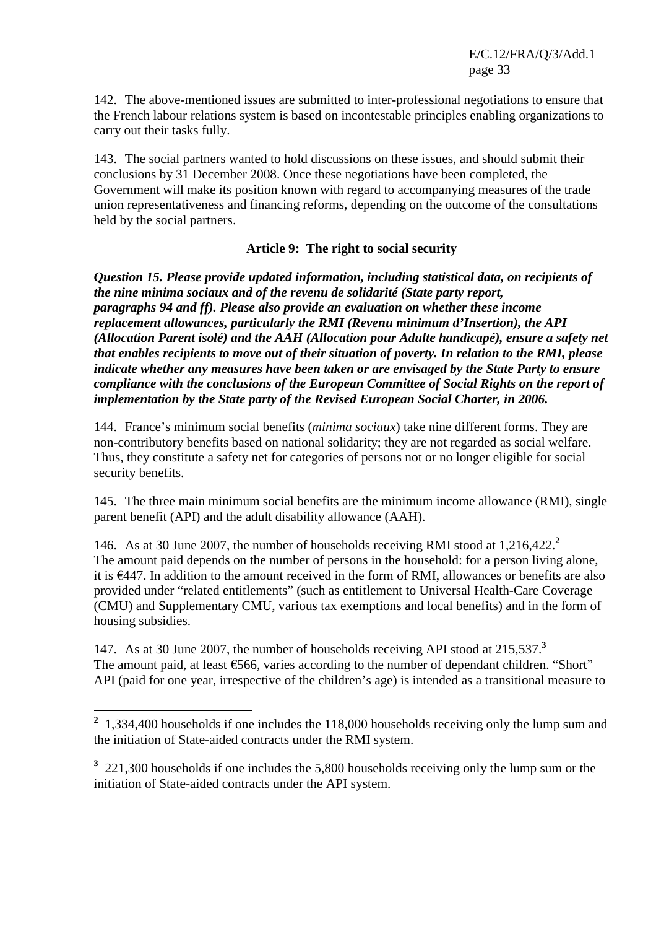142. The above-mentioned issues are submitted to inter-professional negotiations to ensure that the French labour relations system is based on incontestable principles enabling organizations to carry out their tasks fully.

143. The social partners wanted to hold discussions on these issues, and should submit their conclusions by 31 December 2008. Once these negotiations have been completed, the Government will make its position known with regard to accompanying measures of the trade union representativeness and financing reforms, depending on the outcome of the consultations held by the social partners.

## **Article 9: The right to social security**

*Question 15. Please provide updated information, including statistical data, on recipients of the nine minima sociaux and of the revenu de solidarité (State party report, paragraphs 94 and ff). Please also provide an evaluation on whether these income replacement allowances, particularly the RMI (Revenu minimum d'Insertion), the API (Allocation Parent isolé) and the AAH (Allocation pour Adulte handicapé), ensure a safety net that enables recipients to move out of their situation of poverty. In relation to the RMI, please indicate whether any measures have been taken or are envisaged by the State Party to ensure compliance with the conclusions of the European Committee of Social Rights on the report of implementation by the State party of the Revised European Social Charter, in 2006.* 

144. France's minimum social benefits (*minima sociaux*) take nine different forms. They are non-contributory benefits based on national solidarity; they are not regarded as social welfare. Thus, they constitute a safety net for categories of persons not or no longer eligible for social security benefits.

145. The three main minimum social benefits are the minimum income allowance (RMI), single parent benefit (API) and the adult disability allowance (AAH).

146. As at 30 June 2007, the number of households receiving RMI stood at 1,216,422.**<sup>2</sup>** The amount paid depends on the number of persons in the household: for a person living alone, it is €447. In addition to the amount received in the form of RMI, allowances or benefits are also provided under "related entitlements" (such as entitlement to Universal Health-Care Coverage (CMU) and Supplementary CMU, various tax exemptions and local benefits) and in the form of housing subsidies.

147. As at 30 June 2007, the number of households receiving API stood at 215,537.**<sup>3</sup>** The amount paid, at least €566, varies according to the number of dependant children. "Short" API (paid for one year, irrespective of the children's age) is intended as a transitional measure to

<sup>&</sup>lt;sup>2</sup> 1,334,400 households if one includes the 118,000 households receiving only the lump sum and the initiation of State-aided contracts under the RMI system.

<sup>&</sup>lt;sup>3</sup> 221,300 households if one includes the 5,800 households receiving only the lump sum or the initiation of State-aided contracts under the API system.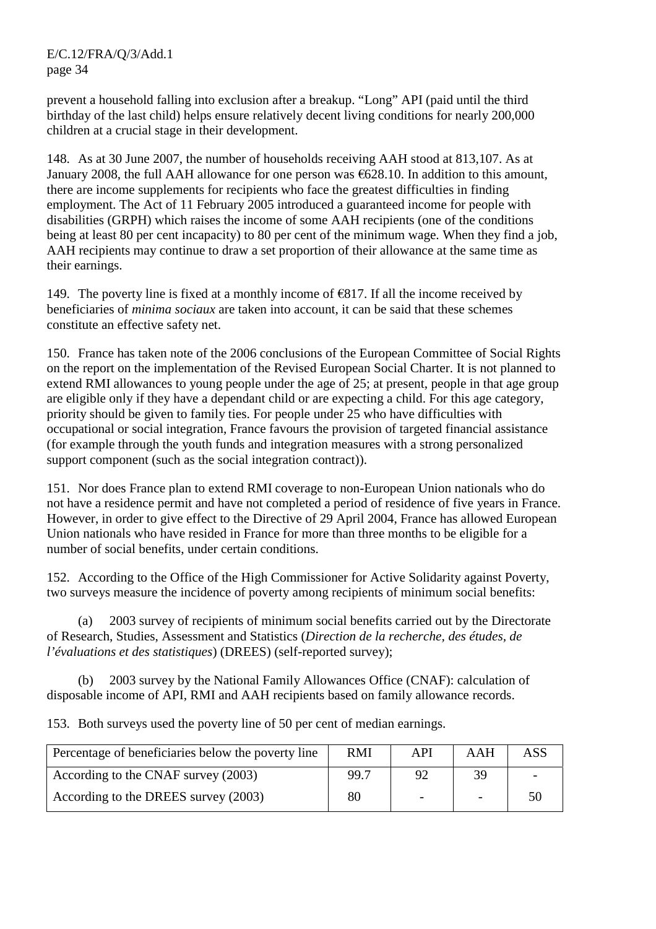prevent a household falling into exclusion after a breakup. "Long" API (paid until the third birthday of the last child) helps ensure relatively decent living conditions for nearly 200,000 children at a crucial stage in their development.

148. As at 30 June 2007, the number of households receiving AAH stood at 813,107. As at January 2008, the full AAH allowance for one person was €628.10. In addition to this amount, there are income supplements for recipients who face the greatest difficulties in finding employment. The Act of 11 February 2005 introduced a guaranteed income for people with disabilities (GRPH) which raises the income of some AAH recipients (one of the conditions being at least 80 per cent incapacity) to 80 per cent of the minimum wage. When they find a job, AAH recipients may continue to draw a set proportion of their allowance at the same time as their earnings.

149. The poverty line is fixed at a monthly income of  $\epsilon$ 817. If all the income received by beneficiaries of *minima sociaux* are taken into account, it can be said that these schemes constitute an effective safety net.

150. France has taken note of the 2006 conclusions of the European Committee of Social Rights on the report on the implementation of the Revised European Social Charter. It is not planned to extend RMI allowances to young people under the age of 25; at present, people in that age group are eligible only if they have a dependant child or are expecting a child. For this age category, priority should be given to family ties. For people under 25 who have difficulties with occupational or social integration, France favours the provision of targeted financial assistance (for example through the youth funds and integration measures with a strong personalized support component (such as the social integration contract)).

151. Nor does France plan to extend RMI coverage to non-European Union nationals who do not have a residence permit and have not completed a period of residence of five years in France. However, in order to give effect to the Directive of 29 April 2004, France has allowed European Union nationals who have resided in France for more than three months to be eligible for a number of social benefits, under certain conditions.

152. According to the Office of the High Commissioner for Active Solidarity against Poverty, two surveys measure the incidence of poverty among recipients of minimum social benefits:

 (a) 2003 survey of recipients of minimum social benefits carried out by the Directorate of Research, Studies, Assessment and Statistics (*Direction de la recherche, des études, de l'évaluations et des statistiques*) (DREES) (self-reported survey);

 (b) 2003 survey by the National Family Allowances Office (CNAF): calculation of disposable income of API, RMI and AAH recipients based on family allowance records.

153. Both surveys used the poverty line of 50 per cent of median earnings.

| Percentage of beneficiaries below the poverty line | <b>RMI</b> | API                      | AAH | ASS |
|----------------------------------------------------|------------|--------------------------|-----|-----|
| According to the CNAF survey (2003)                | 99.7       | 92                       | 39  |     |
| According to the DREES survey (2003)               | 80         | $\overline{\phantom{0}}$ |     | 50  |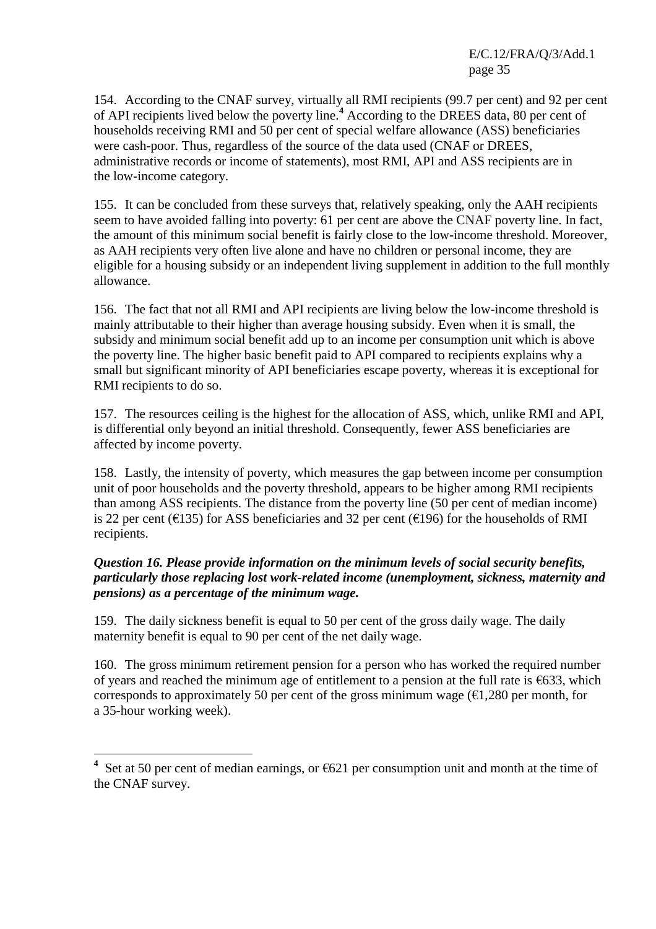154. According to the CNAF survey, virtually all RMI recipients (99.7 per cent) and 92 per cent of API recipients lived below the poverty line.**<sup>4</sup>** According to the DREES data, 80 per cent of households receiving RMI and 50 per cent of special welfare allowance (ASS) beneficiaries were cash-poor. Thus, regardless of the source of the data used (CNAF or DREES, administrative records or income of statements), most RMI, API and ASS recipients are in the low-income category.

155. It can be concluded from these surveys that, relatively speaking, only the AAH recipients seem to have avoided falling into poverty: 61 per cent are above the CNAF poverty line. In fact, the amount of this minimum social benefit is fairly close to the low-income threshold. Moreover, as AAH recipients very often live alone and have no children or personal income, they are eligible for a housing subsidy or an independent living supplement in addition to the full monthly allowance.

156. The fact that not all RMI and API recipients are living below the low-income threshold is mainly attributable to their higher than average housing subsidy. Even when it is small, the subsidy and minimum social benefit add up to an income per consumption unit which is above the poverty line. The higher basic benefit paid to API compared to recipients explains why a small but significant minority of API beneficiaries escape poverty, whereas it is exceptional for RMI recipients to do so.

157. The resources ceiling is the highest for the allocation of ASS, which, unlike RMI and API, is differential only beyond an initial threshold. Consequently, fewer ASS beneficiaries are affected by income poverty.

158. Lastly, the intensity of poverty, which measures the gap between income per consumption unit of poor households and the poverty threshold, appears to be higher among RMI recipients than among ASS recipients. The distance from the poverty line (50 per cent of median income) is 22 per cent ( $\epsilon$ 135) for ASS beneficiaries and 32 per cent ( $\epsilon$ 196) for the households of RMI recipients.

## *Question 16. Please provide information on the minimum levels of social security benefits, particularly those replacing lost work-related income (unemployment, sickness, maternity and pensions) as a percentage of the minimum wage.*

159. The daily sickness benefit is equal to 50 per cent of the gross daily wage. The daily maternity benefit is equal to 90 per cent of the net daily wage.

160. The gross minimum retirement pension for a person who has worked the required number of years and reached the minimum age of entitlement to a pension at the full rate is  $\epsilon$ 633, which corresponds to approximately 50 per cent of the gross minimum wage  $(\epsilon 1,280$  per month, for a 35-hour working week).

 $\overline{a}$ 

**<sup>4</sup>** Set at 50 per cent of median earnings, or €621 per consumption unit and month at the time of the CNAF survey.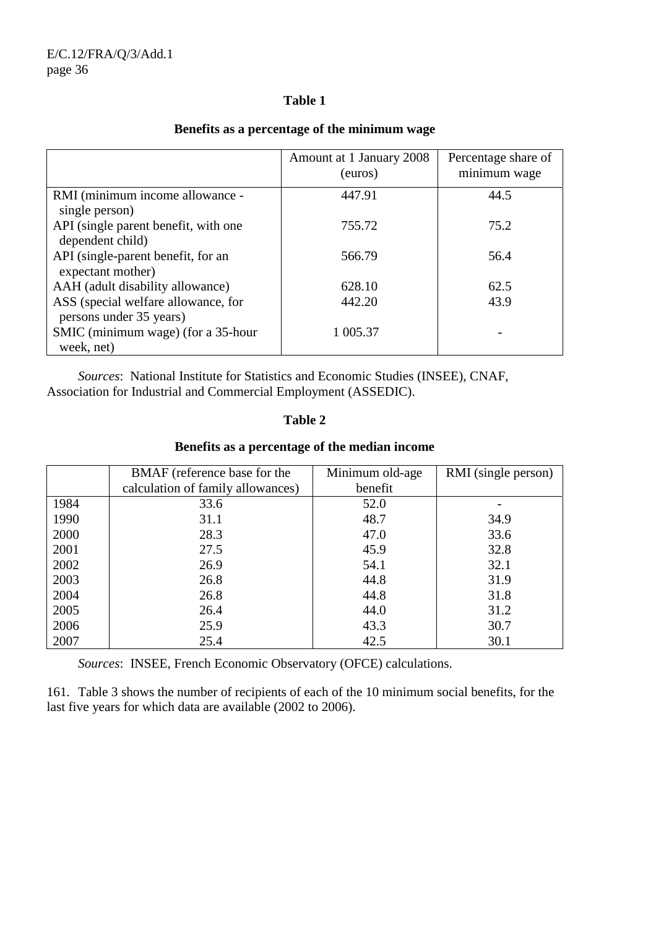#### **Table 1**

|                                                                | Amount at 1 January 2008<br>(euros) | Percentage share of<br>minimum wage |
|----------------------------------------------------------------|-------------------------------------|-------------------------------------|
| RMI (minimum income allowance -                                | 447.91                              | 44.5                                |
| single person)                                                 |                                     |                                     |
| API (single parent benefit, with one                           | 755.72                              | 75.2                                |
| dependent child)                                               |                                     |                                     |
| API (single-parent benefit, for an                             | 566.79                              | 56.4                                |
| expectant mother)                                              |                                     |                                     |
| AAH (adult disability allowance)                               | 628.10                              | 62.5                                |
| ASS (special welfare allowance, for<br>persons under 35 years) | 442.20                              | 43.9                                |
| SMIC (minimum wage) (for a 35-hour                             | 1 005.37                            |                                     |
| week, net)                                                     |                                     |                                     |

## **Benefits as a percentage of the minimum wage**

 *Sources*: National Institute for Statistics and Economic Studies (INSEE), CNAF, Association for Industrial and Commercial Employment (ASSEDIC).

#### **Table 2**

#### **Benefits as a percentage of the median income**

|      | BMAF (reference base for the      | Minimum old-age | RMI (single person) |
|------|-----------------------------------|-----------------|---------------------|
|      | calculation of family allowances) | benefit         |                     |
| 1984 | 33.6                              | 52.0            |                     |
| 1990 | 31.1                              | 48.7            | 34.9                |
| 2000 | 28.3                              | 47.0            | 33.6                |
| 2001 | 27.5                              | 45.9            | 32.8                |
| 2002 | 26.9                              | 54.1            | 32.1                |
| 2003 | 26.8                              | 44.8            | 31.9                |
| 2004 | 26.8                              | 44.8            | 31.8                |
| 2005 | 26.4                              | 44.0            | 31.2                |
| 2006 | 25.9                              | 43.3            | 30.7                |
| 2007 | 25.4                              | 42.5            | 30.1                |

*Sources*: INSEE, French Economic Observatory (OFCE) calculations.

161. Table 3 shows the number of recipients of each of the 10 minimum social benefits, for the last five years for which data are available (2002 to 2006).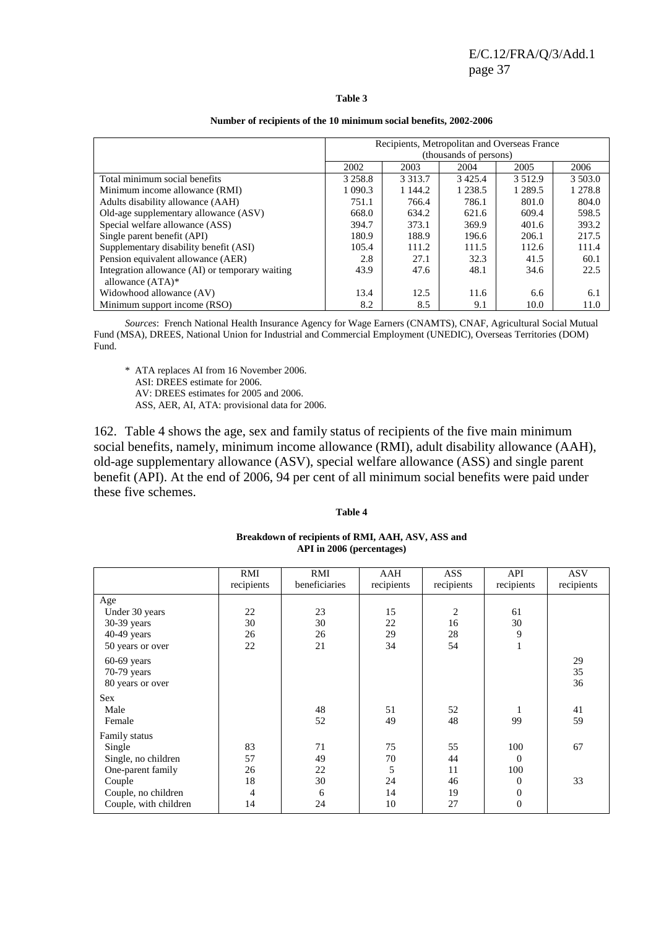┑

#### **Table 3**

|                                                 | Recipients, Metropolitan and Overseas France |            |            |             |         |  |
|-------------------------------------------------|----------------------------------------------|------------|------------|-------------|---------|--|
|                                                 | (thousands of persons)                       |            |            |             |         |  |
|                                                 | 2002                                         | 2003       | 2004       | 2005        | 2006    |  |
| Total minimum social benefits                   | 3 2 5 8 .8                                   | 3 3 1 3 .7 | 3425.4     | 3 5 1 2 . 9 | 3 503.0 |  |
| Minimum income allowance (RMI)                  | 1 0 9 0.3                                    | 1 144.2    | 1 2 3 8 .5 | 1 2 8 9 . 5 | 1 278.8 |  |
| Adults disability allowance (AAH)               | 751.1                                        | 766.4      | 786.1      | 801.0       | 804.0   |  |
| Old-age supplementary allowance (ASV)           | 668.0                                        | 634.2      | 621.6      | 609.4       | 598.5   |  |
| Special welfare allowance (ASS)                 | 394.7                                        | 373.1      | 369.9      | 401.6       | 393.2   |  |
| Single parent benefit (API)                     | 180.9                                        | 188.9      | 196.6      | 206.1       | 217.5   |  |
| Supplementary disability benefit (ASI)          | 105.4                                        | 111.2      | 111.5      | 112.6       | 111.4   |  |
| Pension equivalent allowance (AER)              | 2.8                                          | 27.1       | 32.3       | 41.5        | 60.1    |  |
| Integration allowance (AI) or temporary waiting | 43.9                                         | 47.6       | 48.1       | 34.6        | 22.5    |  |
| allowance $(ATA)^*$                             |                                              |            |            |             |         |  |
| Widowhood allowance (AV)                        | 13.4                                         | 12.5       | 11.6       | 6.6         | 6.1     |  |
| Minimum support income (RSO)                    | 8.2                                          | 8.5        | 9.1        | 10.0        | 11.0    |  |

#### **Number of recipients of the 10 minimum social benefits, 2002-2006**

*Sources*: French National Health Insurance Agency for Wage Earners (CNAMTS), CNAF, Agricultural Social Mutual Fund (MSA), DREES, National Union for Industrial and Commercial Employment (UNEDIC), Overseas Territories (DOM) Fund.

 \* ATA replaces AI from 16 November 2006. ASI: DREES estimate for 2006.

AV: DREES estimates for 2005 and 2006.

ASS, AER, AI, ATA: provisional data for 2006.

162. Table 4 shows the age, sex and family status of recipients of the five main minimum social benefits, namely, minimum income allowance (RMI), adult disability allowance (AAH), old-age supplementary allowance (ASV), special welfare allowance (ASS) and single parent benefit (API). At the end of 2006, 94 per cent of all minimum social benefits were paid under these five schemes.

#### **Table 4**

|                      |                      |                      |                                               | API in 2006 (percentages) |  |  |  |  |  |  |  |
|----------------------|----------------------|----------------------|-----------------------------------------------|---------------------------|--|--|--|--|--|--|--|
| recipients           | RMI<br>beneficiaries | AAH<br>recipients    | ASS<br>recipients                             | API<br>recipients         |  |  |  |  |  |  |  |
| 22<br>30<br>26<br>22 | 23<br>30<br>26<br>21 | 15<br>22<br>29<br>34 | $\mathcal{D}_{\mathcal{L}}$<br>16<br>28<br>54 | 61<br>30                  |  |  |  |  |  |  |  |
|                      | RMI                  |                      |                                               |                           |  |  |  |  |  |  |  |

# **Breakdown of recipients of RMI, AAH, ASV, ASS and**

|                       | RMI        | RMI<br>beneficiaries | AAH        | ASS        | API          | <b>ASV</b> |
|-----------------------|------------|----------------------|------------|------------|--------------|------------|
|                       | recipients |                      | recipients | recipients | recipients   | recipients |
| Age                   |            |                      |            |            |              |            |
| Under 30 years        | 22         | 23                   | 15         | 2          | 61           |            |
| $30-39$ years         | 30         | 30                   | 22         | 16         | 30           |            |
| 40-49 years           | 26         | 26                   | 29         | 28         | 9            |            |
| 50 years or over      | 22         | 21                   | 34         | 54         | 1            |            |
| $60-69$ years         |            |                      |            |            |              | 29         |
| 70-79 years           |            |                      |            |            |              | 35         |
| 80 years or over      |            |                      |            |            |              | 36         |
| <b>Sex</b>            |            |                      |            |            |              |            |
| Male                  |            | 48                   | 51         | 52         |              | 41         |
| Female                |            | 52                   | 49         | 48         | 99           | 59         |
| Family status         |            |                      |            |            |              |            |
| Single                | 83         | 71                   | 75         | 55         | 100          | 67         |
| Single, no children   | 57         | 49                   | 70         | 44         | $\Omega$     |            |
| One-parent family     | 26         | 22                   | 5          | 11         | 100          |            |
| Couple                | 18         | 30                   | 24         | 46         | $\Omega$     | 33         |
| Couple, no children   | 4          | 6                    | 14         | 19         | $\theta$     |            |
| Couple, with children | 14         | 24                   | 10         | 27         | $\mathbf{0}$ |            |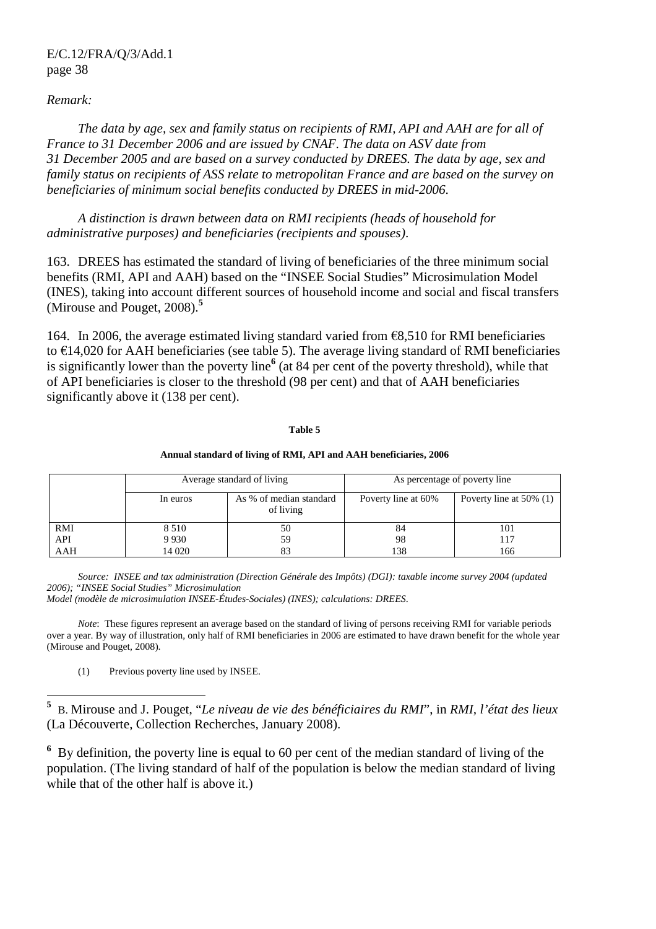#### *Remark:*

 *The data by age, sex and family status on recipients of RMI, API and AAH are for all of France to 31 December 2006 and are issued by CNAF. The data on ASV date from 31 December 2005 and are based on a survey conducted by DREES. The data by age, sex and family status on recipients of ASS relate to metropolitan France and are based on the survey on beneficiaries of minimum social benefits conducted by DREES in mid-2006.* 

 *A distinction is drawn between data on RMI recipients (heads of household for administrative purposes) and beneficiaries (recipients and spouses)*.

163. DREES has estimated the standard of living of beneficiaries of the three minimum social benefits (RMI, API and AAH) based on the "INSEE Social Studies" Microsimulation Model (INES), taking into account different sources of household income and social and fiscal transfers (Mirouse and Pouget, 2008).**<sup>5</sup>**

164. In 2006, the average estimated living standard varied from €8,510 for RMI beneficiaries to  $\epsilon$ 14,020 for AAH beneficiaries (see table 5). The average living standard of RMI beneficiaries is significantly lower than the poverty line**<sup>6</sup>** (at 84 per cent of the poverty threshold), while that of API beneficiaries is closer to the threshold (98 per cent) and that of AAH beneficiaries significantly above it (138 per cent).

#### **Table 5**

#### **Annual standard of living of RMI, API and AAH beneficiaries, 2006**

|            |          | Average standard of living           | As percentage of poverty line |                            |  |
|------------|----------|--------------------------------------|-------------------------------|----------------------------|--|
|            | In euros | As % of median standard<br>of living | Poverty line at 60%           | Poverty line at $50\%$ (1) |  |
| <b>RMI</b> | 8 5 1 0  | 50                                   | 84                            | 101                        |  |
| API        | 9 9 3 0  | 59                                   | 98                            | 117                        |  |
| AAH        | 14 020   | 83                                   | 138                           | 166                        |  |

*Source: INSEE and tax administration (Direction Générale des Impôts) (DGI): taxable income survey 2004 (updated 2006); "INSEE Social Studies" Microsimulation* 

*Model (modèle de microsimulation INSEE-Études-Sociales) (INES); calculations: DREES*.

*Note*: These figures represent an average based on the standard of living of persons receiving RMI for variable periods over a year. By way of illustration, only half of RMI beneficiaries in 2006 are estimated to have drawn benefit for the whole year (Mirouse and Pouget, 2008).

(1) Previous poverty line used by INSEE.

 **5** B. Mirouse and J. Pouget, "*Le niveau de vie des bénéficiaires du RMI*", in *RMI, l'état des lieux*  (La Découverte, Collection Recherches, January 2008).

<sup>6</sup> By definition, the poverty line is equal to 60 per cent of the median standard of living of the population. (The living standard of half of the population is below the median standard of living while that of the other half is above it.)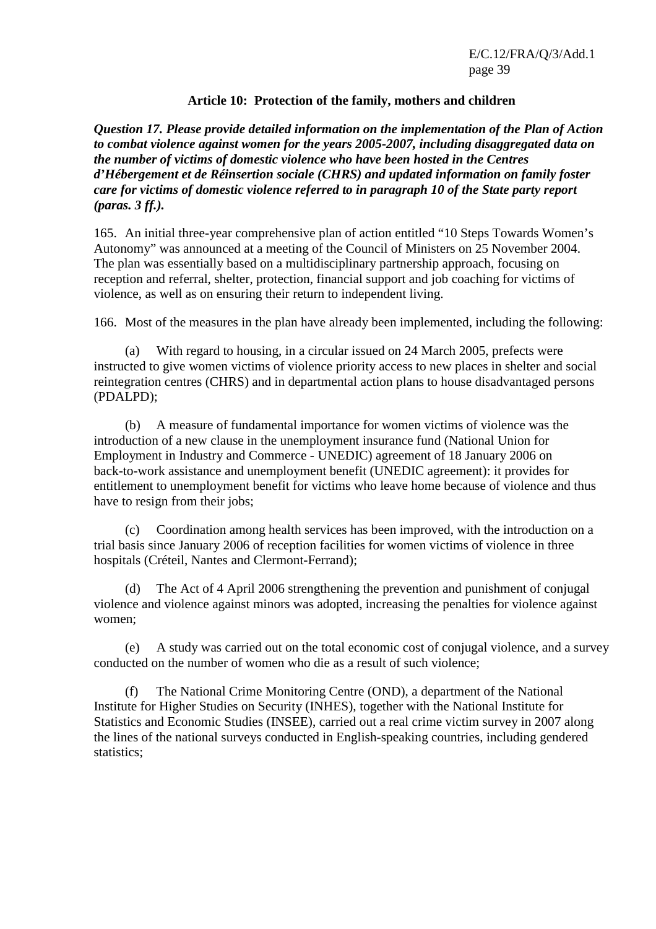#### **Article 10: Protection of the family, mothers and children**

*Question 17. Please provide detailed information on the implementation of the Plan of Action to combat violence against women for the years 2005-2007, including disaggregated data on the number of victims of domestic violence who have been hosted in the Centres d'Hébergement et de Réinsertion sociale (CHRS) and updated information on family foster care for victims of domestic violence referred to in paragraph 10 of the State party report (paras. 3 ff.).* 

165. An initial three-year comprehensive plan of action entitled "10 Steps Towards Women's Autonomy" was announced at a meeting of the Council of Ministers on 25 November 2004. The plan was essentially based on a multidisciplinary partnership approach, focusing on reception and referral, shelter, protection, financial support and job coaching for victims of violence, as well as on ensuring their return to independent living.

166. Most of the measures in the plan have already been implemented, including the following:

 (a) With regard to housing, in a circular issued on 24 March 2005, prefects were instructed to give women victims of violence priority access to new places in shelter and social reintegration centres (CHRS) and in departmental action plans to house disadvantaged persons (PDALPD);

 (b) A measure of fundamental importance for women victims of violence was the introduction of a new clause in the unemployment insurance fund (National Union for Employment in Industry and Commerce - UNEDIC) agreement of 18 January 2006 on back-to-work assistance and unemployment benefit (UNEDIC agreement): it provides for entitlement to unemployment benefit for victims who leave home because of violence and thus have to resign from their jobs:

 (c) Coordination among health services has been improved, with the introduction on a trial basis since January 2006 of reception facilities for women victims of violence in three hospitals (Créteil, Nantes and Clermont-Ferrand);

 (d) The Act of 4 April 2006 strengthening the prevention and punishment of conjugal violence and violence against minors was adopted, increasing the penalties for violence against women;

 (e) A study was carried out on the total economic cost of conjugal violence, and a survey conducted on the number of women who die as a result of such violence;

 (f) The National Crime Monitoring Centre (OND), a department of the National Institute for Higher Studies on Security (INHES), together with the National Institute for Statistics and Economic Studies (INSEE), carried out a real crime victim survey in 2007 along the lines of the national surveys conducted in English-speaking countries, including gendered statistics;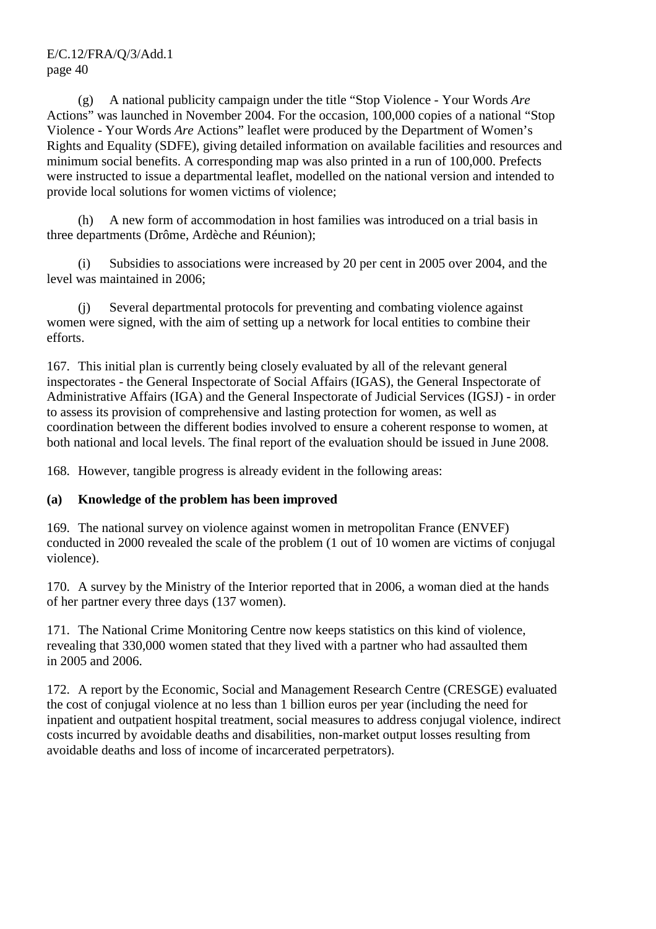(g) A national publicity campaign under the title "Stop Violence - Your Words *Are* Actions" was launched in November 2004. For the occasion, 100,000 copies of a national "Stop Violence - Your Words *Are* Actions" leaflet were produced by the Department of Women's Rights and Equality (SDFE), giving detailed information on available facilities and resources and minimum social benefits. A corresponding map was also printed in a run of 100,000. Prefects were instructed to issue a departmental leaflet, modelled on the national version and intended to provide local solutions for women victims of violence;

 (h) A new form of accommodation in host families was introduced on a trial basis in three departments (Drôme, Ardèche and Réunion);

 (i) Subsidies to associations were increased by 20 per cent in 2005 over 2004, and the level was maintained in 2006;

 (j) Several departmental protocols for preventing and combating violence against women were signed, with the aim of setting up a network for local entities to combine their efforts.

167. This initial plan is currently being closely evaluated by all of the relevant general inspectorates - the General Inspectorate of Social Affairs (IGAS), the General Inspectorate of Administrative Affairs (IGA) and the General Inspectorate of Judicial Services (IGSJ) - in order to assess its provision of comprehensive and lasting protection for women, as well as coordination between the different bodies involved to ensure a coherent response to women, at both national and local levels. The final report of the evaluation should be issued in June 2008.

168. However, tangible progress is already evident in the following areas:

# **(a) Knowledge of the problem has been improved**

169. The national survey on violence against women in metropolitan France (ENVEF) conducted in 2000 revealed the scale of the problem (1 out of 10 women are victims of conjugal violence).

170. A survey by the Ministry of the Interior reported that in 2006, a woman died at the hands of her partner every three days (137 women).

171. The National Crime Monitoring Centre now keeps statistics on this kind of violence, revealing that 330,000 women stated that they lived with a partner who had assaulted them in 2005 and 2006.

172. A report by the Economic, Social and Management Research Centre (CRESGE) evaluated the cost of conjugal violence at no less than 1 billion euros per year (including the need for inpatient and outpatient hospital treatment, social measures to address conjugal violence, indirect costs incurred by avoidable deaths and disabilities, non-market output losses resulting from avoidable deaths and loss of income of incarcerated perpetrators).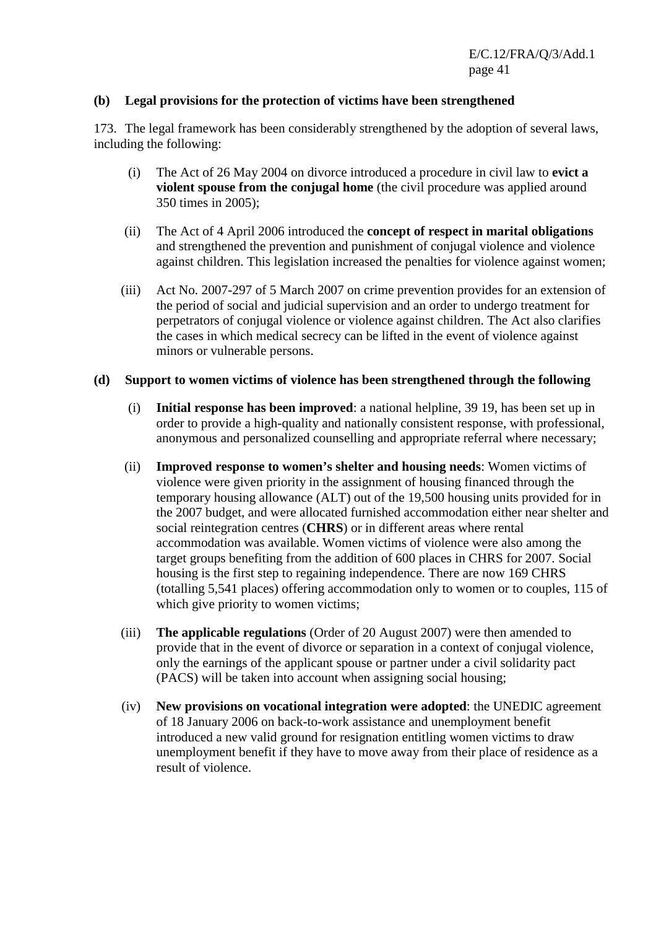#### **(b) Legal provisions for the protection of victims have been strengthened**

173. The legal framework has been considerably strengthened by the adoption of several laws, including the following:

- (i) The Act of 26 May 2004 on divorce introduced a procedure in civil law to **evict a violent spouse from the conjugal home** (the civil procedure was applied around 350 times in 2005);
- (ii) The Act of 4 April 2006 introduced the **concept of respect in marital obligations** and strengthened the prevention and punishment of conjugal violence and violence against children. This legislation increased the penalties for violence against women;
- (iii) Act No. 2007-297 of 5 March 2007 on crime prevention provides for an extension of the period of social and judicial supervision and an order to undergo treatment for perpetrators of conjugal violence or violence against children. The Act also clarifies the cases in which medical secrecy can be lifted in the event of violence against minors or vulnerable persons.

#### **(d) Support to women victims of violence has been strengthened through the following**

- (i) **Initial response has been improved**: a national helpline, 39 19, has been set up in order to provide a high-quality and nationally consistent response, with professional, anonymous and personalized counselling and appropriate referral where necessary;
- (ii) **Improved response to women's shelter and housing needs**: Women victims of violence were given priority in the assignment of housing financed through the temporary housing allowance (ALT) out of the 19,500 housing units provided for in the 2007 budget, and were allocated furnished accommodation either near shelter and social reintegration centres (**CHRS**) or in different areas where rental accommodation was available. Women victims of violence were also among the target groups benefiting from the addition of 600 places in CHRS for 2007. Social housing is the first step to regaining independence. There are now 169 CHRS (totalling 5,541 places) offering accommodation only to women or to couples, 115 of which give priority to women victims;
- (iii) **The applicable regulations** (Order of 20 August 2007) were then amended to provide that in the event of divorce or separation in a context of conjugal violence, only the earnings of the applicant spouse or partner under a civil solidarity pact (PACS) will be taken into account when assigning social housing;
- (iv) **New provisions on vocational integration were adopted**: the UNEDIC agreement of 18 January 2006 on back-to-work assistance and unemployment benefit introduced a new valid ground for resignation entitling women victims to draw unemployment benefit if they have to move away from their place of residence as a result of violence.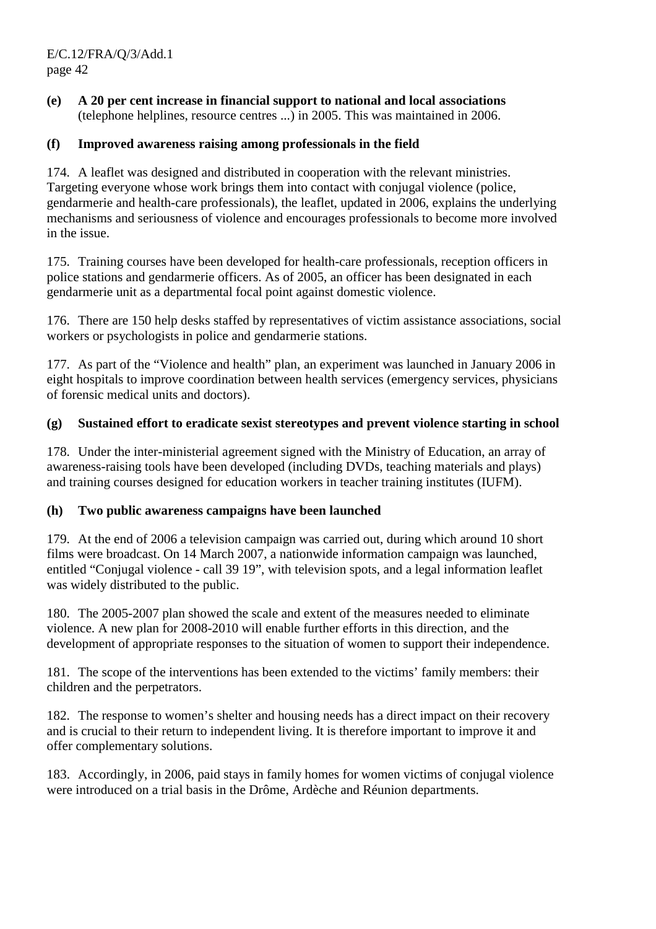**(e) A 20 per cent increase in financial support to national and local associations** (telephone helplines, resource centres ...) in 2005. This was maintained in 2006.

#### **(f) Improved awareness raising among professionals in the field**

174. A leaflet was designed and distributed in cooperation with the relevant ministries. Targeting everyone whose work brings them into contact with conjugal violence (police, gendarmerie and health-care professionals), the leaflet, updated in 2006, explains the underlying mechanisms and seriousness of violence and encourages professionals to become more involved in the issue.

175. Training courses have been developed for health-care professionals, reception officers in police stations and gendarmerie officers. As of 2005, an officer has been designated in each gendarmerie unit as a departmental focal point against domestic violence.

176. There are 150 help desks staffed by representatives of victim assistance associations, social workers or psychologists in police and gendarmerie stations.

177. As part of the "Violence and health" plan, an experiment was launched in January 2006 in eight hospitals to improve coordination between health services (emergency services, physicians of forensic medical units and doctors).

#### **(g) Sustained effort to eradicate sexist stereotypes and prevent violence starting in school**

178. Under the inter-ministerial agreement signed with the Ministry of Education, an array of awareness-raising tools have been developed (including DVDs, teaching materials and plays) and training courses designed for education workers in teacher training institutes (IUFM).

#### **(h) Two public awareness campaigns have been launched**

179. At the end of 2006 a television campaign was carried out, during which around 10 short films were broadcast. On 14 March 2007, a nationwide information campaign was launched, entitled "Conjugal violence - call 39 19", with television spots, and a legal information leaflet was widely distributed to the public.

180. The 2005-2007 plan showed the scale and extent of the measures needed to eliminate violence. A new plan for 2008-2010 will enable further efforts in this direction, and the development of appropriate responses to the situation of women to support their independence.

181. The scope of the interventions has been extended to the victims' family members: their children and the perpetrators.

182. The response to women's shelter and housing needs has a direct impact on their recovery and is crucial to their return to independent living. It is therefore important to improve it and offer complementary solutions.

183. Accordingly, in 2006, paid stays in family homes for women victims of conjugal violence were introduced on a trial basis in the Drôme, Ardèche and Réunion departments.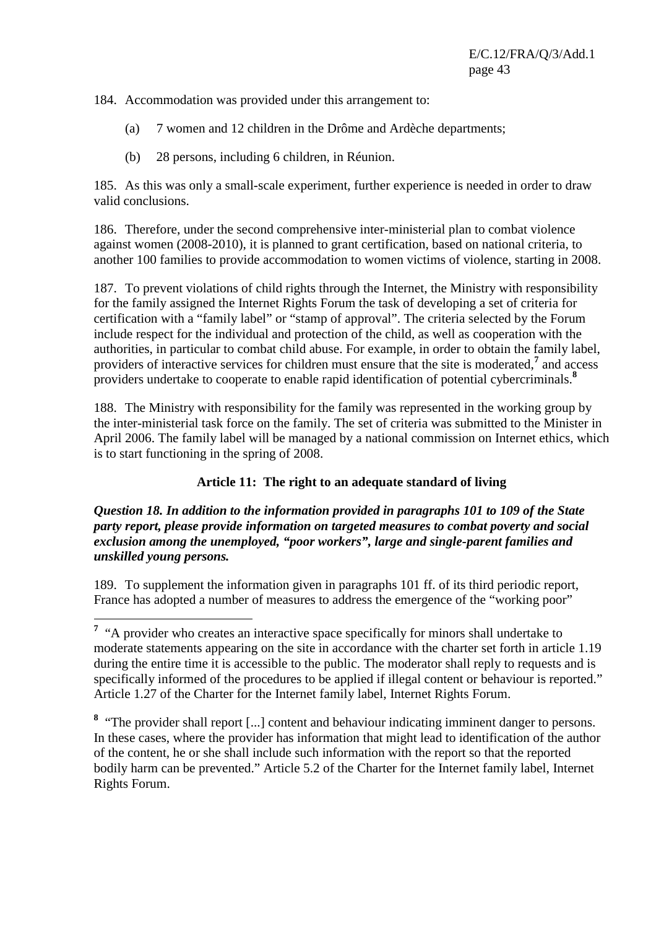184. Accommodation was provided under this arrangement to:

- (a) 7 women and 12 children in the Drôme and Ardèche departments;
- (b) 28 persons, including 6 children, in Réunion.

185. As this was only a small-scale experiment, further experience is needed in order to draw valid conclusions.

186. Therefore, under the second comprehensive inter-ministerial plan to combat violence against women (2008-2010), it is planned to grant certification, based on national criteria, to another 100 families to provide accommodation to women victims of violence, starting in 2008.

187. To prevent violations of child rights through the Internet, the Ministry with responsibility for the family assigned the Internet Rights Forum the task of developing a set of criteria for certification with a "family label" or "stamp of approval". The criteria selected by the Forum include respect for the individual and protection of the child, as well as cooperation with the authorities, in particular to combat child abuse. For example, in order to obtain the family label, providers of interactive services for children must ensure that the site is moderated,<sup>7</sup> and access providers undertake to cooperate to enable rapid identification of potential cybercriminals.**<sup>8</sup>**

188. The Ministry with responsibility for the family was represented in the working group by the inter-ministerial task force on the family. The set of criteria was submitted to the Minister in April 2006. The family label will be managed by a national commission on Internet ethics, which is to start functioning in the spring of 2008.

#### **Article 11: The right to an adequate standard of living**

#### *Question 18. In addition to the information provided in paragraphs 101 to 109 of the State party report, please provide information on targeted measures to combat poverty and social exclusion among the unemployed, "poor workers", large and single-parent families and unskilled young persons.*

189. To supplement the information given in paragraphs 101 ff. of its third periodic report, France has adopted a number of measures to address the emergence of the "working poor"

<sup>8</sup> "The provider shall report [...] content and behaviour indicating imminent danger to persons. In these cases, where the provider has information that might lead to identification of the author of the content, he or she shall include such information with the report so that the reported bodily harm can be prevented." Article 5.2 of the Charter for the Internet family label, Internet Rights Forum.

<sup>&</sup>lt;sup>7</sup> "A provider who creates an interactive space specifically for minors shall undertake to moderate statements appearing on the site in accordance with the charter set forth in article 1.19 during the entire time it is accessible to the public. The moderator shall reply to requests and is specifically informed of the procedures to be applied if illegal content or behaviour is reported." Article 1.27 of the Charter for the Internet family label, Internet Rights Forum.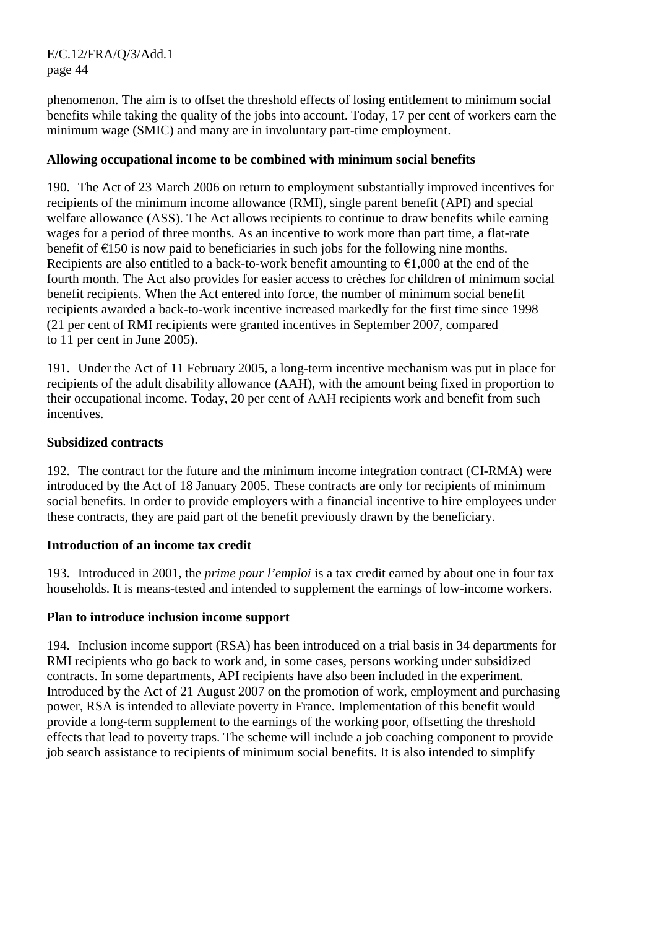phenomenon. The aim is to offset the threshold effects of losing entitlement to minimum social benefits while taking the quality of the jobs into account. Today, 17 per cent of workers earn the minimum wage (SMIC) and many are in involuntary part-time employment.

#### **Allowing occupational income to be combined with minimum social benefits**

190. The Act of 23 March 2006 on return to employment substantially improved incentives for recipients of the minimum income allowance (RMI), single parent benefit (API) and special welfare allowance (ASS). The Act allows recipients to continue to draw benefits while earning wages for a period of three months. As an incentive to work more than part time, a flat-rate benefit of  $E$ 150 is now paid to beneficiaries in such jobs for the following nine months. Recipients are also entitled to a back-to-work benefit amounting to  $\epsilon$ 1,000 at the end of the fourth month. The Act also provides for easier access to crèches for children of minimum social benefit recipients. When the Act entered into force, the number of minimum social benefit recipients awarded a back-to-work incentive increased markedly for the first time since 1998 (21 per cent of RMI recipients were granted incentives in September 2007, compared to 11 per cent in June 2005).

191. Under the Act of 11 February 2005, a long-term incentive mechanism was put in place for recipients of the adult disability allowance (AAH), with the amount being fixed in proportion to their occupational income. Today, 20 per cent of AAH recipients work and benefit from such incentives.

#### **Subsidized contracts**

192. The contract for the future and the minimum income integration contract (CI-RMA) were introduced by the Act of 18 January 2005. These contracts are only for recipients of minimum social benefits. In order to provide employers with a financial incentive to hire employees under these contracts, they are paid part of the benefit previously drawn by the beneficiary.

#### **Introduction of an income tax credit**

193. Introduced in 2001, the *prime pour l'emploi* is a tax credit earned by about one in four tax households. It is means-tested and intended to supplement the earnings of low-income workers.

#### **Plan to introduce inclusion income support**

194. Inclusion income support (RSA) has been introduced on a trial basis in 34 departments for RMI recipients who go back to work and, in some cases, persons working under subsidized contracts. In some departments, API recipients have also been included in the experiment. Introduced by the Act of 21 August 2007 on the promotion of work, employment and purchasing power, RSA is intended to alleviate poverty in France. Implementation of this benefit would provide a long-term supplement to the earnings of the working poor, offsetting the threshold effects that lead to poverty traps. The scheme will include a job coaching component to provide job search assistance to recipients of minimum social benefits. It is also intended to simplify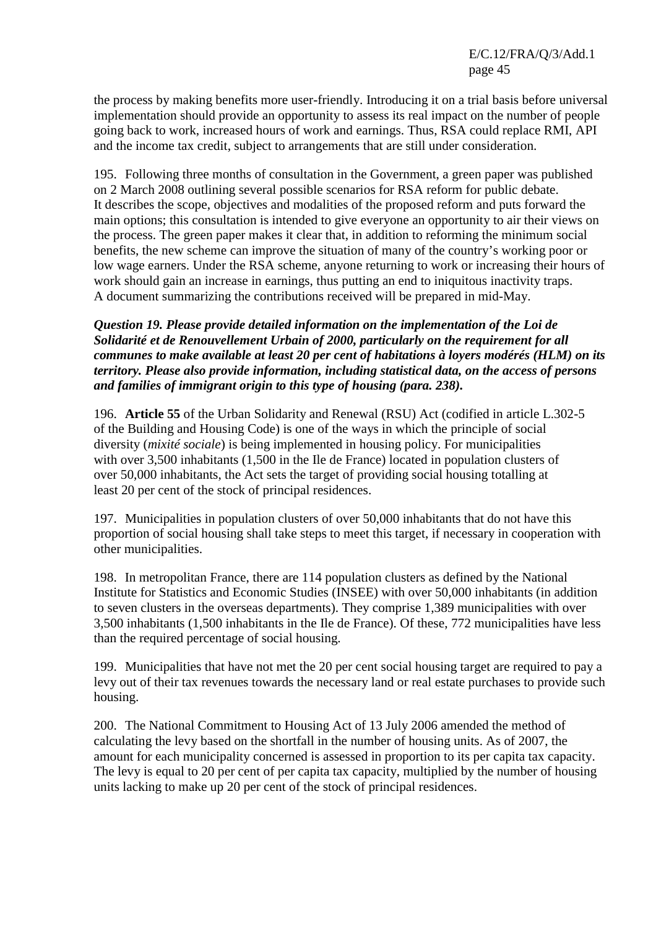the process by making benefits more user-friendly. Introducing it on a trial basis before universal implementation should provide an opportunity to assess its real impact on the number of people going back to work, increased hours of work and earnings. Thus, RSA could replace RMI, API and the income tax credit, subject to arrangements that are still under consideration.

195. Following three months of consultation in the Government, a green paper was published on 2 March 2008 outlining several possible scenarios for RSA reform for public debate. It describes the scope, objectives and modalities of the proposed reform and puts forward the main options; this consultation is intended to give everyone an opportunity to air their views on the process. The green paper makes it clear that, in addition to reforming the minimum social benefits, the new scheme can improve the situation of many of the country's working poor or low wage earners. Under the RSA scheme, anyone returning to work or increasing their hours of work should gain an increase in earnings, thus putting an end to iniquitous inactivity traps. A document summarizing the contributions received will be prepared in mid-May.

#### *Question 19. Please provide detailed information on the implementation of the Loi de Solidarité et de Renouvellement Urbain of 2000, particularly on the requirement for all communes to make available at least 20 per cent of habitations à loyers modérés (HLM) on its territory. Please also provide information, including statistical data, on the access of persons and families of immigrant origin to this type of housing (para. 238).*

196. **Article 55** of the Urban Solidarity and Renewal (RSU) Act (codified in article L.302-5 of the Building and Housing Code) is one of the ways in which the principle of social diversity (*mixité sociale*) is being implemented in housing policy. For municipalities with over 3,500 inhabitants (1,500 in the Ile de France) located in population clusters of over 50,000 inhabitants, the Act sets the target of providing social housing totalling at least 20 per cent of the stock of principal residences.

197. Municipalities in population clusters of over 50,000 inhabitants that do not have this proportion of social housing shall take steps to meet this target, if necessary in cooperation with other municipalities.

198. In metropolitan France, there are 114 population clusters as defined by the National Institute for Statistics and Economic Studies (INSEE) with over 50,000 inhabitants (in addition to seven clusters in the overseas departments). They comprise 1,389 municipalities with over 3,500 inhabitants (1,500 inhabitants in the Ile de France). Of these, 772 municipalities have less than the required percentage of social housing.

199. Municipalities that have not met the 20 per cent social housing target are required to pay a levy out of their tax revenues towards the necessary land or real estate purchases to provide such housing.

200. The National Commitment to Housing Act of 13 July 2006 amended the method of calculating the levy based on the shortfall in the number of housing units. As of 2007, the amount for each municipality concerned is assessed in proportion to its per capita tax capacity. The levy is equal to 20 per cent of per capita tax capacity, multiplied by the number of housing units lacking to make up 20 per cent of the stock of principal residences.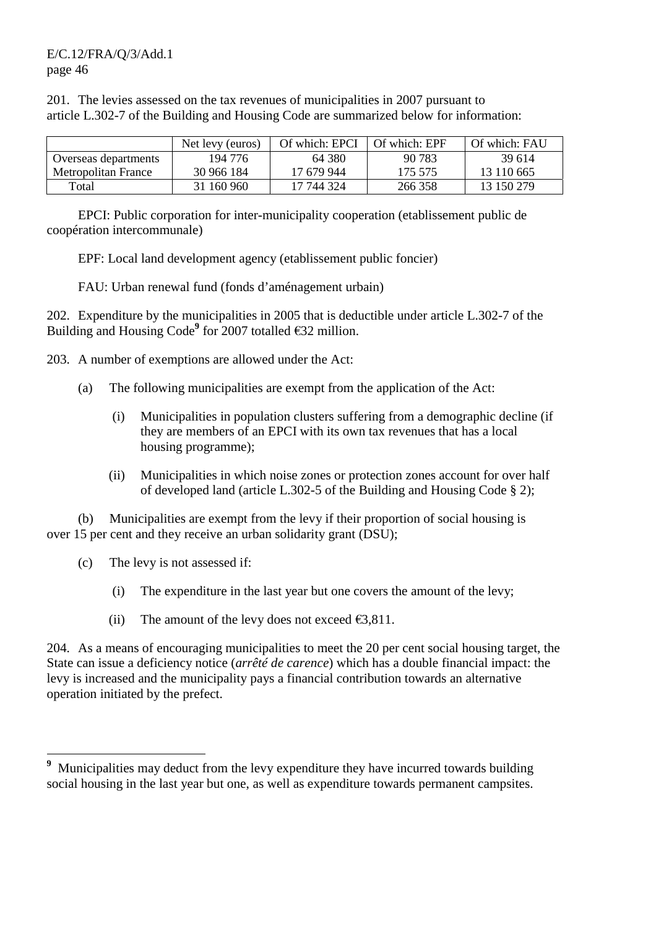201. The levies assessed on the tax revenues of municipalities in 2007 pursuant to article L.302-7 of the Building and Housing Code are summarized below for information:

|                      | Net levy (euros) | Of which: EPCI | Of which: EPF | Of which: FAU |
|----------------------|------------------|----------------|---------------|---------------|
| Overseas departments | 194 776          | 64 380         | 90.783        | 39.614        |
| Metropolitan France  | 30 966 184       | 17 679 944     | 175 575       | 13 110 665    |
| Total                | 31 160 960       | 17 744 324     | 266 358       | 13 150 279    |

 EPCI: Public corporation for inter-municipality cooperation (etablissement public de coopération intercommunale)

EPF: Local land development agency (etablissement public foncier)

FAU: Urban renewal fund (fonds d'aménagement urbain)

202. Expenditure by the municipalities in 2005 that is deductible under article L.302-7 of the Building and Housing Code**<sup>9</sup>** for 2007 totalled €32 million.

- 203. A number of exemptions are allowed under the Act:
	- (a) The following municipalities are exempt from the application of the Act:
		- (i) Municipalities in population clusters suffering from a demographic decline (if they are members of an EPCI with its own tax revenues that has a local housing programme);
		- (ii) Municipalities in which noise zones or protection zones account for over half of developed land (article L.302-5 of the Building and Housing Code § 2);

 (b) Municipalities are exempt from the levy if their proportion of social housing is over 15 per cent and they receive an urban solidarity grant (DSU);

(c) The levy is not assessed if:

 $\overline{a}$ 

- (i) The expenditure in the last year but one covers the amount of the levy;
- (ii) The amount of the levy does not exceed  $\epsilon$ 3,811.

204. As a means of encouraging municipalities to meet the 20 per cent social housing target, the State can issue a deficiency notice (*arrêté de carence*) which has a double financial impact: the levy is increased and the municipality pays a financial contribution towards an alternative operation initiated by the prefect.

<sup>&</sup>lt;sup>9</sup> Municipalities may deduct from the levy expenditure they have incurred towards building social housing in the last year but one, as well as expenditure towards permanent campsites.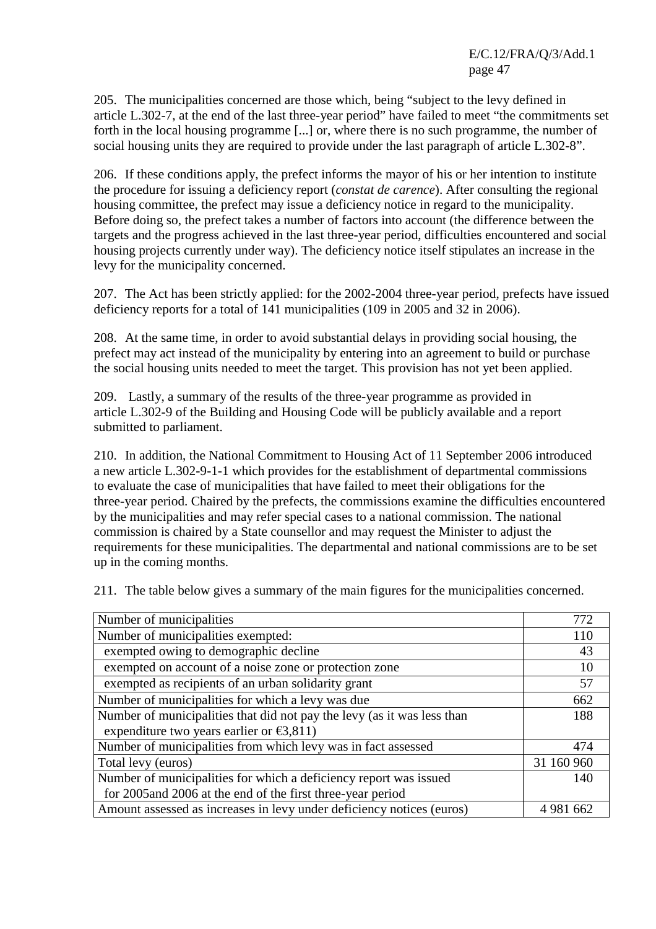205. The municipalities concerned are those which, being "subject to the levy defined in article L.302-7, at the end of the last three-year period" have failed to meet "the commitments set forth in the local housing programme [...] or, where there is no such programme, the number of social housing units they are required to provide under the last paragraph of article L.302-8".

206. If these conditions apply, the prefect informs the mayor of his or her intention to institute the procedure for issuing a deficiency report (*constat de carence*). After consulting the regional housing committee, the prefect may issue a deficiency notice in regard to the municipality. Before doing so, the prefect takes a number of factors into account (the difference between the targets and the progress achieved in the last three-year period, difficulties encountered and social housing projects currently under way). The deficiency notice itself stipulates an increase in the levy for the municipality concerned.

207. The Act has been strictly applied: for the 2002-2004 three-year period, prefects have issued deficiency reports for a total of 141 municipalities (109 in 2005 and 32 in 2006).

208. At the same time, in order to avoid substantial delays in providing social housing, the prefect may act instead of the municipality by entering into an agreement to build or purchase the social housing units needed to meet the target. This provision has not yet been applied.

209. Lastly, a summary of the results of the three-year programme as provided in article L.302-9 of the Building and Housing Code will be publicly available and a report submitted to parliament.

210. In addition, the National Commitment to Housing Act of 11 September 2006 introduced a new article L.302-9-1-1 which provides for the establishment of departmental commissions to evaluate the case of municipalities that have failed to meet their obligations for the three-year period. Chaired by the prefects, the commissions examine the difficulties encountered by the municipalities and may refer special cases to a national commission. The national commission is chaired by a State counsellor and may request the Minister to adjust the requirements for these municipalities. The departmental and national commissions are to be set up in the coming months.

211. The table below gives a summary of the main figures for the municipalities concerned.

| Number of municipalities                                                | 772         |
|-------------------------------------------------------------------------|-------------|
| Number of municipalities exempted:                                      | 110         |
| exempted owing to demographic decline                                   | 43          |
| exempted on account of a noise zone or protection zone                  | 10          |
| exempted as recipients of an urban solidarity grant                     | 57          |
| Number of municipalities for which a levy was due                       | 662         |
| Number of municipalities that did not pay the levy (as it was less than | 188         |
| expenditure two years earlier or $\epsilon$ 3,811)                      |             |
| Number of municipalities from which levy was in fact assessed           | 474         |
| Total levy (euros)                                                      | 31 160 960  |
| Number of municipalities for which a deficiency report was issued       | 140         |
| for 2005 and 2006 at the end of the first three-year period             |             |
| Amount assessed as increases in levy under deficiency notices (euros)   | 4 9 81 6 62 |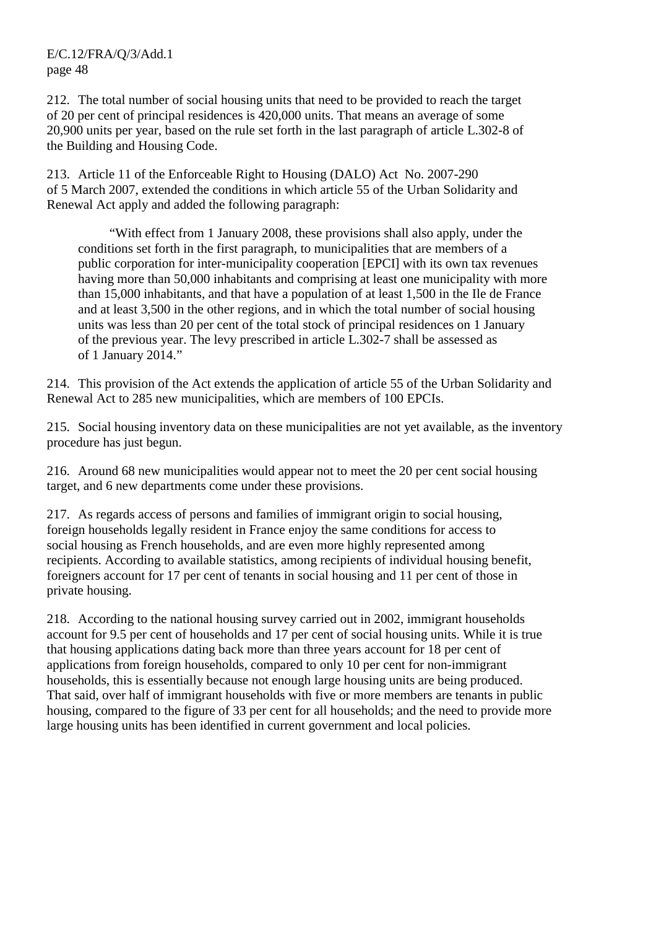212. The total number of social housing units that need to be provided to reach the target of 20 per cent of principal residences is 420,000 units. That means an average of some 20,900 units per year, based on the rule set forth in the last paragraph of article L.302-8 of the Building and Housing Code.

213. Article 11 of the Enforceable Right to Housing (DALO) Act No. 2007-290 of 5 March 2007, extended the conditions in which article 55 of the Urban Solidarity and Renewal Act apply and added the following paragraph:

 "With effect from 1 January 2008, these provisions shall also apply, under the conditions set forth in the first paragraph, to municipalities that are members of a public corporation for inter-municipality cooperation [EPCI] with its own tax revenues having more than 50,000 inhabitants and comprising at least one municipality with more than 15,000 inhabitants, and that have a population of at least 1,500 in the Ile de France and at least 3,500 in the other regions, and in which the total number of social housing units was less than 20 per cent of the total stock of principal residences on 1 January of the previous year. The levy prescribed in article L.302-7 shall be assessed as of 1 January 2014."

214. This provision of the Act extends the application of article 55 of the Urban Solidarity and Renewal Act to 285 new municipalities, which are members of 100 EPCIs.

215. Social housing inventory data on these municipalities are not yet available, as the inventory procedure has just begun.

216. Around 68 new municipalities would appear not to meet the 20 per cent social housing target, and 6 new departments come under these provisions.

217. As regards access of persons and families of immigrant origin to social housing, foreign households legally resident in France enjoy the same conditions for access to social housing as French households, and are even more highly represented among recipients. According to available statistics, among recipients of individual housing benefit, foreigners account for 17 per cent of tenants in social housing and 11 per cent of those in private housing.

218. According to the national housing survey carried out in 2002, immigrant households account for 9.5 per cent of households and 17 per cent of social housing units. While it is true that housing applications dating back more than three years account for 18 per cent of applications from foreign households, compared to only 10 per cent for non-immigrant households, this is essentially because not enough large housing units are being produced. That said, over half of immigrant households with five or more members are tenants in public housing, compared to the figure of 33 per cent for all households; and the need to provide more large housing units has been identified in current government and local policies.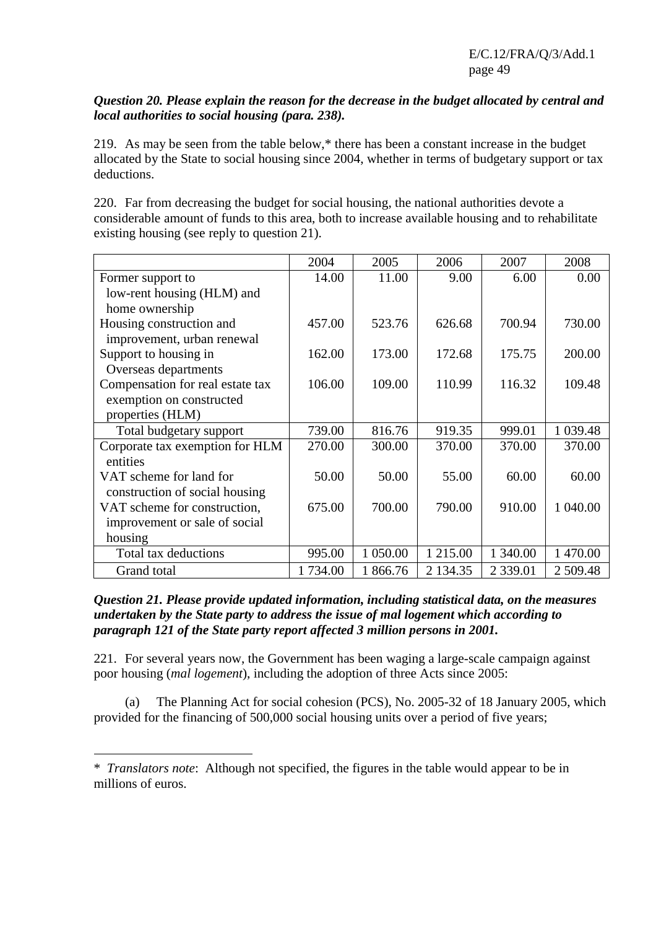#### *Question 20. Please explain the reason for the decrease in the budget allocated by central and local authorities to social housing (para. 238).*

219. As may be seen from the table below,\* there has been a constant increase in the budget allocated by the State to social housing since 2004, whether in terms of budgetary support or tax deductions.

220. Far from decreasing the budget for social housing, the national authorities devote a considerable amount of funds to this area, both to increase available housing and to rehabilitate existing housing (see reply to question 21).

|                                  | 2004    | 2005     | 2006     | 2007          | 2008      |
|----------------------------------|---------|----------|----------|---------------|-----------|
| Former support to                | 14.00   | 11.00    | 9.00     | 6.00          | 0.00      |
| low-rent housing (HLM) and       |         |          |          |               |           |
| home ownership                   |         |          |          |               |           |
| Housing construction and         | 457.00  | 523.76   | 626.68   | 700.94        | 730.00    |
| improvement, urban renewal       |         |          |          |               |           |
| Support to housing in            | 162.00  | 173.00   | 172.68   | 175.75        | 200.00    |
| Overseas departments             |         |          |          |               |           |
| Compensation for real estate tax | 106.00  | 109.00   | 110.99   | 116.32        | 109.48    |
| exemption on constructed         |         |          |          |               |           |
| properties (HLM)                 |         |          |          |               |           |
| Total budgetary support          | 739.00  | 816.76   | 919.35   | 999.01        | 1 0 39.48 |
| Corporate tax exemption for HLM  | 270.00  | 300.00   | 370.00   | 370.00        | 370.00    |
| entities                         |         |          |          |               |           |
| VAT scheme for land for          | 50.00   | 50.00    | 55.00    | 60.00         | 60.00     |
| construction of social housing   |         |          |          |               |           |
| VAT scheme for construction,     | 675.00  | 700.00   | 790.00   | 910.00        | 1 040.00  |
| improvement or sale of social    |         |          |          |               |           |
| housing                          |         |          |          |               |           |
| Total tax deductions             | 995.00  | 1 050.00 | 1 215.00 | 1 340.00      | 1 470.00  |
| Grand total                      | 1734.00 | 1 866.76 | 2 134.35 | 2 3 3 9 . 0 1 | 2 509.48  |

*Question 21. Please provide updated information, including statistical data, on the measures undertaken by the State party to address the issue of mal logement which according to paragraph 121 of the State party report affected 3 million persons in 2001.* 

221. For several years now, the Government has been waging a large-scale campaign against poor housing (*mal logement*), including the adoption of three Acts since 2005:

 (a) The Planning Act for social cohesion (PCS), No. 2005-32 of 18 January 2005, which provided for the financing of 500,000 social housing units over a period of five years;

 $\overline{a}$ 

<sup>\*</sup>*Translators note*: Although not specified, the figures in the table would appear to be in millions of euros.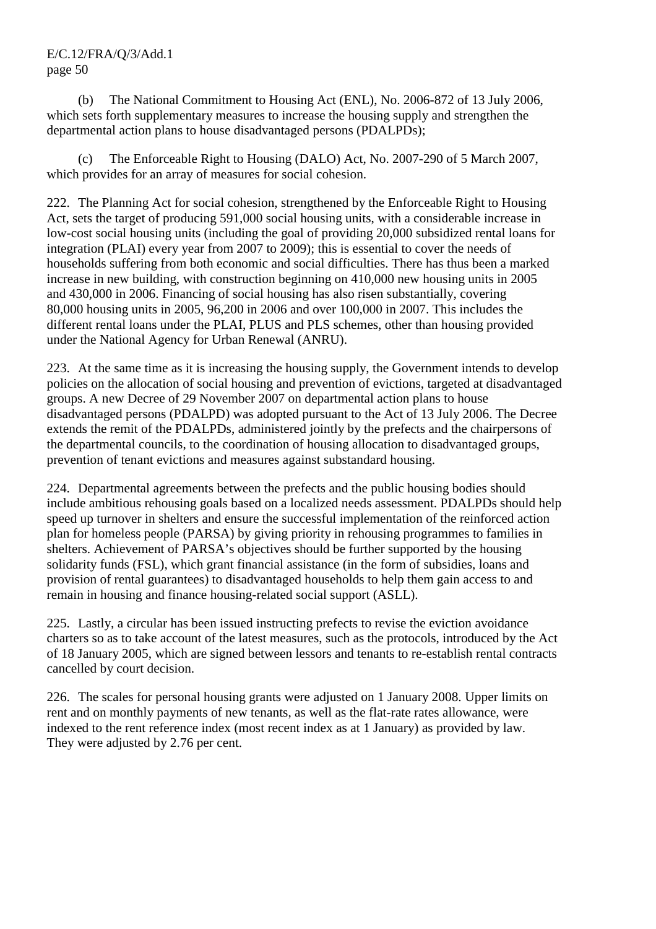(b) The National Commitment to Housing Act (ENL), No. 2006-872 of 13 July 2006, which sets forth supplementary measures to increase the housing supply and strengthen the departmental action plans to house disadvantaged persons (PDALPDs);

 (c) The Enforceable Right to Housing (DALO) Act, No. 2007-290 of 5 March 2007, which provides for an array of measures for social cohesion.

222. The Planning Act for social cohesion, strengthened by the Enforceable Right to Housing Act, sets the target of producing 591,000 social housing units, with a considerable increase in low-cost social housing units (including the goal of providing 20,000 subsidized rental loans for integration (PLAI) every year from 2007 to 2009); this is essential to cover the needs of households suffering from both economic and social difficulties. There has thus been a marked increase in new building, with construction beginning on 410,000 new housing units in 2005 and 430,000 in 2006. Financing of social housing has also risen substantially, covering 80,000 housing units in 2005, 96,200 in 2006 and over 100,000 in 2007. This includes the different rental loans under the PLAI, PLUS and PLS schemes, other than housing provided under the National Agency for Urban Renewal (ANRU).

223. At the same time as it is increasing the housing supply, the Government intends to develop policies on the allocation of social housing and prevention of evictions, targeted at disadvantaged groups. A new Decree of 29 November 2007 on departmental action plans to house disadvantaged persons (PDALPD) was adopted pursuant to the Act of 13 July 2006. The Decree extends the remit of the PDALPDs, administered jointly by the prefects and the chairpersons of the departmental councils, to the coordination of housing allocation to disadvantaged groups, prevention of tenant evictions and measures against substandard housing.

224. Departmental agreements between the prefects and the public housing bodies should include ambitious rehousing goals based on a localized needs assessment. PDALPDs should help speed up turnover in shelters and ensure the successful implementation of the reinforced action plan for homeless people (PARSA) by giving priority in rehousing programmes to families in shelters. Achievement of PARSA's objectives should be further supported by the housing solidarity funds (FSL), which grant financial assistance (in the form of subsidies, loans and provision of rental guarantees) to disadvantaged households to help them gain access to and remain in housing and finance housing-related social support (ASLL).

225. Lastly, a circular has been issued instructing prefects to revise the eviction avoidance charters so as to take account of the latest measures, such as the protocols, introduced by the Act of 18 January 2005, which are signed between lessors and tenants to re-establish rental contracts cancelled by court decision.

226. The scales for personal housing grants were adjusted on 1 January 2008. Upper limits on rent and on monthly payments of new tenants, as well as the flat-rate rates allowance, were indexed to the rent reference index (most recent index as at 1 January) as provided by law. They were adjusted by 2.76 per cent.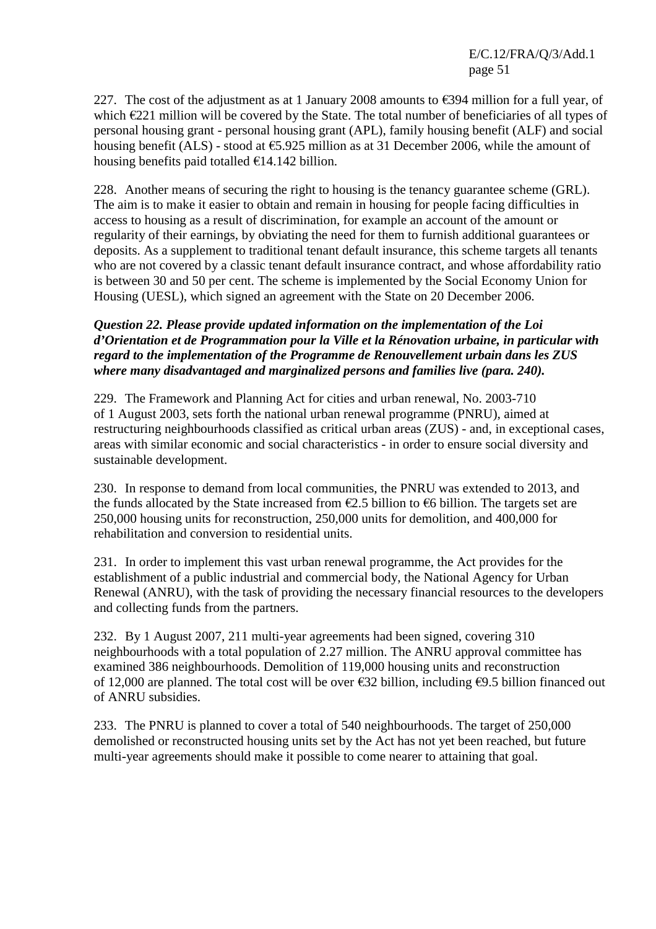227. The cost of the adjustment as at 1 January 2008 amounts to  $\epsilon$ 394 million for a full year, of which  $E221$  million will be covered by the State. The total number of beneficiaries of all types of personal housing grant - personal housing grant (APL), family housing benefit (ALF) and social housing benefit (ALS) - stood at  $\epsilon$ 5.925 million as at 31 December 2006, while the amount of housing benefits paid totalled  $\epsilon$ 14.142 billion.

228. Another means of securing the right to housing is the tenancy guarantee scheme (GRL). The aim is to make it easier to obtain and remain in housing for people facing difficulties in access to housing as a result of discrimination, for example an account of the amount or regularity of their earnings, by obviating the need for them to furnish additional guarantees or deposits. As a supplement to traditional tenant default insurance, this scheme targets all tenants who are not covered by a classic tenant default insurance contract, and whose affordability ratio is between 30 and 50 per cent. The scheme is implemented by the Social Economy Union for Housing (UESL), which signed an agreement with the State on 20 December 2006.

#### *Question 22. Please provide updated information on the implementation of the Loi d'Orientation et de Programmation pour la Ville et la Rénovation urbaine, in particular with regard to the implementation of the Programme de Renouvellement urbain dans les ZUS where many disadvantaged and marginalized persons and families live (para. 240).*

229. The Framework and Planning Act for cities and urban renewal, No. 2003-710 of 1 August 2003, sets forth the national urban renewal programme (PNRU), aimed at restructuring neighbourhoods classified as critical urban areas (ZUS) - and, in exceptional cases, areas with similar economic and social characteristics - in order to ensure social diversity and sustainable development.

230. In response to demand from local communities, the PNRU was extended to 2013, and the funds allocated by the State increased from  $\epsilon$ 2.5 billion to  $\epsilon$ 6 billion. The targets set are 250,000 housing units for reconstruction, 250,000 units for demolition, and 400,000 for rehabilitation and conversion to residential units.

231. In order to implement this vast urban renewal programme, the Act provides for the establishment of a public industrial and commercial body, the National Agency for Urban Renewal (ANRU), with the task of providing the necessary financial resources to the developers and collecting funds from the partners.

232. By 1 August 2007, 211 multi-year agreements had been signed, covering 310 neighbourhoods with a total population of 2.27 million. The ANRU approval committee has examined 386 neighbourhoods. Demolition of 119,000 housing units and reconstruction of 12,000 are planned. The total cost will be over €32 billion, including €9.5 billion financed out of ANRU subsidies.

233. The PNRU is planned to cover a total of 540 neighbourhoods. The target of 250,000 demolished or reconstructed housing units set by the Act has not yet been reached, but future multi-year agreements should make it possible to come nearer to attaining that goal.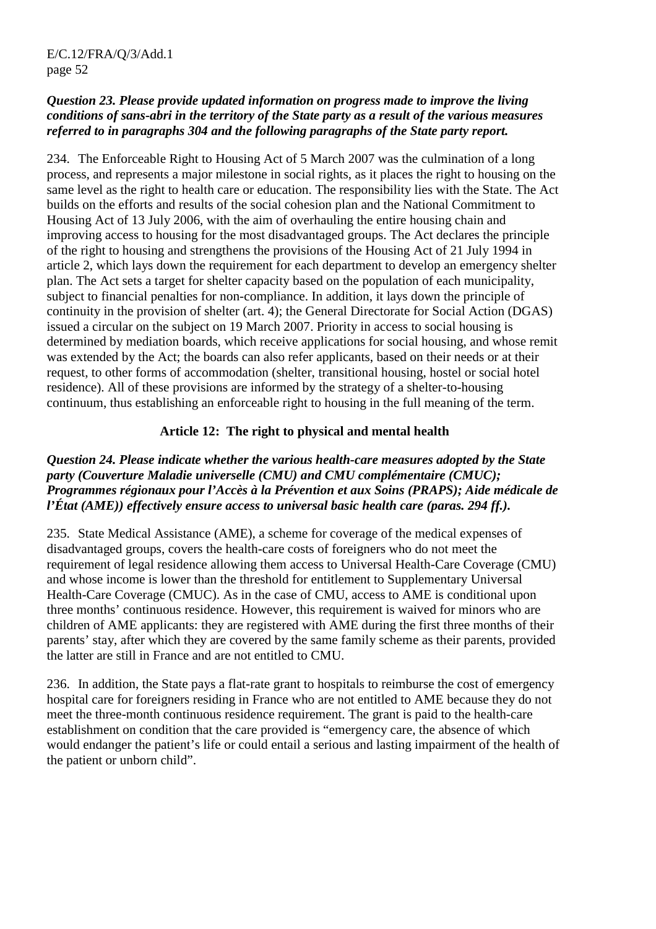#### *Question 23. Please provide updated information on progress made to improve the living conditions of sans-abri in the territory of the State party as a result of the various measures referred to in paragraphs 304 and the following paragraphs of the State party report.*

234. The Enforceable Right to Housing Act of 5 March 2007 was the culmination of a long process, and represents a major milestone in social rights, as it places the right to housing on the same level as the right to health care or education. The responsibility lies with the State. The Act builds on the efforts and results of the social cohesion plan and the National Commitment to Housing Act of 13 July 2006, with the aim of overhauling the entire housing chain and improving access to housing for the most disadvantaged groups. The Act declares the principle of the right to housing and strengthens the provisions of the Housing Act of 21 July 1994 in article 2, which lays down the requirement for each department to develop an emergency shelter plan. The Act sets a target for shelter capacity based on the population of each municipality, subject to financial penalties for non-compliance. In addition, it lays down the principle of continuity in the provision of shelter (art. 4); the General Directorate for Social Action (DGAS) issued a circular on the subject on 19 March 2007. Priority in access to social housing is determined by mediation boards, which receive applications for social housing, and whose remit was extended by the Act; the boards can also refer applicants, based on their needs or at their request, to other forms of accommodation (shelter, transitional housing, hostel or social hotel residence). All of these provisions are informed by the strategy of a shelter-to-housing continuum, thus establishing an enforceable right to housing in the full meaning of the term.

### **Article 12: The right to physical and mental health**

#### *Question 24. Please indicate whether the various health-care measures adopted by the State party (Couverture Maladie universelle (CMU) and CMU complémentaire (CMUC); Programmes régionaux pour l'Accès à la Prévention et aux Soins (PRAPS); Aide médicale de l'État (AME)) effectively ensure access to universal basic health care (paras. 294 ff.).*

235. State Medical Assistance (AME), a scheme for coverage of the medical expenses of disadvantaged groups, covers the health-care costs of foreigners who do not meet the requirement of legal residence allowing them access to Universal Health-Care Coverage (CMU) and whose income is lower than the threshold for entitlement to Supplementary Universal Health-Care Coverage (CMUC). As in the case of CMU, access to AME is conditional upon three months' continuous residence. However, this requirement is waived for minors who are children of AME applicants: they are registered with AME during the first three months of their parents' stay, after which they are covered by the same family scheme as their parents, provided the latter are still in France and are not entitled to CMU.

236. In addition, the State pays a flat-rate grant to hospitals to reimburse the cost of emergency hospital care for foreigners residing in France who are not entitled to AME because they do not meet the three-month continuous residence requirement. The grant is paid to the health-care establishment on condition that the care provided is "emergency care, the absence of which would endanger the patient's life or could entail a serious and lasting impairment of the health of the patient or unborn child".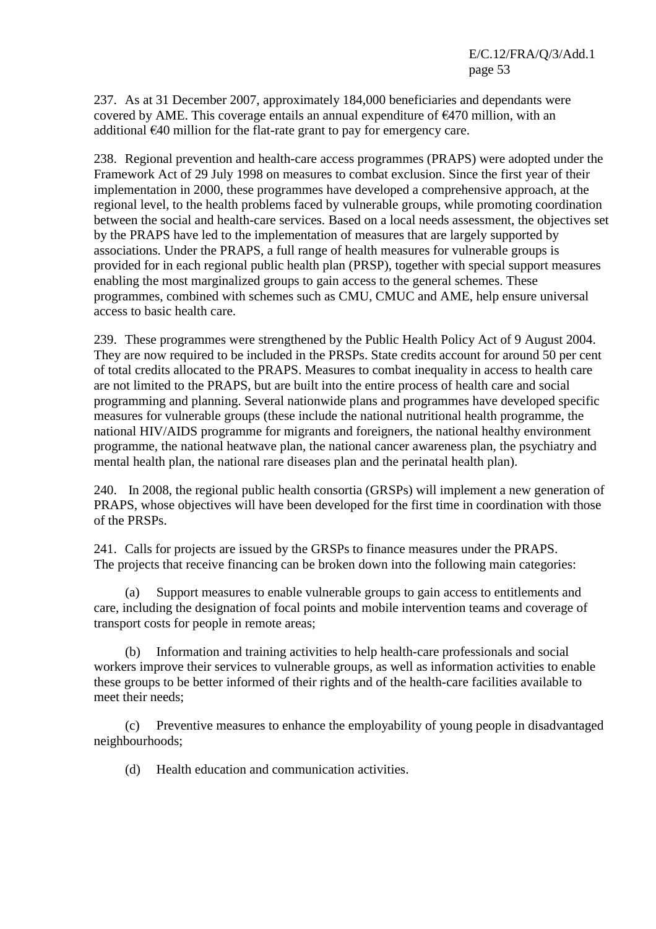237. As at 31 December 2007, approximately 184,000 beneficiaries and dependants were covered by AME. This coverage entails an annual expenditure of  $E$ 470 million, with an additional €40 million for the flat-rate grant to pay for emergency care.

238. Regional prevention and health-care access programmes (PRAPS) were adopted under the Framework Act of 29 July 1998 on measures to combat exclusion. Since the first year of their implementation in 2000, these programmes have developed a comprehensive approach, at the regional level, to the health problems faced by vulnerable groups, while promoting coordination between the social and health-care services. Based on a local needs assessment, the objectives set by the PRAPS have led to the implementation of measures that are largely supported by associations. Under the PRAPS, a full range of health measures for vulnerable groups is provided for in each regional public health plan (PRSP), together with special support measures enabling the most marginalized groups to gain access to the general schemes. These programmes, combined with schemes such as CMU, CMUC and AME, help ensure universal access to basic health care.

239. These programmes were strengthened by the Public Health Policy Act of 9 August 2004. They are now required to be included in the PRSPs. State credits account for around 50 per cent of total credits allocated to the PRAPS. Measures to combat inequality in access to health care are not limited to the PRAPS, but are built into the entire process of health care and social programming and planning. Several nationwide plans and programmes have developed specific measures for vulnerable groups (these include the national nutritional health programme, the national HIV/AIDS programme for migrants and foreigners, the national healthy environment programme, the national heatwave plan, the national cancer awareness plan, the psychiatry and mental health plan, the national rare diseases plan and the perinatal health plan).

240. In 2008, the regional public health consortia (GRSPs) will implement a new generation of PRAPS, whose objectives will have been developed for the first time in coordination with those of the PRSPs.

241. Calls for projects are issued by the GRSPs to finance measures under the PRAPS. The projects that receive financing can be broken down into the following main categories:

 (a) Support measures to enable vulnerable groups to gain access to entitlements and care, including the designation of focal points and mobile intervention teams and coverage of transport costs for people in remote areas;

 (b) Information and training activities to help health-care professionals and social workers improve their services to vulnerable groups, as well as information activities to enable these groups to be better informed of their rights and of the health-care facilities available to meet their needs;

 (c) Preventive measures to enhance the employability of young people in disadvantaged neighbourhoods;

(d) Health education and communication activities.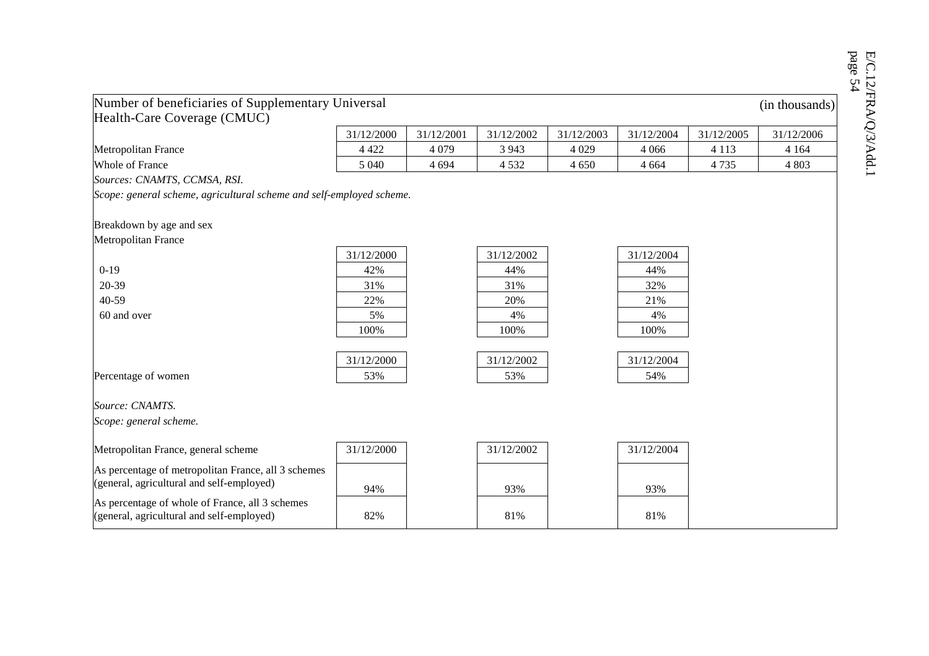| Number of beneficiaries of Supplementary Universal                   |            |            |            |            |            |            | (in thousands) |
|----------------------------------------------------------------------|------------|------------|------------|------------|------------|------------|----------------|
| Health-Care Coverage (CMUC)                                          |            |            |            |            |            |            |                |
|                                                                      | 31/12/2000 | 31/12/2001 | 31/12/2002 | 31/12/2003 | 31/12/2004 | 31/12/2005 | 31/12/2006     |
| Metropolitan France                                                  | 4 4 2 2    | 4 0 7 9    | 3 9 4 3    | 4 0 29     | 4 0 6 6    | 4 1 1 3    | 4 1 6 4        |
| Whole of France                                                      | 5 0 4 0    | 4 6 9 4    | 4 5 3 2    | 4 6 5 0    | 4 6 6 4    | 4 7 3 5    | 4 8 0 3        |
| Sources: CNAMTS, CCMSA, RSI.                                         |            |            |            |            |            |            |                |
|                                                                      |            |            |            |            |            |            |                |
| Scope: general scheme, agricultural scheme and self-employed scheme. |            |            |            |            |            |            |                |
|                                                                      |            |            |            |            |            |            |                |
| Breakdown by age and sex                                             |            |            |            |            |            |            |                |
| <b>Metropolitan France</b>                                           |            |            |            |            |            |            |                |
|                                                                      | 31/12/2000 |            | 31/12/2002 |            | 31/12/2004 |            |                |
| $0-19$                                                               | 42%        |            | 44%        |            | 44%        |            |                |

100% 100% 100%

31/12/2004

Percentage of women  $53\%$  53% 53% 53% 54%

*Source: CNAMTS.* 

*Scope: general scheme.* 

| Metropolitan France, general scheme                                                              | 31/12/2000 | 31/12/2002 | 31/12/2004 |  |
|--------------------------------------------------------------------------------------------------|------------|------------|------------|--|
| As percentage of metropolitan France, all 3 schemes<br>(general, agricultural and self-employed) | 94%        | 93%        | 93%        |  |
| As percentage of whole of France, all 3 schemes<br>(general, agricultural and self-employed)     | 82%        | 81%        | 81%        |  |

31/12/2000 31/12/2002 31/12/2004

 40-59 22% 20% 21% 60 and over  $5\%$   $5\%$   $4\%$ 

E/C.12/FRA/Q/3/Add.1<br>page 54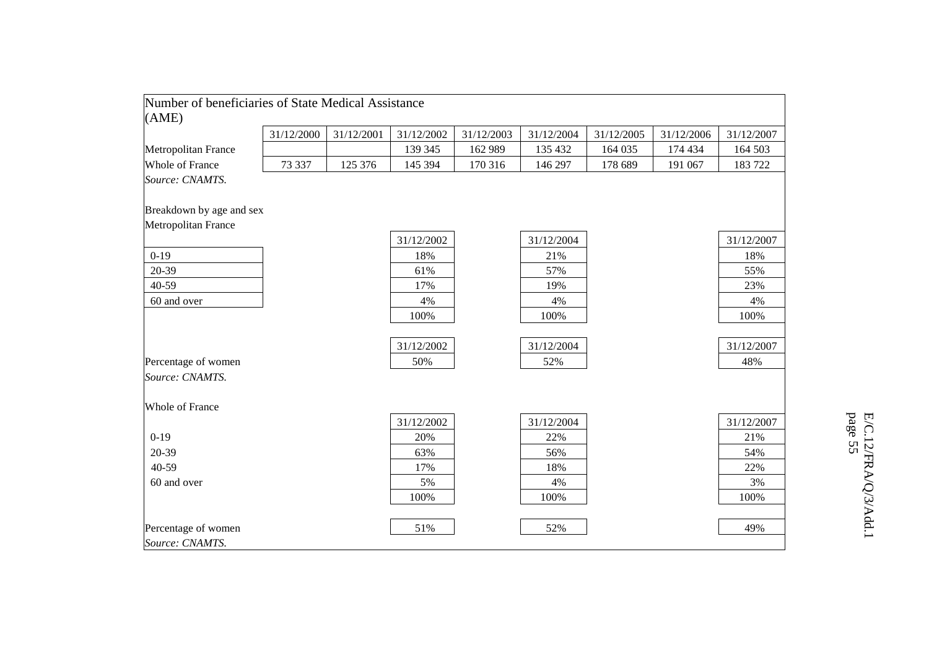| Number of beneficiaries of State Medical Assistance |            |            |            |            |            |            |            |            |
|-----------------------------------------------------|------------|------------|------------|------------|------------|------------|------------|------------|
| (AME)                                               |            |            |            |            |            |            |            |            |
|                                                     | 31/12/2000 | 31/12/2001 | 31/12/2002 | 31/12/2003 | 31/12/2004 | 31/12/2005 | 31/12/2006 | 31/12/2007 |
| Metropolitan France                                 |            |            | 139 345    | 162 989    | 135 432    | 164 035    | 174 434    | 164 503    |
| Whole of France                                     | 73 337     | 125 376    | 145 394    | 170 316    | 146 297    | 178 689    | 191 067    | 183722     |
| Source: CNAMTS.                                     |            |            |            |            |            |            |            |            |
|                                                     |            |            |            |            |            |            |            |            |
| Breakdown by age and sex                            |            |            |            |            |            |            |            |            |
| Metropolitan France                                 |            |            |            |            |            |            |            |            |
|                                                     |            |            | 31/12/2002 |            | 31/12/2004 |            |            | 31/12/2007 |
| $0-19$                                              |            |            | 18%        |            | 21%        |            |            | 18%        |
| 20-39                                               |            |            | 61%        |            | 57%        |            |            | 55%        |
| 40-59                                               |            |            | 17%        |            | 19%        |            |            | 23%        |
| 60 and over                                         |            |            | 4%         |            | 4%         |            |            | 4%         |
|                                                     |            |            | 100%       |            | 100%       |            |            | 100%       |
|                                                     |            |            |            |            |            |            |            |            |
|                                                     |            |            | 31/12/2002 |            | 31/12/2004 |            |            | 31/12/2007 |
| Percentage of women                                 |            |            | 50%        |            | 52%        |            |            | 48%        |
| Source: CNAMTS.                                     |            |            |            |            |            |            |            |            |
|                                                     |            |            |            |            |            |            |            |            |
| Whole of France                                     |            |            |            |            |            |            |            |            |
|                                                     |            |            | 31/12/2002 |            | 31/12/2004 |            |            | 31/12/2007 |
| $0-19$                                              |            |            | 20%        |            | 22%        |            |            | 21%        |
| 20-39                                               |            |            | 63%        |            | 56%        |            |            | 54%        |
| 40-59                                               |            |            | 17%        |            | 18%        |            |            | 22%        |
| 60 and over                                         |            |            | 5%         |            | 4%         |            |            | 3%         |
|                                                     |            |            | 100%       |            | 100%       |            |            | 100%       |
|                                                     |            |            |            |            |            |            |            |            |
| Percentage of women                                 |            |            | 51%        |            | 52%        |            |            | 49%        |
| Source: CNAMTS.                                     |            |            |            |            |            |            |            |            |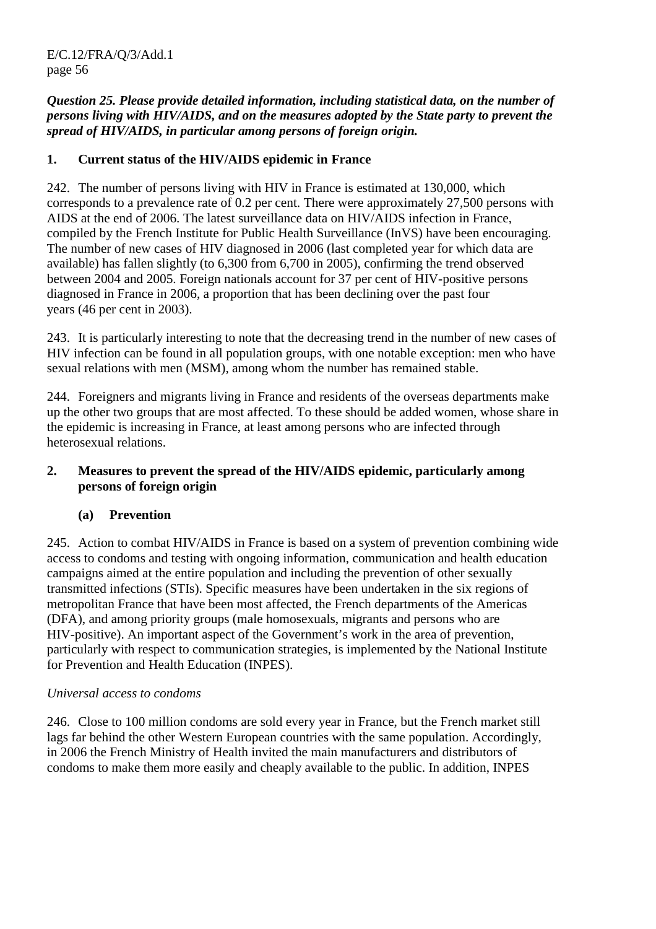*Question 25. Please provide detailed information, including statistical data, on the number of persons living with HIV/AIDS, and on the measures adopted by the State party to prevent the spread of HIV/AIDS, in particular among persons of foreign origin.* 

## **1. Current status of the HIV/AIDS epidemic in France**

242. The number of persons living with HIV in France is estimated at 130,000, which corresponds to a prevalence rate of 0.2 per cent. There were approximately 27,500 persons with AIDS at the end of 2006. The latest surveillance data on HIV/AIDS infection in France, compiled by the French Institute for Public Health Surveillance (InVS) have been encouraging. The number of new cases of HIV diagnosed in 2006 (last completed year for which data are available) has fallen slightly (to 6,300 from 6,700 in 2005), confirming the trend observed between 2004 and 2005. Foreign nationals account for 37 per cent of HIV-positive persons diagnosed in France in 2006, a proportion that has been declining over the past four years (46 per cent in 2003).

243. It is particularly interesting to note that the decreasing trend in the number of new cases of HIV infection can be found in all population groups, with one notable exception: men who have sexual relations with men (MSM), among whom the number has remained stable.

244. Foreigners and migrants living in France and residents of the overseas departments make up the other two groups that are most affected. To these should be added women, whose share in the epidemic is increasing in France, at least among persons who are infected through heterosexual relations.

#### **2. Measures to prevent the spread of the HIV/AIDS epidemic, particularly among persons of foreign origin**

# **(a) Prevention**

245. Action to combat HIV/AIDS in France is based on a system of prevention combining wide access to condoms and testing with ongoing information, communication and health education campaigns aimed at the entire population and including the prevention of other sexually transmitted infections (STIs). Specific measures have been undertaken in the six regions of metropolitan France that have been most affected, the French departments of the Americas (DFA), and among priority groups (male homosexuals, migrants and persons who are HIV-positive). An important aspect of the Government's work in the area of prevention, particularly with respect to communication strategies, is implemented by the National Institute for Prevention and Health Education (INPES).

#### *Universal access to condoms*

246. Close to 100 million condoms are sold every year in France, but the French market still lags far behind the other Western European countries with the same population. Accordingly, in 2006 the French Ministry of Health invited the main manufacturers and distributors of condoms to make them more easily and cheaply available to the public. In addition, INPES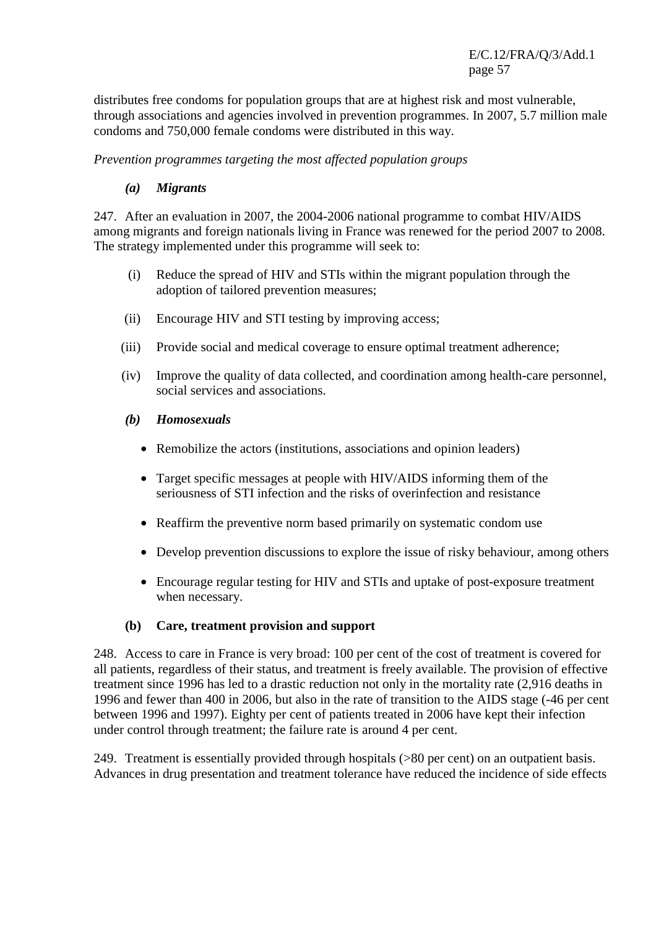distributes free condoms for population groups that are at highest risk and most vulnerable, through associations and agencies involved in prevention programmes. In 2007, 5.7 million male condoms and 750,000 female condoms were distributed in this way.

*Prevention programmes targeting the most affected population groups* 

#### *(a) Migrants*

247. After an evaluation in 2007, the 2004-2006 national programme to combat HIV/AIDS among migrants and foreign nationals living in France was renewed for the period 2007 to 2008. The strategy implemented under this programme will seek to:

- (i) Reduce the spread of HIV and STIs within the migrant population through the adoption of tailored prevention measures;
- (ii) Encourage HIV and STI testing by improving access;
- (iii) Provide social and medical coverage to ensure optimal treatment adherence;
- (iv) Improve the quality of data collected, and coordination among health-care personnel, social services and associations.
- *(b) Homosexuals* 
	- Remobilize the actors (institutions, associations and opinion leaders)
	- Target specific messages at people with HIV/AIDS informing them of the seriousness of STI infection and the risks of overinfection and resistance
	- Reaffirm the preventive norm based primarily on systematic condom use
	- Develop prevention discussions to explore the issue of risky behaviour, among others
	- Encourage regular testing for HIV and STIs and uptake of post-exposure treatment when necessary.

#### **(b) Care, treatment provision and support**

248. Access to care in France is very broad: 100 per cent of the cost of treatment is covered for all patients, regardless of their status, and treatment is freely available. The provision of effective treatment since 1996 has led to a drastic reduction not only in the mortality rate (2,916 deaths in 1996 and fewer than 400 in 2006, but also in the rate of transition to the AIDS stage (-46 per cent between 1996 and 1997). Eighty per cent of patients treated in 2006 have kept their infection under control through treatment; the failure rate is around 4 per cent.

249. Treatment is essentially provided through hospitals (>80 per cent) on an outpatient basis. Advances in drug presentation and treatment tolerance have reduced the incidence of side effects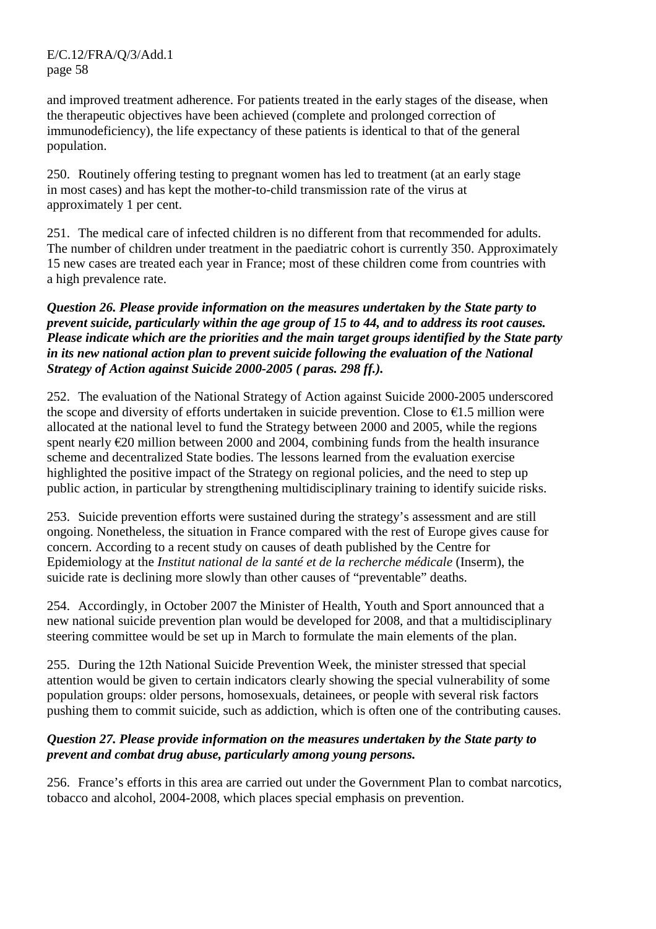and improved treatment adherence. For patients treated in the early stages of the disease, when the therapeutic objectives have been achieved (complete and prolonged correction of immunodeficiency), the life expectancy of these patients is identical to that of the general population.

250. Routinely offering testing to pregnant women has led to treatment (at an early stage in most cases) and has kept the mother-to-child transmission rate of the virus at approximately 1 per cent.

251. The medical care of infected children is no different from that recommended for adults. The number of children under treatment in the paediatric cohort is currently 350. Approximately 15 new cases are treated each year in France; most of these children come from countries with a high prevalence rate.

*Question 26. Please provide information on the measures undertaken by the State party to prevent suicide, particularly within the age group of 15 to 44, and to address its root causes. Please indicate which are the priorities and the main target groups identified by the State party in its new national action plan to prevent suicide following the evaluation of the National Strategy of Action against Suicide 2000-2005 ( paras. 298 ff.).* 

252. The evaluation of the National Strategy of Action against Suicide 2000-2005 underscored the scope and diversity of efforts undertaken in suicide prevention. Close to  $\epsilon$ 1.5 million were allocated at the national level to fund the Strategy between 2000 and 2005, while the regions spent nearly €20 million between 2000 and 2004, combining funds from the health insurance scheme and decentralized State bodies. The lessons learned from the evaluation exercise highlighted the positive impact of the Strategy on regional policies, and the need to step up public action, in particular by strengthening multidisciplinary training to identify suicide risks.

253. Suicide prevention efforts were sustained during the strategy's assessment and are still ongoing. Nonetheless, the situation in France compared with the rest of Europe gives cause for concern. According to a recent study on causes of death published by the Centre for Epidemiology at the *Institut national de la santé et de la recherche médicale* (Inserm), the suicide rate is declining more slowly than other causes of "preventable" deaths.

254. Accordingly, in October 2007 the Minister of Health, Youth and Sport announced that a new national suicide prevention plan would be developed for 2008, and that a multidisciplinary steering committee would be set up in March to formulate the main elements of the plan.

255. During the 12th National Suicide Prevention Week, the minister stressed that special attention would be given to certain indicators clearly showing the special vulnerability of some population groups: older persons, homosexuals, detainees, or people with several risk factors pushing them to commit suicide, such as addiction, which is often one of the contributing causes.

#### *Question 27. Please provide information on the measures undertaken by the State party to prevent and combat drug abuse, particularly among young persons.*

256. France's efforts in this area are carried out under the Government Plan to combat narcotics, tobacco and alcohol, 2004-2008, which places special emphasis on prevention.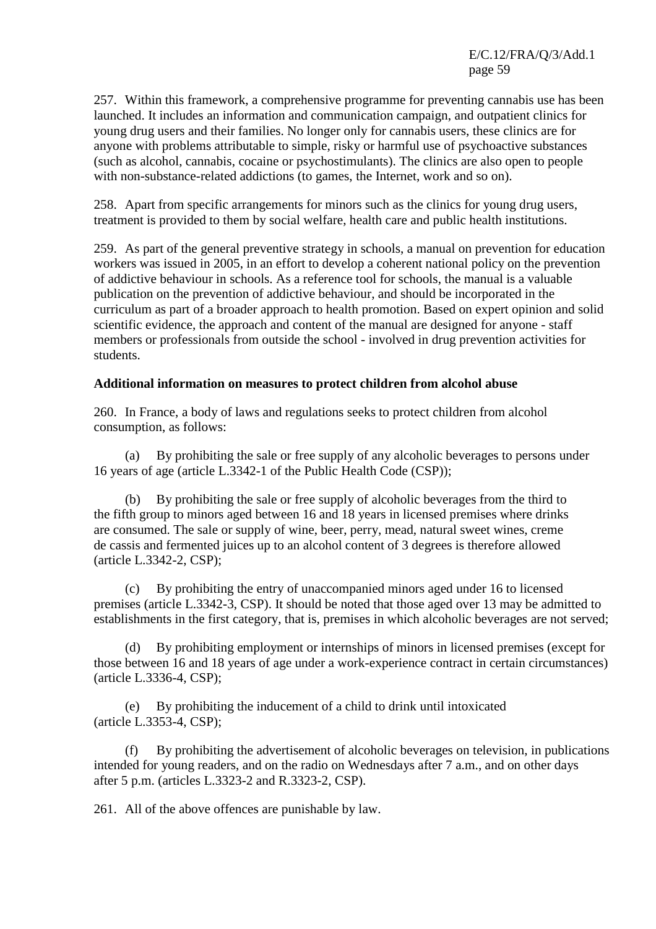257. Within this framework, a comprehensive programme for preventing cannabis use has been launched. It includes an information and communication campaign, and outpatient clinics for young drug users and their families. No longer only for cannabis users, these clinics are for anyone with problems attributable to simple, risky or harmful use of psychoactive substances (such as alcohol, cannabis, cocaine or psychostimulants). The clinics are also open to people with non-substance-related addictions (to games, the Internet, work and so on).

258. Apart from specific arrangements for minors such as the clinics for young drug users, treatment is provided to them by social welfare, health care and public health institutions.

259. As part of the general preventive strategy in schools, a manual on prevention for education workers was issued in 2005, in an effort to develop a coherent national policy on the prevention of addictive behaviour in schools. As a reference tool for schools, the manual is a valuable publication on the prevention of addictive behaviour, and should be incorporated in the curriculum as part of a broader approach to health promotion. Based on expert opinion and solid scientific evidence, the approach and content of the manual are designed for anyone - staff members or professionals from outside the school - involved in drug prevention activities for students.

#### **Additional information on measures to protect children from alcohol abuse**

260. In France, a body of laws and regulations seeks to protect children from alcohol consumption, as follows:

 (a) By prohibiting the sale or free supply of any alcoholic beverages to persons under 16 years of age (article L.3342-1 of the Public Health Code (CSP));

 (b) By prohibiting the sale or free supply of alcoholic beverages from the third to the fifth group to minors aged between 16 and 18 years in licensed premises where drinks are consumed. The sale or supply of wine, beer, perry, mead, natural sweet wines, creme de cassis and fermented juices up to an alcohol content of 3 degrees is therefore allowed (article L.3342-2, CSP);

 (c) By prohibiting the entry of unaccompanied minors aged under 16 to licensed premises (article L.3342-3, CSP). It should be noted that those aged over 13 may be admitted to establishments in the first category, that is, premises in which alcoholic beverages are not served;

 (d) By prohibiting employment or internships of minors in licensed premises (except for those between 16 and 18 years of age under a work-experience contract in certain circumstances) (article L.3336-4, CSP);

 (e) By prohibiting the inducement of a child to drink until intoxicated (article L.3353-4, CSP);

 (f) By prohibiting the advertisement of alcoholic beverages on television, in publications intended for young readers, and on the radio on Wednesdays after 7 a.m., and on other days after 5 p.m. (articles L.3323-2 and R.3323-2, CSP).

261. All of the above offences are punishable by law.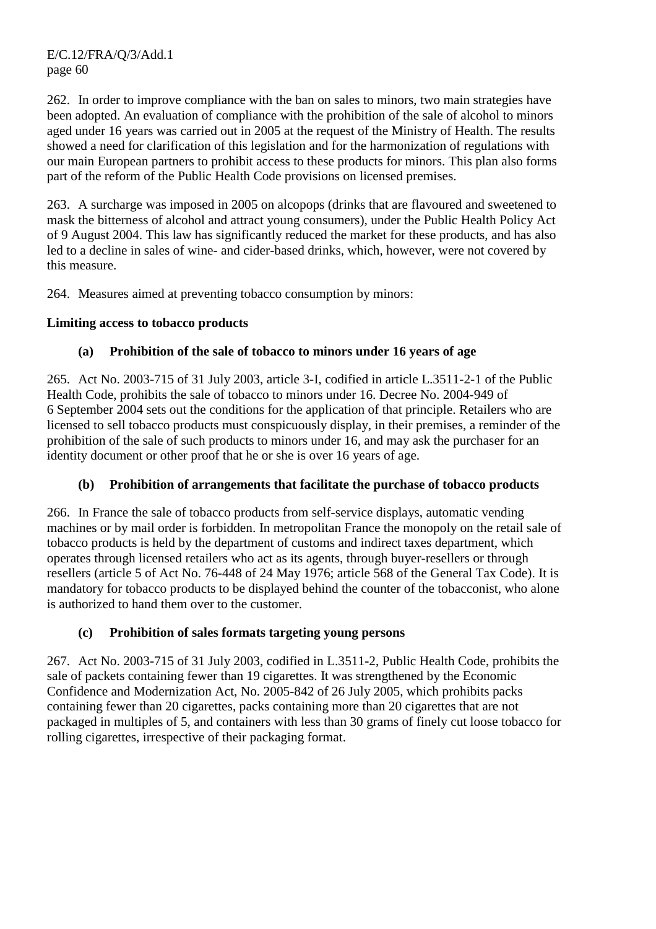262. In order to improve compliance with the ban on sales to minors, two main strategies have been adopted. An evaluation of compliance with the prohibition of the sale of alcohol to minors aged under 16 years was carried out in 2005 at the request of the Ministry of Health. The results showed a need for clarification of this legislation and for the harmonization of regulations with our main European partners to prohibit access to these products for minors. This plan also forms part of the reform of the Public Health Code provisions on licensed premises.

263. A surcharge was imposed in 2005 on alcopops (drinks that are flavoured and sweetened to mask the bitterness of alcohol and attract young consumers), under the Public Health Policy Act of 9 August 2004. This law has significantly reduced the market for these products, and has also led to a decline in sales of wine- and cider-based drinks, which, however, were not covered by this measure.

264. Measures aimed at preventing tobacco consumption by minors:

### **Limiting access to tobacco products**

### **(a) Prohibition of the sale of tobacco to minors under 16 years of age**

265. Act No. 2003-715 of 31 July 2003, article 3-I, codified in article L.3511-2-1 of the Public Health Code, prohibits the sale of tobacco to minors under 16. Decree No. 2004-949 of 6 September 2004 sets out the conditions for the application of that principle. Retailers who are licensed to sell tobacco products must conspicuously display, in their premises, a reminder of the prohibition of the sale of such products to minors under 16, and may ask the purchaser for an identity document or other proof that he or she is over 16 years of age.

#### **(b) Prohibition of arrangements that facilitate the purchase of tobacco products**

266. In France the sale of tobacco products from self-service displays, automatic vending machines or by mail order is forbidden. In metropolitan France the monopoly on the retail sale of tobacco products is held by the department of customs and indirect taxes department, which operates through licensed retailers who act as its agents, through buyer-resellers or through resellers (article 5 of Act No. 76-448 of 24 May 1976; article 568 of the General Tax Code). It is mandatory for tobacco products to be displayed behind the counter of the tobacconist, who alone is authorized to hand them over to the customer.

#### **(c) Prohibition of sales formats targeting young persons**

267. Act No. 2003-715 of 31 July 2003, codified in L.3511-2, Public Health Code, prohibits the sale of packets containing fewer than 19 cigarettes. It was strengthened by the Economic Confidence and Modernization Act, No. 2005-842 of 26 July 2005, which prohibits packs containing fewer than 20 cigarettes, packs containing more than 20 cigarettes that are not packaged in multiples of 5, and containers with less than 30 grams of finely cut loose tobacco for rolling cigarettes, irrespective of their packaging format.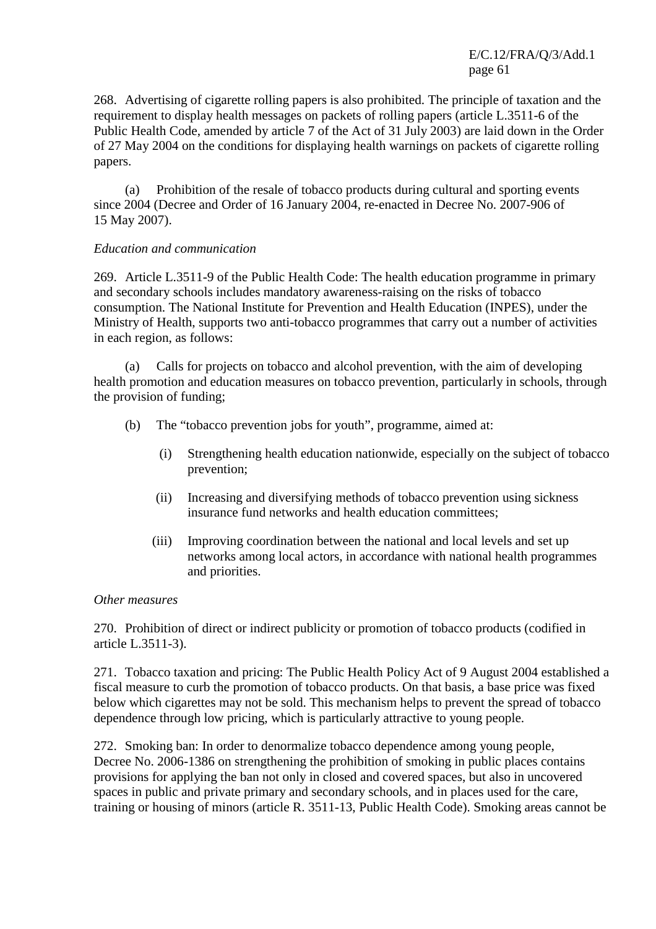268. Advertising of cigarette rolling papers is also prohibited. The principle of taxation and the requirement to display health messages on packets of rolling papers (article L.3511-6 of the Public Health Code, amended by article 7 of the Act of 31 July 2003) are laid down in the Order of 27 May 2004 on the conditions for displaying health warnings on packets of cigarette rolling papers.

 (a) Prohibition of the resale of tobacco products during cultural and sporting events since 2004 (Decree and Order of 16 January 2004, re-enacted in Decree No. 2007-906 of 15 May 2007).

#### *Education and communication*

269. Article L.3511-9 of the Public Health Code: The health education programme in primary and secondary schools includes mandatory awareness-raising on the risks of tobacco consumption. The National Institute for Prevention and Health Education (INPES), under the Ministry of Health, supports two anti-tobacco programmes that carry out a number of activities in each region, as follows:

 (a) Calls for projects on tobacco and alcohol prevention, with the aim of developing health promotion and education measures on tobacco prevention, particularly in schools, through the provision of funding;

- (b) The "tobacco prevention jobs for youth", programme, aimed at:
	- (i) Strengthening health education nationwide, especially on the subject of tobacco prevention;
	- (ii) Increasing and diversifying methods of tobacco prevention using sickness insurance fund networks and health education committees;
	- (iii) Improving coordination between the national and local levels and set up networks among local actors, in accordance with national health programmes and priorities.

#### *Other measures*

270. Prohibition of direct or indirect publicity or promotion of tobacco products (codified in article L.3511-3).

271. Tobacco taxation and pricing: The Public Health Policy Act of 9 August 2004 established a fiscal measure to curb the promotion of tobacco products. On that basis, a base price was fixed below which cigarettes may not be sold. This mechanism helps to prevent the spread of tobacco dependence through low pricing, which is particularly attractive to young people.

272. Smoking ban: In order to denormalize tobacco dependence among young people, Decree No. 2006-1386 on strengthening the prohibition of smoking in public places contains provisions for applying the ban not only in closed and covered spaces, but also in uncovered spaces in public and private primary and secondary schools, and in places used for the care, training or housing of minors (article R. 3511-13, Public Health Code). Smoking areas cannot be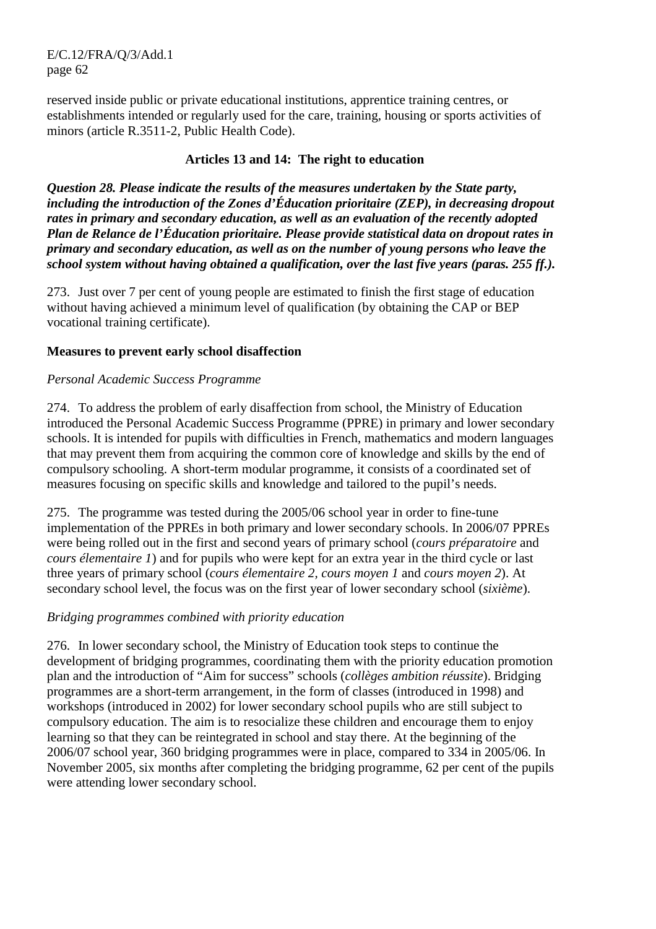reserved inside public or private educational institutions, apprentice training centres, or establishments intended or regularly used for the care, training, housing or sports activities of minors (article R.3511-2, Public Health Code).

#### **Articles 13 and 14: The right to education**

*Question 28. Please indicate the results of the measures undertaken by the State party, including the introduction of the Zones d'Éducation prioritaire (ZEP), in decreasing dropout rates in primary and secondary education, as well as an evaluation of the recently adopted Plan de Relance de l'Éducation prioritaire. Please provide statistical data on dropout rates in primary and secondary education, as well as on the number of young persons who leave the school system without having obtained a qualification, over the last five years (paras. 255 ff.).* 

273. Just over 7 per cent of young people are estimated to finish the first stage of education without having achieved a minimum level of qualification (by obtaining the CAP or BEP vocational training certificate).

#### **Measures to prevent early school disaffection**

#### *Personal Academic Success Programme*

274. To address the problem of early disaffection from school, the Ministry of Education introduced the Personal Academic Success Programme (PPRE) in primary and lower secondary schools. It is intended for pupils with difficulties in French, mathematics and modern languages that may prevent them from acquiring the common core of knowledge and skills by the end of compulsory schooling. A short-term modular programme, it consists of a coordinated set of measures focusing on specific skills and knowledge and tailored to the pupil's needs.

275. The programme was tested during the 2005/06 school year in order to fine-tune implementation of the PPREs in both primary and lower secondary schools. In 2006/07 PPREs were being rolled out in the first and second years of primary school (*cours préparatoire* and *cours élementaire 1*) and for pupils who were kept for an extra year in the third cycle or last three years of primary school (*cours élementaire 2, cours moyen 1* and *cours moyen 2*). At secondary school level, the focus was on the first year of lower secondary school (*sixième*).

#### *Bridging programmes combined with priority education*

276. In lower secondary school, the Ministry of Education took steps to continue the development of bridging programmes, coordinating them with the priority education promotion plan and the introduction of "Aim for success" schools (*collèges ambition réussite*). Bridging programmes are a short-term arrangement, in the form of classes (introduced in 1998) and workshops (introduced in 2002) for lower secondary school pupils who are still subject to compulsory education. The aim is to resocialize these children and encourage them to enjoy learning so that they can be reintegrated in school and stay there. At the beginning of the 2006/07 school year, 360 bridging programmes were in place, compared to 334 in 2005/06. In November 2005, six months after completing the bridging programme, 62 per cent of the pupils were attending lower secondary school.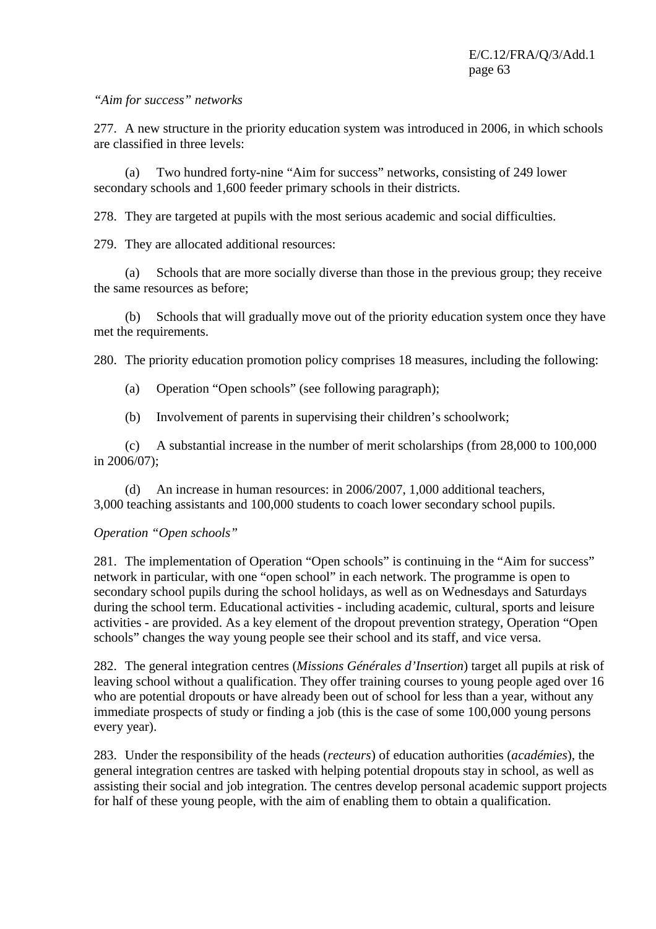#### *"Aim for success" networks*

277. A new structure in the priority education system was introduced in 2006, in which schools are classified in three levels:

 (a) Two hundred forty-nine "Aim for success" networks, consisting of 249 lower secondary schools and 1,600 feeder primary schools in their districts.

278. They are targeted at pupils with the most serious academic and social difficulties.

279. They are allocated additional resources:

 (a) Schools that are more socially diverse than those in the previous group; they receive the same resources as before;

 (b) Schools that will gradually move out of the priority education system once they have met the requirements.

280. The priority education promotion policy comprises 18 measures, including the following:

- (a) Operation "Open schools" (see following paragraph);
- (b) Involvement of parents in supervising their children's schoolwork;

 (c) A substantial increase in the number of merit scholarships (from 28,000 to 100,000 in 2006/07);

 (d) An increase in human resources: in 2006/2007, 1,000 additional teachers, 3,000 teaching assistants and 100,000 students to coach lower secondary school pupils.

#### *Operation "Open schools"*

281. The implementation of Operation "Open schools" is continuing in the "Aim for success" network in particular, with one "open school" in each network. The programme is open to secondary school pupils during the school holidays, as well as on Wednesdays and Saturdays during the school term. Educational activities - including academic, cultural, sports and leisure activities - are provided. As a key element of the dropout prevention strategy, Operation "Open schools" changes the way young people see their school and its staff, and vice versa.

282. The general integration centres (*Missions Générales d'Insertion*) target all pupils at risk of leaving school without a qualification. They offer training courses to young people aged over 16 who are potential dropouts or have already been out of school for less than a year, without any immediate prospects of study or finding a job (this is the case of some 100,000 young persons every year).

283. Under the responsibility of the heads (*recteurs*) of education authorities (*académies*), the general integration centres are tasked with helping potential dropouts stay in school, as well as assisting their social and job integration. The centres develop personal academic support projects for half of these young people, with the aim of enabling them to obtain a qualification.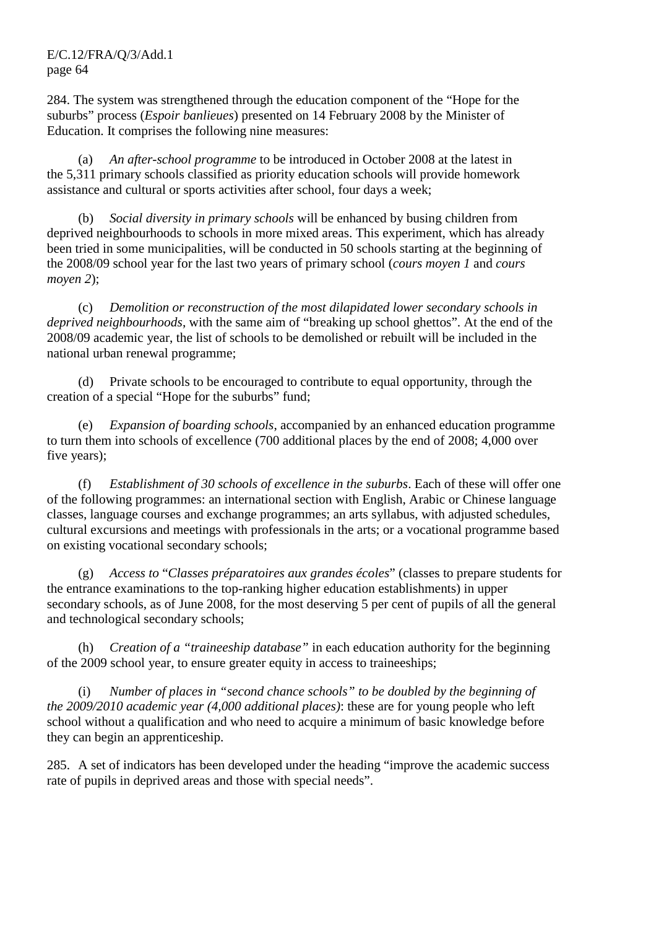284. The system was strengthened through the education component of the "Hope for the suburbs" process (*Espoir banlieues*) presented on 14 February 2008 by the Minister of Education. It comprises the following nine measures:

 (a) *An after-school programme* to be introduced in October 2008 at the latest in the 5,311 primary schools classified as priority education schools will provide homework assistance and cultural or sports activities after school, four days a week;

 (b) *Social diversity in primary schools* will be enhanced by busing children from deprived neighbourhoods to schools in more mixed areas. This experiment, which has already been tried in some municipalities, will be conducted in 50 schools starting at the beginning of the 2008/09 school year for the last two years of primary school (*cours moyen 1* and *cours moyen 2*);

 (c) *Demolition or reconstruction of the most dilapidated lower secondary schools in deprived neighbourhoods*, with the same aim of "breaking up school ghettos". At the end of the 2008/09 academic year, the list of schools to be demolished or rebuilt will be included in the national urban renewal programme;

 (d) Private schools to be encouraged to contribute to equal opportunity, through the creation of a special "Hope for the suburbs" fund;

 (e) *Expansion of boarding schools*, accompanied by an enhanced education programme to turn them into schools of excellence (700 additional places by the end of 2008; 4,000 over five years);

 (f) *Establishment of 30 schools of excellence in the suburbs*. Each of these will offer one of the following programmes: an international section with English, Arabic or Chinese language classes, language courses and exchange programmes; an arts syllabus, with adjusted schedules, cultural excursions and meetings with professionals in the arts; or a vocational programme based on existing vocational secondary schools;

 (g) *Access to* "*Classes préparatoires aux grandes écoles*" (classes to prepare students for the entrance examinations to the top-ranking higher education establishments) in upper secondary schools, as of June 2008, for the most deserving 5 per cent of pupils of all the general and technological secondary schools;

 (h) *Creation of a "traineeship database"* in each education authority for the beginning of the 2009 school year, to ensure greater equity in access to traineeships;

 (i) *Number of places in "second chance schools" to be doubled by the beginning of the 2009/2010 academic year (4,000 additional places)*: these are for young people who left school without a qualification and who need to acquire a minimum of basic knowledge before they can begin an apprenticeship.

285. A set of indicators has been developed under the heading "improve the academic success rate of pupils in deprived areas and those with special needs".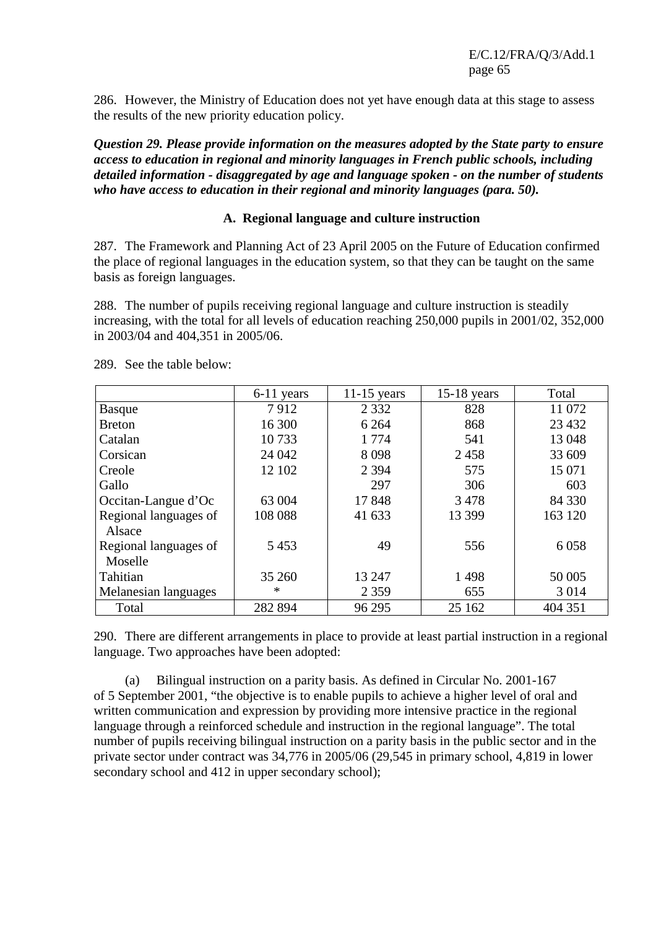286. However, the Ministry of Education does not yet have enough data at this stage to assess the results of the new priority education policy.

*Question 29. Please provide information on the measures adopted by the State party to ensure access to education in regional and minority languages in French public schools, including detailed information - disaggregated by age and language spoken - on the number of students who have access to education in their regional and minority languages (para. 50).* 

#### **A. Regional language and culture instruction**

287. The Framework and Planning Act of 23 April 2005 on the Future of Education confirmed the place of regional languages in the education system, so that they can be taught on the same basis as foreign languages.

288. The number of pupils receiving regional language and culture instruction is steadily increasing, with the total for all levels of education reaching 250,000 pupils in 2001/02, 352,000 in 2003/04 and 404,351 in 2005/06.

|                       | 6-11 years | $11-15$ years | $15-18$ years | Total   |
|-----------------------|------------|---------------|---------------|---------|
| <b>Basque</b>         | 7912       | 2 3 3 2       | 828           | 11 072  |
| <b>Breton</b>         | 16 300     | 6 2 6 4       | 868           | 23 4 32 |
| Catalan               | 10733      | 1 7 7 4       | 541           | 13 048  |
| Corsican              | 24 042     | 8098          | 2458          | 33 609  |
| Creole                | 12 102     | 2 3 9 4       | 575           | 15 071  |
| Gallo                 |            | 297           | 306           | 603     |
| Occitan-Langue d'Oc   | 63 004     | 17848         | 3478          | 84 330  |
| Regional languages of | 108 088    | 41 633        | 13 399        | 163 120 |
| Alsace                |            |               |               |         |
| Regional languages of | 5453       | 49            | 556           | 6 0 5 8 |
| Moselle               |            |               |               |         |
| Tahitian              | 35 260     | 13 247        | 1498          | 50 005  |
| Melanesian languages  | ∗          | 2 3 5 9       | 655           | 3 0 1 4 |
| Total                 | 282 894    | 96 295        | 25 162        | 404 351 |

289. See the table below:

290. There are different arrangements in place to provide at least partial instruction in a regional language. Two approaches have been adopted:

 (a) Bilingual instruction on a parity basis. As defined in Circular No. 2001-167 of 5 September 2001, "the objective is to enable pupils to achieve a higher level of oral and written communication and expression by providing more intensive practice in the regional language through a reinforced schedule and instruction in the regional language". The total number of pupils receiving bilingual instruction on a parity basis in the public sector and in the private sector under contract was 34,776 in 2005/06 (29,545 in primary school, 4,819 in lower secondary school and 412 in upper secondary school);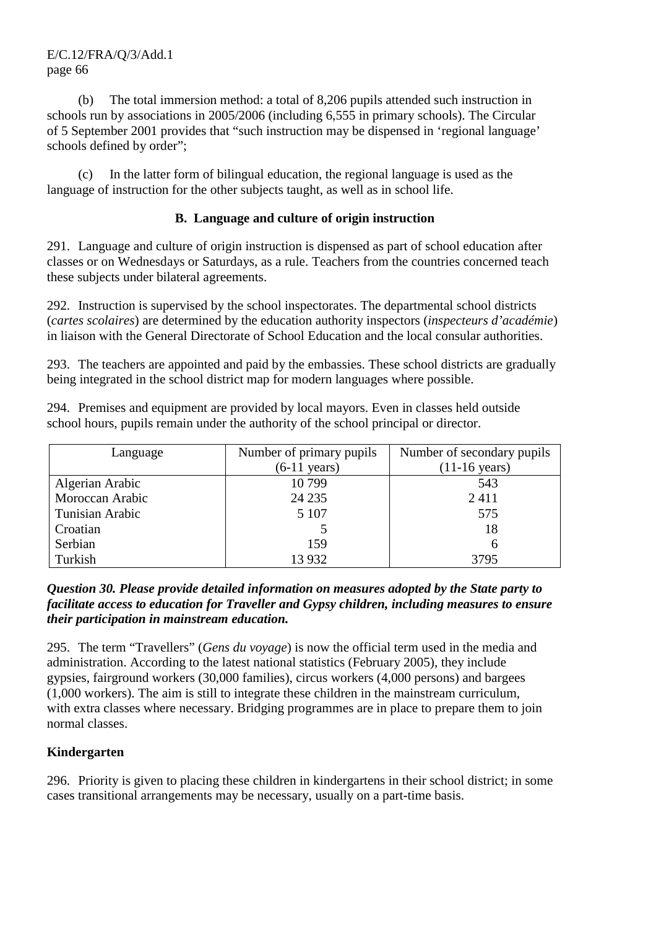(b) The total immersion method: a total of 8,206 pupils attended such instruction in schools run by associations in 2005/2006 (including 6,555 in primary schools). The Circular of 5 September 2001 provides that "such instruction may be dispensed in 'regional language' schools defined by order";

 (c) In the latter form of bilingual education, the regional language is used as the language of instruction for the other subjects taught, as well as in school life.

### **B. Language and culture of origin instruction**

291. Language and culture of origin instruction is dispensed as part of school education after classes or on Wednesdays or Saturdays, as a rule. Teachers from the countries concerned teach these subjects under bilateral agreements.

292. Instruction is supervised by the school inspectorates. The departmental school districts (*cartes scolaires*) are determined by the education authority inspectors (*inspecteurs d'académie*) in liaison with the General Directorate of School Education and the local consular authorities.

293. The teachers are appointed and paid by the embassies. These school districts are gradually being integrated in the school district map for modern languages where possible.

294. Premises and equipment are provided by local mayors. Even in classes held outside school hours, pupils remain under the authority of the school principal or director.

| Language        | Number of primary pupils | Number of secondary pupils |
|-----------------|--------------------------|----------------------------|
|                 | $(6-11 \text{ years})$   | $(11-16 \text{ years})$    |
| Algerian Arabic | 10799                    | 543                        |
| Moroccan Arabic | 24 2 35                  | 2411                       |
| Tunisian Arabic | 5 1 0 7                  | 575                        |
| Croatian        |                          | 18                         |
| Serbian         | 159                      |                            |
| Turkish         | 13 9 32                  | 3795                       |

#### *Question 30. Please provide detailed information on measures adopted by the State party to facilitate access to education for Traveller and Gypsy children, including measures to ensure their participation in mainstream education.*

295. The term "Travellers" (*Gens du voyage*) is now the official term used in the media and administration. According to the latest national statistics (February 2005), they include gypsies, fairground workers (30,000 families), circus workers (4,000 persons) and bargees (1,000 workers). The aim is still to integrate these children in the mainstream curriculum, with extra classes where necessary. Bridging programmes are in place to prepare them to join normal classes.

# **Kindergarten**

296. Priority is given to placing these children in kindergartens in their school district; in some cases transitional arrangements may be necessary, usually on a part-time basis.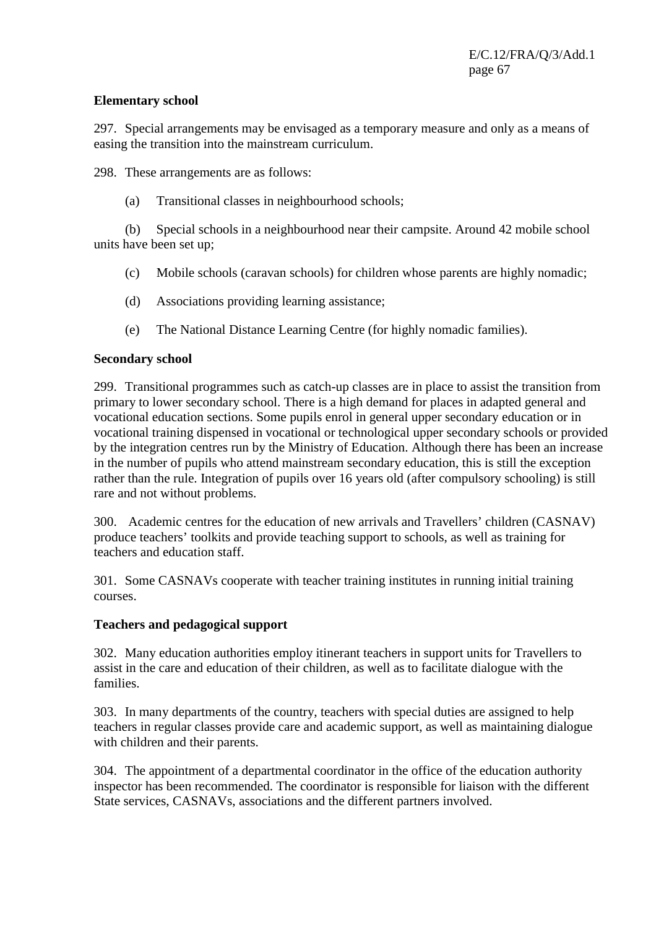#### **Elementary school**

297. Special arrangements may be envisaged as a temporary measure and only as a means of easing the transition into the mainstream curriculum.

298. These arrangements are as follows:

(a) Transitional classes in neighbourhood schools;

 (b) Special schools in a neighbourhood near their campsite. Around 42 mobile school units have been set up;

- (c) Mobile schools (caravan schools) for children whose parents are highly nomadic;
- (d) Associations providing learning assistance;
- (e) The National Distance Learning Centre (for highly nomadic families).

#### **Secondary school**

299. Transitional programmes such as catch-up classes are in place to assist the transition from primary to lower secondary school. There is a high demand for places in adapted general and vocational education sections. Some pupils enrol in general upper secondary education or in vocational training dispensed in vocational or technological upper secondary schools or provided by the integration centres run by the Ministry of Education. Although there has been an increase in the number of pupils who attend mainstream secondary education, this is still the exception rather than the rule. Integration of pupils over 16 years old (after compulsory schooling) is still rare and not without problems.

300. Academic centres for the education of new arrivals and Travellers' children (CASNAV) produce teachers' toolkits and provide teaching support to schools, as well as training for teachers and education staff.

301. Some CASNAVs cooperate with teacher training institutes in running initial training courses.

#### **Teachers and pedagogical support**

302. Many education authorities employ itinerant teachers in support units for Travellers to assist in the care and education of their children, as well as to facilitate dialogue with the families.

303. In many departments of the country, teachers with special duties are assigned to help teachers in regular classes provide care and academic support, as well as maintaining dialogue with children and their parents.

304. The appointment of a departmental coordinator in the office of the education authority inspector has been recommended. The coordinator is responsible for liaison with the different State services, CASNAVs, associations and the different partners involved.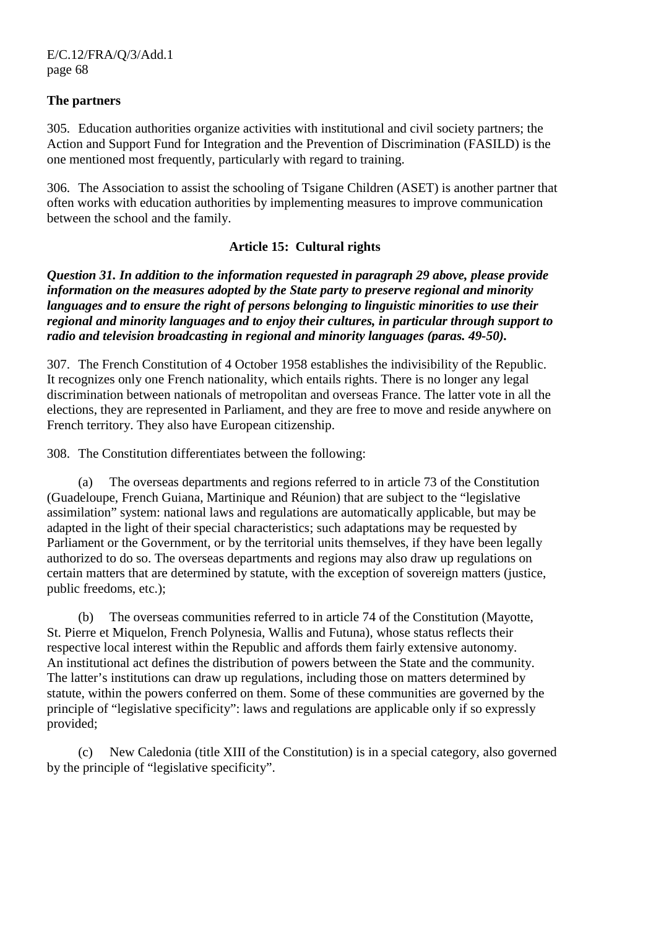#### **The partners**

305. Education authorities organize activities with institutional and civil society partners; the Action and Support Fund for Integration and the Prevention of Discrimination (FASILD) is the one mentioned most frequently, particularly with regard to training.

306. The Association to assist the schooling of Tsigane Children (ASET) is another partner that often works with education authorities by implementing measures to improve communication between the school and the family.

#### **Article 15: Cultural rights**

*Question 31. In addition to the information requested in paragraph 29 above, please provide information on the measures adopted by the State party to preserve regional and minority languages and to ensure the right of persons belonging to linguistic minorities to use their regional and minority languages and to enjoy their cultures, in particular through support to radio and television broadcasting in regional and minority languages (paras. 49-50).* 

307. The French Constitution of 4 October 1958 establishes the indivisibility of the Republic. It recognizes only one French nationality, which entails rights. There is no longer any legal discrimination between nationals of metropolitan and overseas France. The latter vote in all the elections, they are represented in Parliament, and they are free to move and reside anywhere on French territory. They also have European citizenship.

308. The Constitution differentiates between the following:

 (a) The overseas departments and regions referred to in article 73 of the Constitution (Guadeloupe, French Guiana, Martinique and Réunion) that are subject to the "legislative assimilation" system: national laws and regulations are automatically applicable, but may be adapted in the light of their special characteristics; such adaptations may be requested by Parliament or the Government, or by the territorial units themselves, if they have been legally authorized to do so. The overseas departments and regions may also draw up regulations on certain matters that are determined by statute, with the exception of sovereign matters (justice, public freedoms, etc.);

 (b) The overseas communities referred to in article 74 of the Constitution (Mayotte, St. Pierre et Miquelon, French Polynesia, Wallis and Futuna), whose status reflects their respective local interest within the Republic and affords them fairly extensive autonomy. An institutional act defines the distribution of powers between the State and the community. The latter's institutions can draw up regulations, including those on matters determined by statute, within the powers conferred on them. Some of these communities are governed by the principle of "legislative specificity": laws and regulations are applicable only if so expressly provided;

 (c) New Caledonia (title XIII of the Constitution) is in a special category, also governed by the principle of "legislative specificity".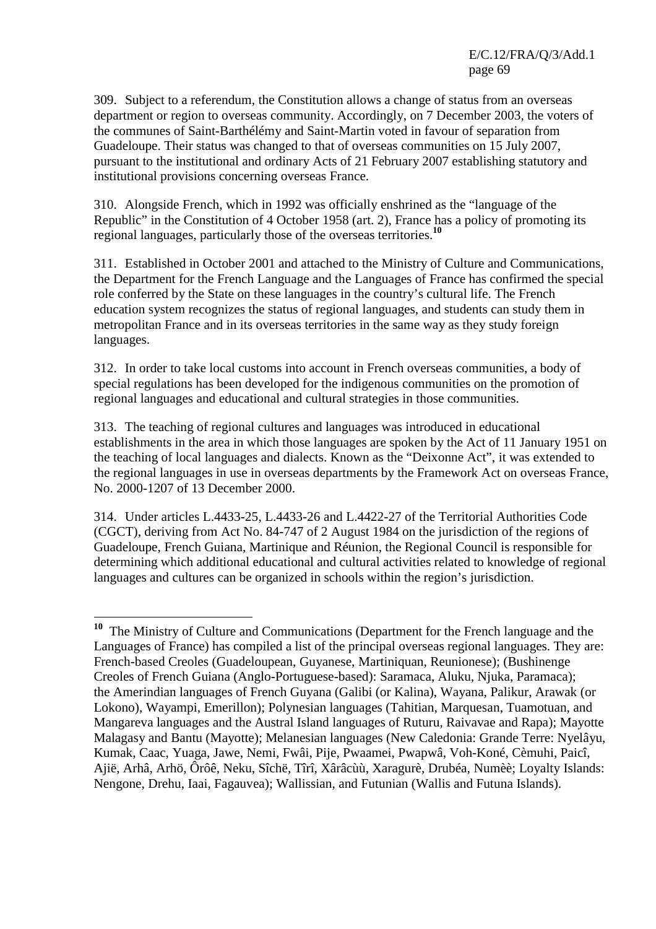309. Subject to a referendum, the Constitution allows a change of status from an overseas department or region to overseas community. Accordingly, on 7 December 2003, the voters of the communes of Saint-Barthélémy and Saint-Martin voted in favour of separation from Guadeloupe. Their status was changed to that of overseas communities on 15 July 2007, pursuant to the institutional and ordinary Acts of 21 February 2007 establishing statutory and institutional provisions concerning overseas France.

310. Alongside French, which in 1992 was officially enshrined as the "language of the Republic" in the Constitution of 4 October 1958 (art. 2), France has a policy of promoting its regional languages, particularly those of the overseas territories.**<sup>10</sup>**

311. Established in October 2001 and attached to the Ministry of Culture and Communications, the Department for the French Language and the Languages of France has confirmed the special role conferred by the State on these languages in the country's cultural life. The French education system recognizes the status of regional languages, and students can study them in metropolitan France and in its overseas territories in the same way as they study foreign languages.

312. In order to take local customs into account in French overseas communities, a body of special regulations has been developed for the indigenous communities on the promotion of regional languages and educational and cultural strategies in those communities.

313. The teaching of regional cultures and languages was introduced in educational establishments in the area in which those languages are spoken by the Act of 11 January 1951 on the teaching of local languages and dialects. Known as the "Deixonne Act", it was extended to the regional languages in use in overseas departments by the Framework Act on overseas France, No. 2000-1207 of 13 December 2000.

314. Under articles L.4433-25, L.4433-26 and L.4422-27 of the Territorial Authorities Code (CGCT), deriving from Act No. 84-747 of 2 August 1984 on the jurisdiction of the regions of Guadeloupe, French Guiana, Martinique and Réunion, the Regional Council is responsible for determining which additional educational and cultural activities related to knowledge of regional languages and cultures can be organized in schools within the region's jurisdiction.

 $\overline{a}$ **<sup>10</sup>** The Ministry of Culture and Communications (Department for the French language and the Languages of France) has compiled a list of the principal overseas regional languages. They are: French-based Creoles (Guadeloupean, Guyanese, Martiniquan, Reunionese); (Bushinenge Creoles of French Guiana (Anglo-Portuguese-based): Saramaca, Aluku, Njuka, Paramaca); the Amerindian languages of French Guyana (Galibi (or Kalina), Wayana, Palikur, Arawak (or Lokono), Wayampi, Emerillon); Polynesian languages (Tahitian, Marquesan, Tuamotuan, and Mangareva languages and the Austral Island languages of Ruturu, Raivavae and Rapa); Mayotte Malagasy and Bantu (Mayotte); Melanesian languages (New Caledonia: Grande Terre: Nyelâyu, Kumak, Caac, Yuaga, Jawe, Nemi, Fwâi, Pije, Pwaamei, Pwapwâ, Voh-Koné, Cèmuhi, Paicî, Ajië, Arhâ, Arhö, Ôrôê, Neku, Sîchë, Tîrî, Xârâcùù, Xaragurè, Drubéa, Numèè; Loyalty Islands: Nengone, Drehu, Iaai, Fagauvea); Wallissian, and Futunian (Wallis and Futuna Islands).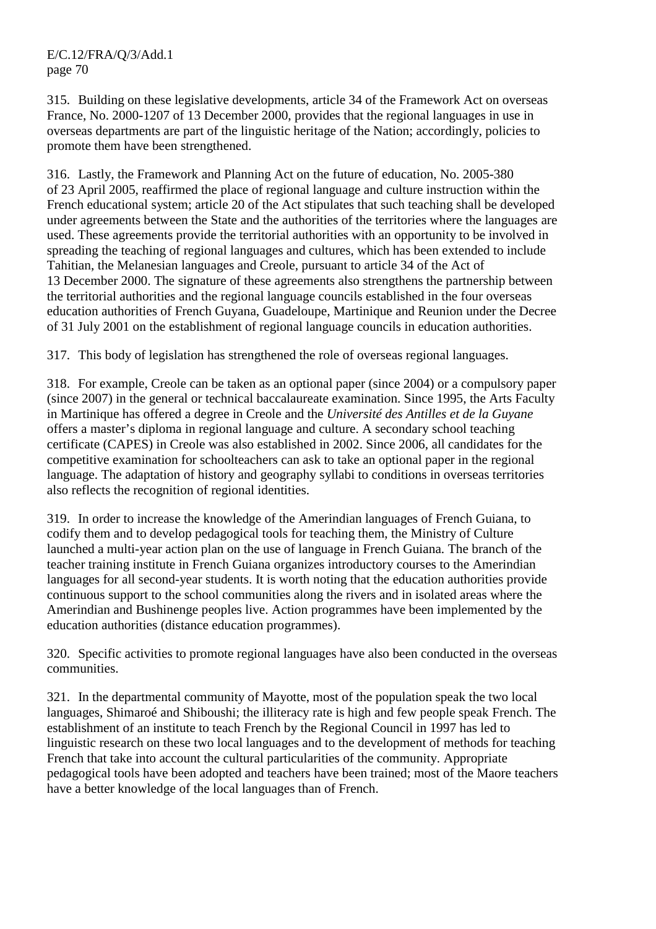315. Building on these legislative developments, article 34 of the Framework Act on overseas France, No. 2000-1207 of 13 December 2000, provides that the regional languages in use in overseas departments are part of the linguistic heritage of the Nation; accordingly, policies to promote them have been strengthened.

316. Lastly, the Framework and Planning Act on the future of education, No. 2005-380 of 23 April 2005, reaffirmed the place of regional language and culture instruction within the French educational system; article 20 of the Act stipulates that such teaching shall be developed under agreements between the State and the authorities of the territories where the languages are used. These agreements provide the territorial authorities with an opportunity to be involved in spreading the teaching of regional languages and cultures, which has been extended to include Tahitian, the Melanesian languages and Creole, pursuant to article 34 of the Act of 13 December 2000. The signature of these agreements also strengthens the partnership between the territorial authorities and the regional language councils established in the four overseas education authorities of French Guyana, Guadeloupe, Martinique and Reunion under the Decree of 31 July 2001 on the establishment of regional language councils in education authorities.

317. This body of legislation has strengthened the role of overseas regional languages.

318. For example, Creole can be taken as an optional paper (since 2004) or a compulsory paper (since 2007) in the general or technical baccalaureate examination. Since 1995, the Arts Faculty in Martinique has offered a degree in Creole and the *Université des Antilles et de la Guyane* offers a master's diploma in regional language and culture. A secondary school teaching certificate (CAPES) in Creole was also established in 2002. Since 2006, all candidates for the competitive examination for schoolteachers can ask to take an optional paper in the regional language. The adaptation of history and geography syllabi to conditions in overseas territories also reflects the recognition of regional identities.

319. In order to increase the knowledge of the Amerindian languages of French Guiana, to codify them and to develop pedagogical tools for teaching them, the Ministry of Culture launched a multi-year action plan on the use of language in French Guiana. The branch of the teacher training institute in French Guiana organizes introductory courses to the Amerindian languages for all second-year students. It is worth noting that the education authorities provide continuous support to the school communities along the rivers and in isolated areas where the Amerindian and Bushinenge peoples live. Action programmes have been implemented by the education authorities (distance education programmes).

320. Specific activities to promote regional languages have also been conducted in the overseas communities.

321. In the departmental community of Mayotte, most of the population speak the two local languages, Shimaroé and Shiboushi; the illiteracy rate is high and few people speak French. The establishment of an institute to teach French by the Regional Council in 1997 has led to linguistic research on these two local languages and to the development of methods for teaching French that take into account the cultural particularities of the community. Appropriate pedagogical tools have been adopted and teachers have been trained; most of the Maore teachers have a better knowledge of the local languages than of French.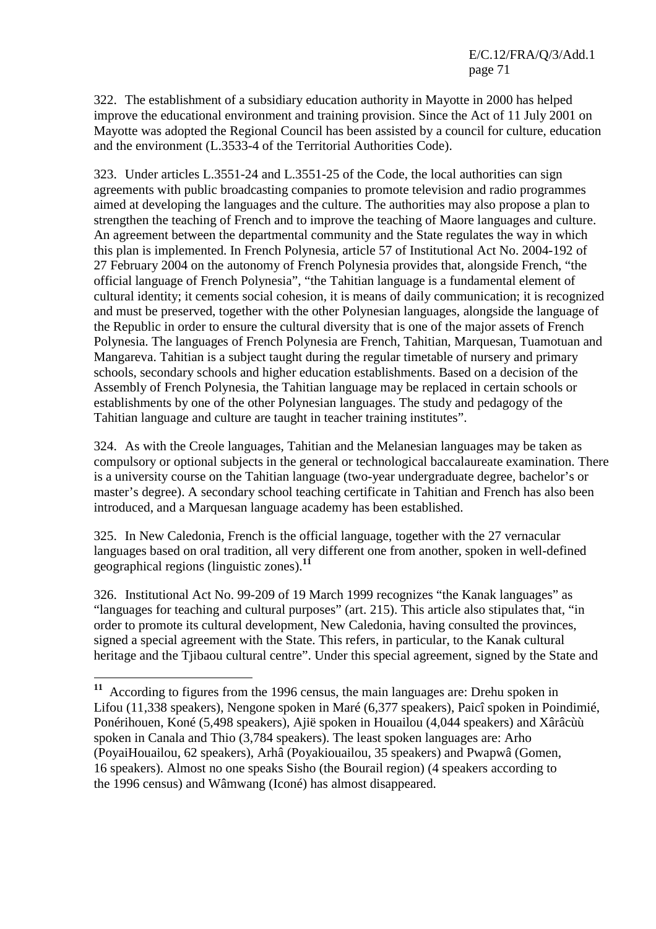322. The establishment of a subsidiary education authority in Mayotte in 2000 has helped improve the educational environment and training provision. Since the Act of 11 July 2001 on Mayotte was adopted the Regional Council has been assisted by a council for culture, education and the environment (L.3533-4 of the Territorial Authorities Code).

323. Under articles L.3551-24 and L.3551-25 of the Code, the local authorities can sign agreements with public broadcasting companies to promote television and radio programmes aimed at developing the languages and the culture. The authorities may also propose a plan to strengthen the teaching of French and to improve the teaching of Maore languages and culture. An agreement between the departmental community and the State regulates the way in which this plan is implemented. In French Polynesia, article 57 of Institutional Act No. 2004-192 of 27 February 2004 on the autonomy of French Polynesia provides that, alongside French, "the official language of French Polynesia", "the Tahitian language is a fundamental element of cultural identity; it cements social cohesion, it is means of daily communication; it is recognized and must be preserved, together with the other Polynesian languages, alongside the language of the Republic in order to ensure the cultural diversity that is one of the major assets of French Polynesia. The languages of French Polynesia are French, Tahitian, Marquesan, Tuamotuan and Mangareva. Tahitian is a subject taught during the regular timetable of nursery and primary schools, secondary schools and higher education establishments. Based on a decision of the Assembly of French Polynesia, the Tahitian language may be replaced in certain schools or establishments by one of the other Polynesian languages. The study and pedagogy of the Tahitian language and culture are taught in teacher training institutes".

324. As with the Creole languages, Tahitian and the Melanesian languages may be taken as compulsory or optional subjects in the general or technological baccalaureate examination. There is a university course on the Tahitian language (two-year undergraduate degree, bachelor's or master's degree). A secondary school teaching certificate in Tahitian and French has also been introduced, and a Marquesan language academy has been established.

325. In New Caledonia, French is the official language, together with the 27 vernacular languages based on oral tradition, all very different one from another, spoken in well-defined geographical regions (linguistic zones).**<sup>11</sup>**

326. Institutional Act No. 99-209 of 19 March 1999 recognizes "the Kanak languages" as "languages for teaching and cultural purposes" (art. 215). This article also stipulates that, "in order to promote its cultural development, New Caledonia, having consulted the provinces, signed a special agreement with the State. This refers, in particular, to the Kanak cultural heritage and the Tjibaou cultural centre". Under this special agreement, signed by the State and

 $\overline{a}$ 

**<sup>11</sup>** According to figures from the 1996 census, the main languages are: Drehu spoken in Lifou (11,338 speakers), Nengone spoken in Maré (6,377 speakers), Paicî spoken in Poindimié, Ponérihouen, Koné (5*,*498 speakers), Ajië spoken in Houailou (4,044 speakers) and Xârâcùù spoken in Canala and Thio (3,784 speakers). The least spoken languages are: Arho (PoyaiHouailou, 62 speakers), Arhâ (Poyakiouailou, 35 speakers) and Pwapwâ (Gomen, 16 speakers). Almost no one speaks Sisho (the Bourail region) (4 speakers according to the 1996 census) and Wâmwang (Iconé) has almost disappeared.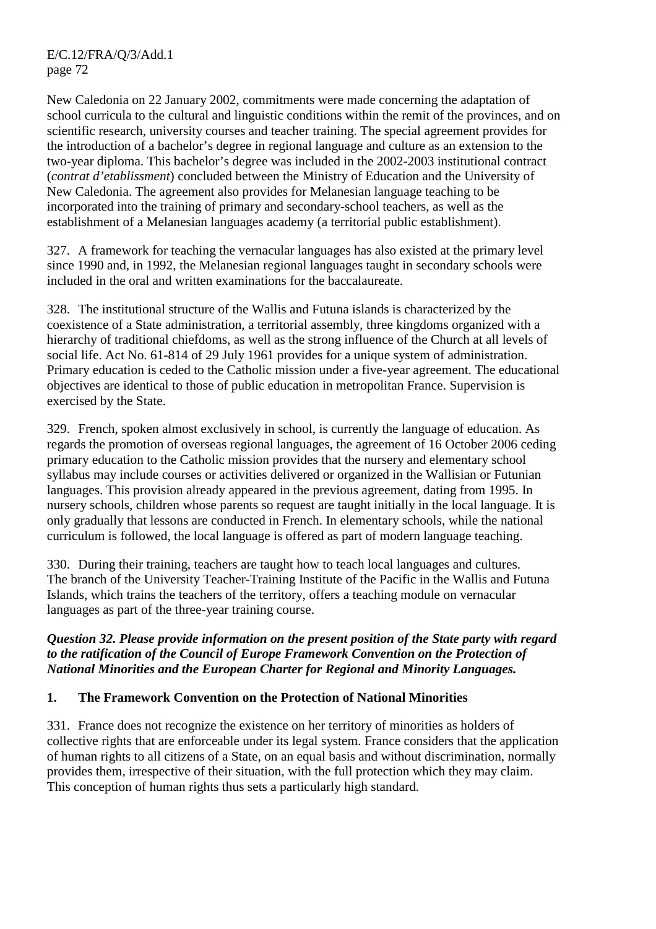New Caledonia on 22 January 2002, commitments were made concerning the adaptation of school curricula to the cultural and linguistic conditions within the remit of the provinces, and on scientific research, university courses and teacher training. The special agreement provides for the introduction of a bachelor's degree in regional language and culture as an extension to the two-year diploma. This bachelor's degree was included in the 2002-2003 institutional contract (*contrat d'etablissment*) concluded between the Ministry of Education and the University of New Caledonia. The agreement also provides for Melanesian language teaching to be incorporated into the training of primary and secondary-school teachers, as well as the establishment of a Melanesian languages academy (a territorial public establishment).

327. A framework for teaching the vernacular languages has also existed at the primary level since 1990 and, in 1992, the Melanesian regional languages taught in secondary schools were included in the oral and written examinations for the baccalaureate.

328. The institutional structure of the Wallis and Futuna islands is characterized by the coexistence of a State administration, a territorial assembly, three kingdoms organized with a hierarchy of traditional chiefdoms, as well as the strong influence of the Church at all levels of social life. Act No. 61-814 of 29 July 1961 provides for a unique system of administration. Primary education is ceded to the Catholic mission under a five-year agreement. The educational objectives are identical to those of public education in metropolitan France. Supervision is exercised by the State.

329. French, spoken almost exclusively in school, is currently the language of education. As regards the promotion of overseas regional languages, the agreement of 16 October 2006 ceding primary education to the Catholic mission provides that the nursery and elementary school syllabus may include courses or activities delivered or organized in the Wallisian or Futunian languages. This provision already appeared in the previous agreement, dating from 1995. In nursery schools, children whose parents so request are taught initially in the local language. It is only gradually that lessons are conducted in French. In elementary schools, while the national curriculum is followed, the local language is offered as part of modern language teaching.

330. During their training, teachers are taught how to teach local languages and cultures. The branch of the University Teacher-Training Institute of the Pacific in the Wallis and Futuna Islands, which trains the teachers of the territory, offers a teaching module on vernacular languages as part of the three-year training course.

### *Question 32. Please provide information on the present position of the State party with regard to the ratification of the Council of Europe Framework Convention on the Protection of National Minorities and the European Charter for Regional and Minority Languages.*

# **1. The Framework Convention on the Protection of National Minorities**

331. France does not recognize the existence on her territory of minorities as holders of collective rights that are enforceable under its legal system. France considers that the application of human rights to all citizens of a State, on an equal basis and without discrimination, normally provides them, irrespective of their situation, with the full protection which they may claim. This conception of human rights thus sets a particularly high standard.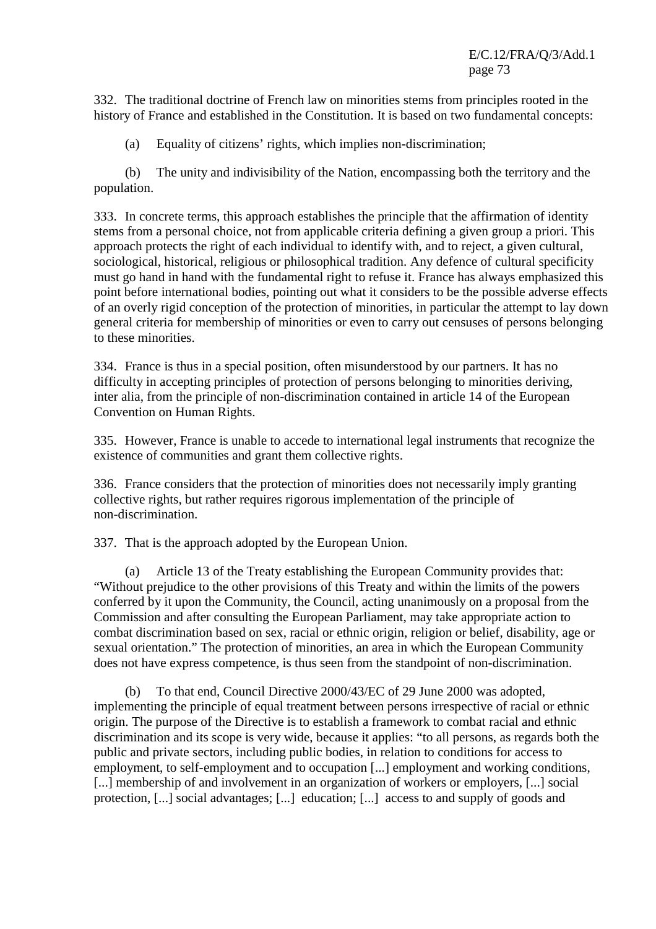E/C.12/FRA/Q/3/Add.1 page 73

332. The traditional doctrine of French law on minorities stems from principles rooted in the history of France and established in the Constitution. It is based on two fundamental concepts:

(a) Equality of citizens' rights, which implies non-discrimination;

 (b) The unity and indivisibility of the Nation, encompassing both the territory and the population.

333. In concrete terms, this approach establishes the principle that the affirmation of identity stems from a personal choice, not from applicable criteria defining a given group a priori. This approach protects the right of each individual to identify with, and to reject, a given cultural, sociological, historical, religious or philosophical tradition. Any defence of cultural specificity must go hand in hand with the fundamental right to refuse it. France has always emphasized this point before international bodies, pointing out what it considers to be the possible adverse effects of an overly rigid conception of the protection of minorities, in particular the attempt to lay down general criteria for membership of minorities or even to carry out censuses of persons belonging to these minorities.

334. France is thus in a special position, often misunderstood by our partners. It has no difficulty in accepting principles of protection of persons belonging to minorities deriving, inter alia, from the principle of non-discrimination contained in article 14 of the European Convention on Human Rights.

335. However, France is unable to accede to international legal instruments that recognize the existence of communities and grant them collective rights.

336. France considers that the protection of minorities does not necessarily imply granting collective rights, but rather requires rigorous implementation of the principle of non-discrimination.

337. That is the approach adopted by the European Union.

 (a) Article 13 of the Treaty establishing the European Community provides that: "Without prejudice to the other provisions of this Treaty and within the limits of the powers conferred by it upon the Community, the Council, acting unanimously on a proposal from the Commission and after consulting the European Parliament, may take appropriate action to combat discrimination based on sex, racial or ethnic origin, religion or belief, disability, age or sexual orientation." The protection of minorities, an area in which the European Community does not have express competence, is thus seen from the standpoint of non-discrimination.

 (b) To that end, Council Directive 2000/43/EC of 29 June 2000 was adopted, implementing the principle of equal treatment between persons irrespective of racial or ethnic origin. The purpose of the Directive is to establish a framework to combat racial and ethnic discrimination and its scope is very wide, because it applies: "to all persons, as regards both the public and private sectors, including public bodies, in relation to conditions for access to employment, to self-employment and to occupation [...] employment and working conditions, [...] membership of and involvement in an organization of workers or employers, [...] social protection, [...] social advantages; [...] education; [...] access to and supply of goods and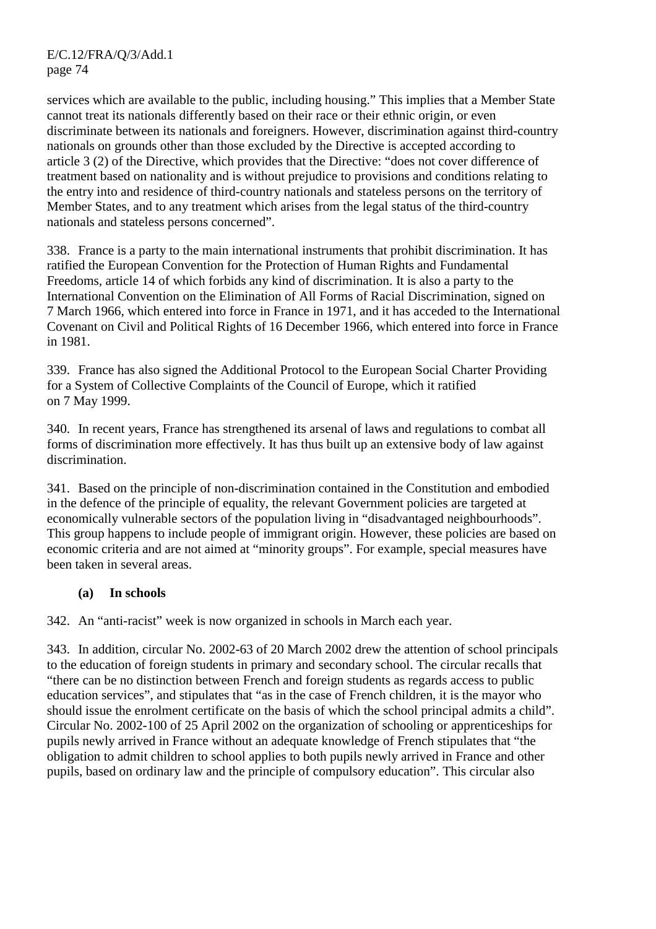services which are available to the public, including housing." This implies that a Member State cannot treat its nationals differently based on their race or their ethnic origin, or even discriminate between its nationals and foreigners. However, discrimination against third-country nationals on grounds other than those excluded by the Directive is accepted according to article 3 (2) of the Directive, which provides that the Directive: "does not cover difference of treatment based on nationality and is without prejudice to provisions and conditions relating to the entry into and residence of third-country nationals and stateless persons on the territory of Member States, and to any treatment which arises from the legal status of the third-country nationals and stateless persons concerned".

338. France is a party to the main international instruments that prohibit discrimination. It has ratified the European Convention for the Protection of Human Rights and Fundamental Freedoms, article 14 of which forbids any kind of discrimination. It is also a party to the International Convention on the Elimination of All Forms of Racial Discrimination, signed on 7 March 1966, which entered into force in France in 1971, and it has acceded to the International Covenant on Civil and Political Rights of 16 December 1966, which entered into force in France in 1981.

339. France has also signed the Additional Protocol to the European Social Charter Providing for a System of Collective Complaints of the Council of Europe, which it ratified on 7 May 1999.

340. In recent years, France has strengthened its arsenal of laws and regulations to combat all forms of discrimination more effectively. It has thus built up an extensive body of law against discrimination.

341. Based on the principle of non-discrimination contained in the Constitution and embodied in the defence of the principle of equality, the relevant Government policies are targeted at economically vulnerable sectors of the population living in "disadvantaged neighbourhoods". This group happens to include people of immigrant origin. However, these policies are based on economic criteria and are not aimed at "minority groups". For example, special measures have been taken in several areas.

# **(a) In schools**

342. An "anti-racist" week is now organized in schools in March each year.

343. In addition, circular No. 2002-63 of 20 March 2002 drew the attention of school principals to the education of foreign students in primary and secondary school. The circular recalls that "there can be no distinction between French and foreign students as regards access to public education services", and stipulates that "as in the case of French children, it is the mayor who should issue the enrolment certificate on the basis of which the school principal admits a child". Circular No. 2002-100 of 25 April 2002 on the organization of schooling or apprenticeships for pupils newly arrived in France without an adequate knowledge of French stipulates that "the obligation to admit children to school applies to both pupils newly arrived in France and other pupils, based on ordinary law and the principle of compulsory education". This circular also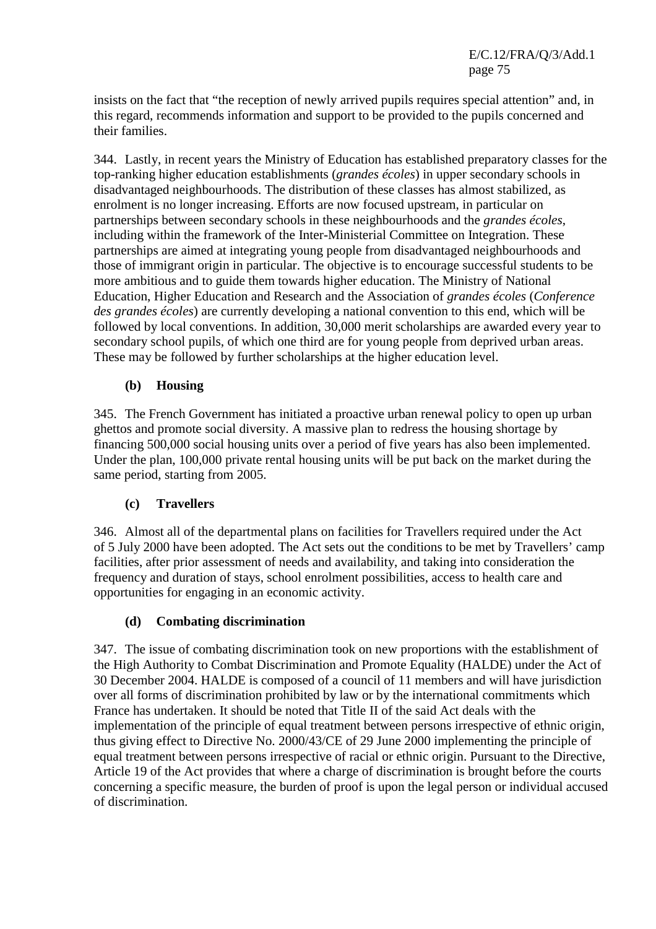E/C.12/FRA/Q/3/Add.1 page 75

insists on the fact that "the reception of newly arrived pupils requires special attention" and, in this regard, recommends information and support to be provided to the pupils concerned and their families.

344. Lastly, in recent years the Ministry of Education has established preparatory classes for the top-ranking higher education establishments (*grandes écoles*) in upper secondary schools in disadvantaged neighbourhoods. The distribution of these classes has almost stabilized, as enrolment is no longer increasing. Efforts are now focused upstream, in particular on partnerships between secondary schools in these neighbourhoods and the *grandes écoles*, including within the framework of the Inter-Ministerial Committee on Integration. These partnerships are aimed at integrating young people from disadvantaged neighbourhoods and those of immigrant origin in particular. The objective is to encourage successful students to be more ambitious and to guide them towards higher education. The Ministry of National Education, Higher Education and Research and the Association of *grandes écoles* (*Conference des grandes écoles*) are currently developing a national convention to this end, which will be followed by local conventions. In addition, 30,000 merit scholarships are awarded every year to secondary school pupils, of which one third are for young people from deprived urban areas. These may be followed by further scholarships at the higher education level.

## **(b) Housing**

345. The French Government has initiated a proactive urban renewal policy to open up urban ghettos and promote social diversity. A massive plan to redress the housing shortage by financing 500,000 social housing units over a period of five years has also been implemented. Under the plan, 100,000 private rental housing units will be put back on the market during the same period, starting from 2005.

### **(c) Travellers**

346. Almost all of the departmental plans on facilities for Travellers required under the Act of 5 July 2000 have been adopted. The Act sets out the conditions to be met by Travellers' camp facilities, after prior assessment of needs and availability, and taking into consideration the frequency and duration of stays, school enrolment possibilities, access to health care and opportunities for engaging in an economic activity.

### **(d) Combating discrimination**

347. The issue of combating discrimination took on new proportions with the establishment of the High Authority to Combat Discrimination and Promote Equality (HALDE) under the Act of 30 December 2004. HALDE is composed of a council of 11 members and will have jurisdiction over all forms of discrimination prohibited by law or by the international commitments which France has undertaken. It should be noted that Title II of the said Act deals with the implementation of the principle of equal treatment between persons irrespective of ethnic origin, thus giving effect to Directive No. 2000/43/CE of 29 June 2000 implementing the principle of equal treatment between persons irrespective of racial or ethnic origin. Pursuant to the Directive, Article 19 of the Act provides that where a charge of discrimination is brought before the courts concerning a specific measure, the burden of proof is upon the legal person or individual accused of discrimination.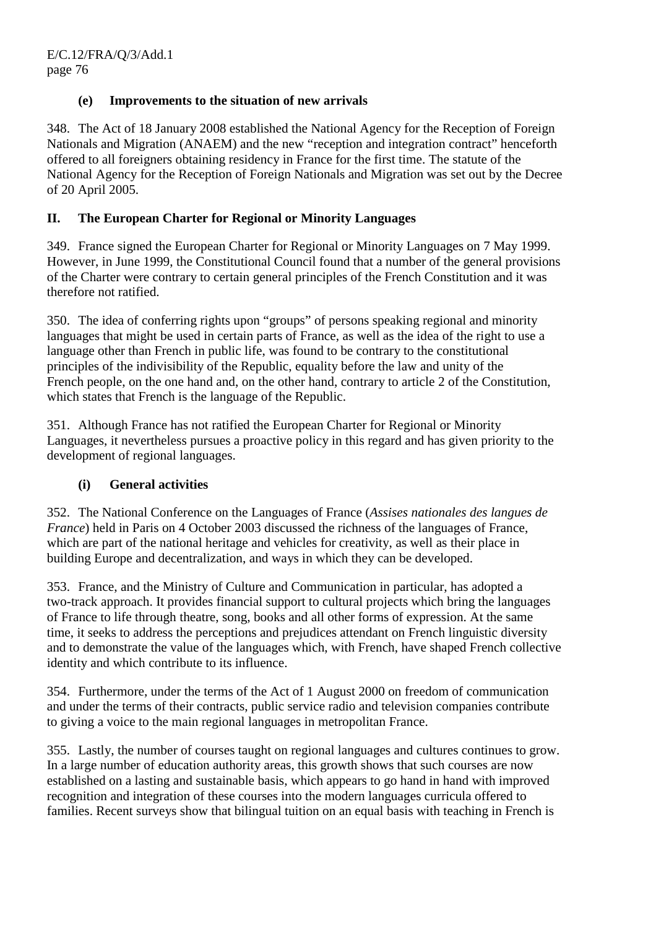# **(e) Improvements to the situation of new arrivals**

348. The Act of 18 January 2008 established the National Agency for the Reception of Foreign Nationals and Migration (ANAEM) and the new "reception and integration contract" henceforth offered to all foreigners obtaining residency in France for the first time. The statute of the National Agency for the Reception of Foreign Nationals and Migration was set out by the Decree of 20 April 2005.

## **II. The European Charter for Regional or Minority Languages**

349. France signed the European Charter for Regional or Minority Languages on 7 May 1999. However, in June 1999, the Constitutional Council found that a number of the general provisions of the Charter were contrary to certain general principles of the French Constitution and it was therefore not ratified.

350. The idea of conferring rights upon "groups" of persons speaking regional and minority languages that might be used in certain parts of France, as well as the idea of the right to use a language other than French in public life, was found to be contrary to the constitutional principles of the indivisibility of the Republic, equality before the law and unity of the French people, on the one hand and, on the other hand, contrary to article 2 of the Constitution, which states that French is the language of the Republic.

351. Although France has not ratified the European Charter for Regional or Minority Languages, it nevertheless pursues a proactive policy in this regard and has given priority to the development of regional languages.

### **(i) General activities**

352. The National Conference on the Languages of France (*Assises nationales des langues de France*) held in Paris on 4 October 2003 discussed the richness of the languages of France, which are part of the national heritage and vehicles for creativity, as well as their place in building Europe and decentralization, and ways in which they can be developed.

353. France, and the Ministry of Culture and Communication in particular, has adopted a two-track approach. It provides financial support to cultural projects which bring the languages of France to life through theatre, song, books and all other forms of expression. At the same time, it seeks to address the perceptions and prejudices attendant on French linguistic diversity and to demonstrate the value of the languages which, with French, have shaped French collective identity and which contribute to its influence.

354. Furthermore, under the terms of the Act of 1 August 2000 on freedom of communication and under the terms of their contracts, public service radio and television companies contribute to giving a voice to the main regional languages in metropolitan France.

355. Lastly, the number of courses taught on regional languages and cultures continues to grow. In a large number of education authority areas, this growth shows that such courses are now established on a lasting and sustainable basis, which appears to go hand in hand with improved recognition and integration of these courses into the modern languages curricula offered to families. Recent surveys show that bilingual tuition on an equal basis with teaching in French is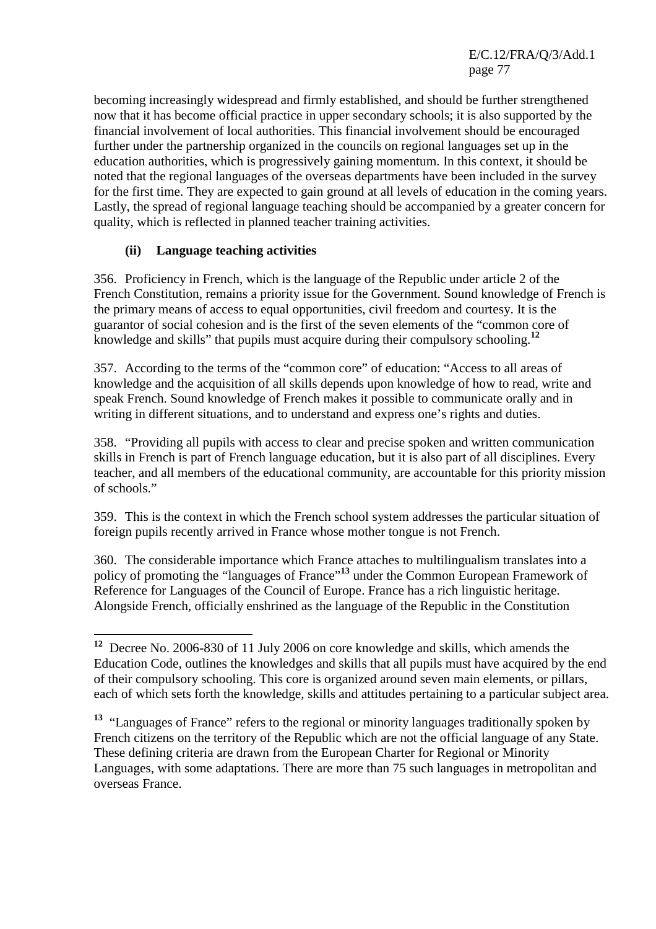E/C.12/FRA/Q/3/Add.1 page 77

becoming increasingly widespread and firmly established, and should be further strengthened now that it has become official practice in upper secondary schools; it is also supported by the financial involvement of local authorities. This financial involvement should be encouraged further under the partnership organized in the councils on regional languages set up in the education authorities, which is progressively gaining momentum. In this context, it should be noted that the regional languages of the overseas departments have been included in the survey for the first time. They are expected to gain ground at all levels of education in the coming years. Lastly, the spread of regional language teaching should be accompanied by a greater concern for quality, which is reflected in planned teacher training activities.

## **(ii) Language teaching activities**

356. Proficiency in French, which is the language of the Republic under article 2 of the French Constitution, remains a priority issue for the Government. Sound knowledge of French is the primary means of access to equal opportunities, civil freedom and courtesy. It is the guarantor of social cohesion and is the first of the seven elements of the "common core of knowledge and skills" that pupils must acquire during their compulsory schooling.**<sup>12</sup>**

357. According to the terms of the "common core" of education: "Access to all areas of knowledge and the acquisition of all skills depends upon knowledge of how to read, write and speak French. Sound knowledge of French makes it possible to communicate orally and in writing in different situations, and to understand and express one's rights and duties.

358. "Providing all pupils with access to clear and precise spoken and written communication skills in French is part of French language education, but it is also part of all disciplines. Every teacher, and all members of the educational community, are accountable for this priority mission of schools."

359. This is the context in which the French school system addresses the particular situation of foreign pupils recently arrived in France whose mother tongue is not French.

360. The considerable importance which France attaches to multilingualism translates into a policy of promoting the "languages of France"**<sup>13</sup>** under the Common European Framework of Reference for Languages of the Council of Europe. France has a rich linguistic heritage. Alongside French, officially enshrined as the language of the Republic in the Constitution

**<sup>13</sup>** "Languages of France" refers to the regional or minority languages traditionally spoken by French citizens on the territory of the Republic which are not the official language of any State. These defining criteria are drawn from the European Charter for Regional or Minority Languages, with some adaptations. There are more than 75 such languages in metropolitan and overseas France.

 $\overline{a}$ **<sup>12</sup>** Decree No. 2006-830 of 11 July 2006 on core knowledge and skills, which amends the Education Code, outlines the knowledges and skills that all pupils must have acquired by the end of their compulsory schooling. This core is organized around seven main elements, or pillars, each of which sets forth the knowledge, skills and attitudes pertaining to a particular subject area.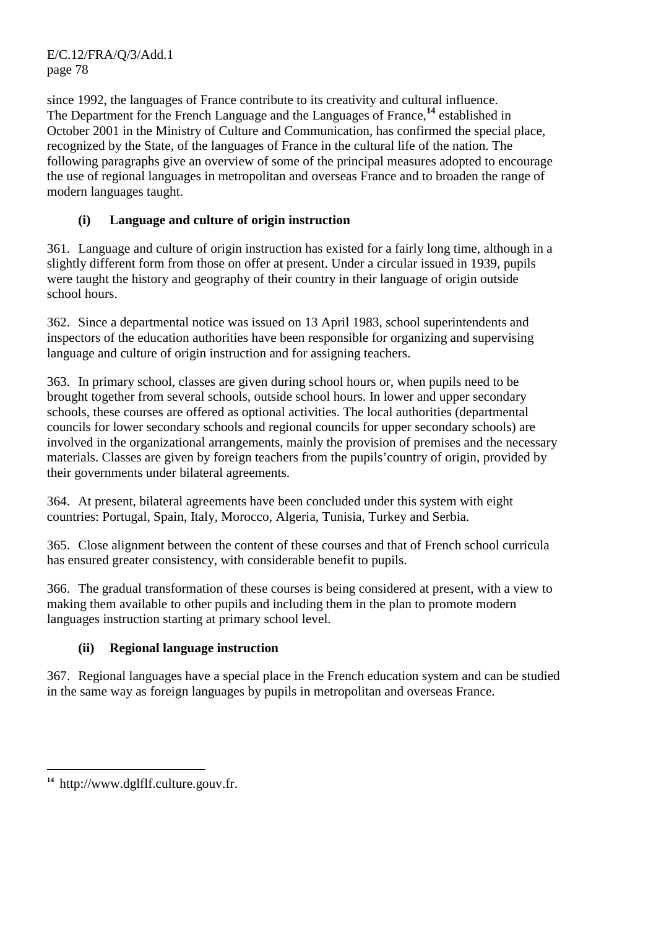E/C.12/FRA/Q/3/Add.1 page 78

since 1992, the languages of France contribute to its creativity and cultural influence. The Department for the French Language and the Languages of France,**<sup>14</sup>** established in October 2001 in the Ministry of Culture and Communication, has confirmed the special place, recognized by the State, of the languages of France in the cultural life of the nation. The following paragraphs give an overview of some of the principal measures adopted to encourage the use of regional languages in metropolitan and overseas France and to broaden the range of modern languages taught.

# **(i) Language and culture of origin instruction**

361. Language and culture of origin instruction has existed for a fairly long time, although in a slightly different form from those on offer at present. Under a circular issued in 1939, pupils were taught the history and geography of their country in their language of origin outside school hours.

362. Since a departmental notice was issued on 13 April 1983, school superintendents and inspectors of the education authorities have been responsible for organizing and supervising language and culture of origin instruction and for assigning teachers.

363. In primary school, classes are given during school hours or, when pupils need to be brought together from several schools, outside school hours. In lower and upper secondary schools, these courses are offered as optional activities. The local authorities (departmental councils for lower secondary schools and regional councils for upper secondary schools) are involved in the organizational arrangements, mainly the provision of premises and the necessary materials. Classes are given by foreign teachers from the pupils'country of origin, provided by their governments under bilateral agreements.

364. At present, bilateral agreements have been concluded under this system with eight countries: Portugal, Spain, Italy, Morocco, Algeria, Tunisia, Turkey and Serbia.

365. Close alignment between the content of these courses and that of French school curricula has ensured greater consistency, with considerable benefit to pupils.

366. The gradual transformation of these courses is being considered at present, with a view to making them available to other pupils and including them in the plan to promote modern languages instruction starting at primary school level.

# **(ii) Regional language instruction**

367. Regional languages have a special place in the French education system and can be studied in the same way as foreign languages by pupils in metropolitan and overseas France.

 $\overline{a}$ **14** http://www.dglflf.culture.gouv.fr.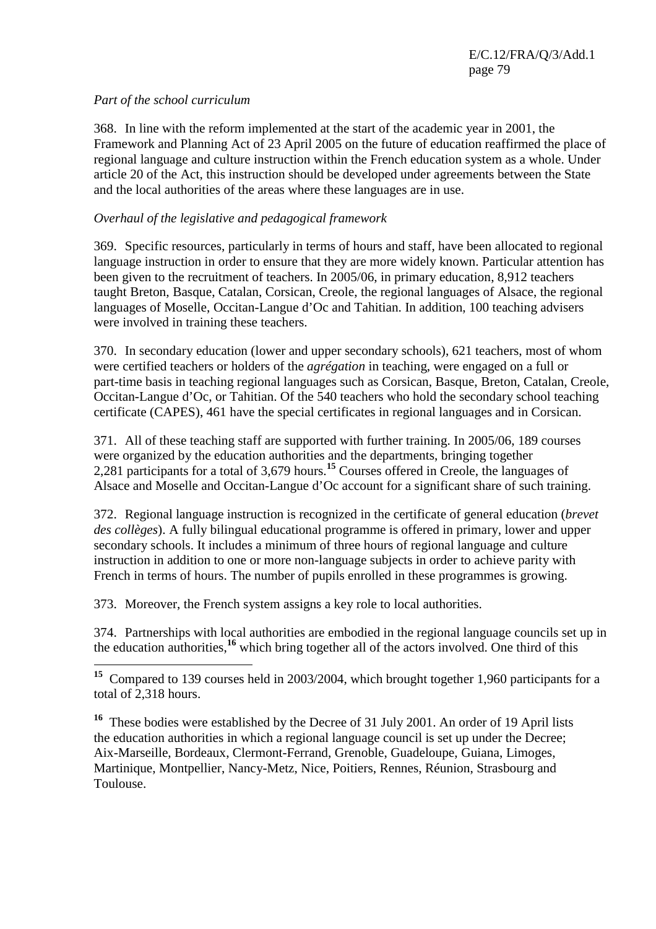### *Part of the school curriculum*

368. In line with the reform implemented at the start of the academic year in 2001, the Framework and Planning Act of 23 April 2005 on the future of education reaffirmed the place of regional language and culture instruction within the French education system as a whole. Under article 20 of the Act, this instruction should be developed under agreements between the State and the local authorities of the areas where these languages are in use.

## *Overhaul of the legislative and pedagogical framework*

369. Specific resources, particularly in terms of hours and staff, have been allocated to regional language instruction in order to ensure that they are more widely known. Particular attention has been given to the recruitment of teachers. In 2005/06, in primary education, 8,912 teachers taught Breton, Basque, Catalan, Corsican, Creole, the regional languages of Alsace, the regional languages of Moselle, Occitan-Langue d'Oc and Tahitian. In addition, 100 teaching advisers were involved in training these teachers.

370. In secondary education (lower and upper secondary schools), 621 teachers, most of whom were certified teachers or holders of the *agrégation* in teaching, were engaged on a full or part-time basis in teaching regional languages such as Corsican, Basque, Breton, Catalan, Creole, Occitan-Langue d'Oc, or Tahitian. Of the 540 teachers who hold the secondary school teaching certificate (CAPES), 461 have the special certificates in regional languages and in Corsican.

371. All of these teaching staff are supported with further training. In 2005/06, 189 courses were organized by the education authorities and the departments, bringing together 2,281 participants for a total of 3,679 hours.**<sup>15</sup>** Courses offered in Creole, the languages of Alsace and Moselle and Occitan-Langue d'Oc account for a significant share of such training.

372. Regional language instruction is recognized in the certificate of general education (*brevet des collèges*). A fully bilingual educational programme is offered in primary, lower and upper secondary schools. It includes a minimum of three hours of regional language and culture instruction in addition to one or more non-language subjects in order to achieve parity with French in terms of hours. The number of pupils enrolled in these programmes is growing.

373. Moreover, the French system assigns a key role to local authorities.

374. Partnerships with local authorities are embodied in the regional language councils set up in the education authorities,**<sup>16</sup>** which bring together all of the actors involved. One third of this

 $\overline{a}$ **<sup>15</sup>** Compared to 139 courses held in 2003/2004, which brought together 1,960 participants for a total of 2,318 hours.

<sup>&</sup>lt;sup>16</sup> These bodies were established by the Decree of 31 July 2001. An order of 19 April lists the education authorities in which a regional language council is set up under the Decree; Aix-Marseille, Bordeaux, Clermont-Ferrand, Grenoble, Guadeloupe, Guiana, Limoges, Martinique, Montpellier, Nancy-Metz, Nice, Poitiers, Rennes, Réunion, Strasbourg and Toulouse.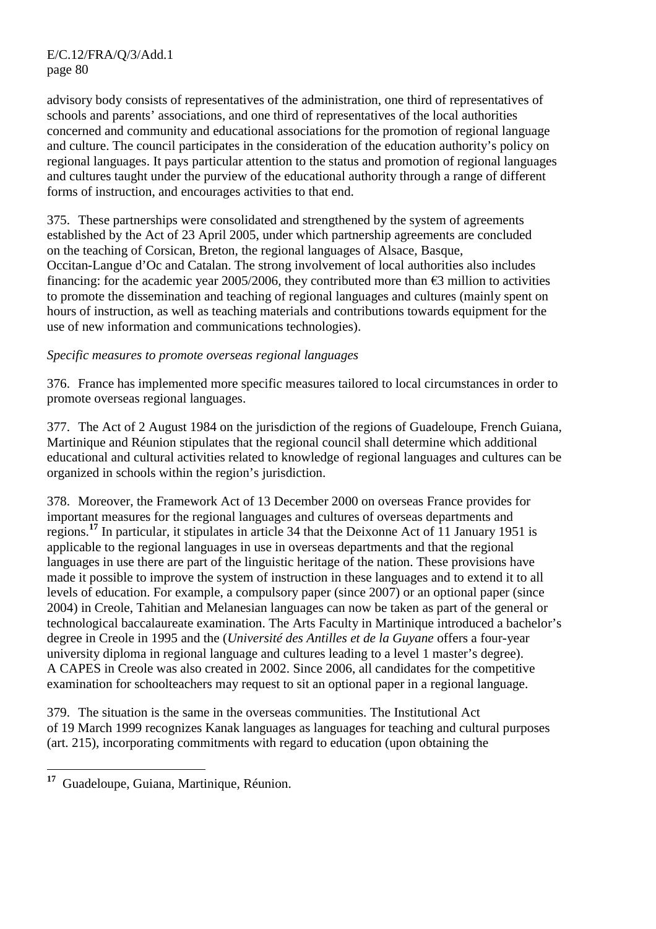E/C.12/FRA/Q/3/Add.1 page 80

advisory body consists of representatives of the administration, one third of representatives of schools and parents' associations, and one third of representatives of the local authorities concerned and community and educational associations for the promotion of regional language and culture. The council participates in the consideration of the education authority's policy on regional languages. It pays particular attention to the status and promotion of regional languages and cultures taught under the purview of the educational authority through a range of different forms of instruction, and encourages activities to that end.

375. These partnerships were consolidated and strengthened by the system of agreements established by the Act of 23 April 2005, under which partnership agreements are concluded on the teaching of Corsican, Breton, the regional languages of Alsace, Basque, Occitan-Langue d'Oc and Catalan. The strong involvement of local authorities also includes financing: for the academic year 2005/2006, they contributed more than  $\epsilon$ 3 million to activities to promote the dissemination and teaching of regional languages and cultures (mainly spent on hours of instruction, as well as teaching materials and contributions towards equipment for the use of new information and communications technologies).

#### *Specific measures to promote overseas regional languages*

376. France has implemented more specific measures tailored to local circumstances in order to promote overseas regional languages.

377. The Act of 2 August 1984 on the jurisdiction of the regions of Guadeloupe, French Guiana, Martinique and Réunion stipulates that the regional council shall determine which additional educational and cultural activities related to knowledge of regional languages and cultures can be organized in schools within the region's jurisdiction.

378. Moreover, the Framework Act of 13 December 2000 on overseas France provides for important measures for the regional languages and cultures of overseas departments and regions.**<sup>17</sup>** In particular, it stipulates in article 34 that the Deixonne Act of 11 January 1951 is applicable to the regional languages in use in overseas departments and that the regional languages in use there are part of the linguistic heritage of the nation. These provisions have made it possible to improve the system of instruction in these languages and to extend it to all levels of education. For example, a compulsory paper (since 2007) or an optional paper (since 2004) in Creole, Tahitian and Melanesian languages can now be taken as part of the general or technological baccalaureate examination. The Arts Faculty in Martinique introduced a bachelor's degree in Creole in 1995 and the (*Université des Antilles et de la Guyane* offers a four-year university diploma in regional language and cultures leading to a level 1 master's degree). A CAPES in Creole was also created in 2002. Since 2006, all candidates for the competitive examination for schoolteachers may request to sit an optional paper in a regional language.

379. The situation is the same in the overseas communities. The Institutional Act of 19 March 1999 recognizes Kanak languages as languages for teaching and cultural purposes (art. 215), incorporating commitments with regard to education (upon obtaining the

<sup>17</sup> **<sup>17</sup>** Guadeloupe, Guiana, Martinique, Réunion.